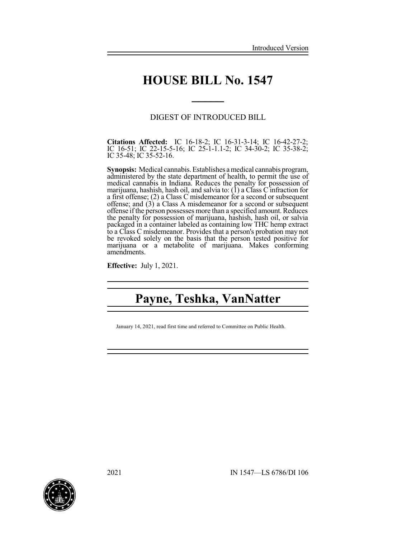## **HOUSE BILL No. 1547**

**\_\_\_\_\_**

### DIGEST OF INTRODUCED BILL

**Citations Affected:** IC 16-18-2; IC 16-31-3-14; IC 16-42-27-2; IC 16-51; IC 22-15-5-16; IC 25-1-1.1-2; IC 34-30-2; IC 35-38-2; IC 35-48; IC 35-52-16.

**Synopsis:** Medical cannabis. Establishes a medical cannabis program, administered by the state department of health, to permit the use of medical cannabis in Indiana. Reduces the penalty for possession of marijuana, hashish, hash oil, and salvia to: (1) a Class C infraction for a first offense; (2) a Class C misdemeanor for a second or subsequent offense; and (3) a Class A misdemeanor for a second or subsequent offense if the person possesses more than a specified amount. Reduces the penalty for possession of marijuana, hashish, hash oil, or salvia packaged in a container labeled as containing low THC hemp extract to a Class C misdemeanor. Provides that a person's probation may not be revoked solely on the basis that the person tested positive for marijuana or a metabolite of marijuana. Makes conforming amendments.

**Effective:** July 1, 2021.

# **Payne, Teshka, VanNatter**

January 14, 2021, read first time and referred to Committee on Public Health.

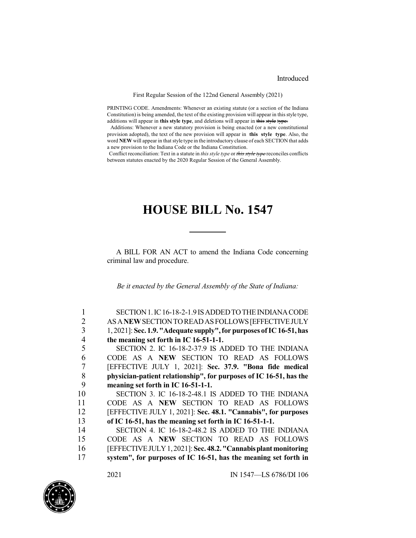#### Introduced

First Regular Session of the 122nd General Assembly (2021)

PRINTING CODE. Amendments: Whenever an existing statute (or a section of the Indiana Constitution) is being amended, the text of the existing provision will appear in this style type, additions will appear in **this style type**, and deletions will appear in this style type.

Additions: Whenever a new statutory provision is being enacted (or a new constitutional provision adopted), the text of the new provision will appear in **this style type**. Also, the word **NEW** will appear in that style type in the introductory clause of each SECTION that adds a new provision to the Indiana Code or the Indiana Constitution.

Conflict reconciliation: Text in a statute in *this style type* or *this style type* reconciles conflicts between statutes enacted by the 2020 Regular Session of the General Assembly.

## **HOUSE BILL No. 1547**

A BILL FOR AN ACT to amend the Indiana Code concerning criminal law and procedure.

*Be it enacted by the General Assembly of the State of Indiana:*

|    | SECTION 1. IC 16-18-2-1.9 IS ADDED TO THE INDIANA CODE               |
|----|----------------------------------------------------------------------|
| 2  | AS A NEW SECTION TO READ AS FOLLOWS [EFFECTIVE JULY                  |
| 3  | 1, 2021]: Sec. 1.9. "Adequate supply", for purposes of IC 16-51, has |
|    | the meaning set forth in IC 16-51-1-1.                               |
|    | SECTION 2. IC 16-18-2-37.9 IS ADDED TO THE INDIANA                   |
| 6  | CODE AS A NEW SECTION TO READ AS FOLLOWS                             |
|    | [EFFECTIVE JULY 1, 2021]: Sec. 37.9. "Bona fide medical              |
| 8  | physician-patient relationship", for purposes of IC 16-51, has the   |
| 9  | meaning set forth in IC 16-51-1-1.                                   |
| 10 | SECTION 3. IC 16-18-2-48.1 IS ADDED TO THE INDIANA                   |
| 11 | CODE AS A NEW SECTION TO READ AS FOLLOWS                             |
| 12 | [EFFECTIVE JULY 1, 2021]: Sec. 48.1. "Cannabis", for purposes        |
| 13 | of IC 16-51, has the meaning set forth in IC 16-51-1-1.              |
| 14 | SECTION 4. IC 16-18-2-48.2 IS ADDED TO THE INDIANA                   |
| 15 | CODE AS A NEW SECTION TO READ AS FOLLOWS                             |
| 16 | [EFFECTIVE JULY 1, 2021]: Sec. 48.2. "Cannabis plant monitoring      |
| 17 | system", for purposes of IC 16-51, has the meaning set forth in      |
|    |                                                                      |

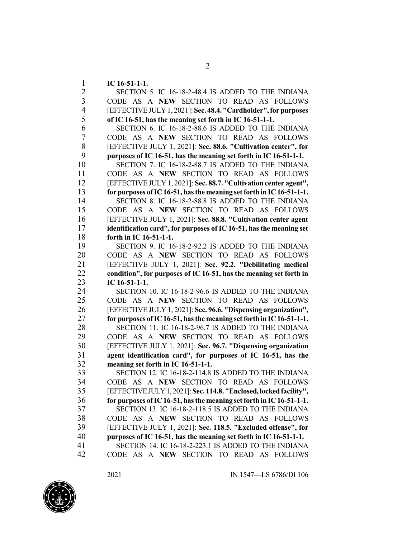**IC 16-51-1-1.**

 SECTION 5. IC 16-18-2-48.4 IS ADDED TO THE INDIANA CODE AS A **NEW** SECTION TO READ AS FOLLOWS [EFFECTIVEJULY1, 2021]:**Sec. 48.4."Cardholder",forpurposes of IC 16-51, has the meaning set forth in IC 16-51-1-1.** SECTION 6. IC 16-18-2-88.6 IS ADDED TO THE INDIANA CODE AS A **NEW** SECTION TO READ AS FOLLOWS [EFFECTIVE JULY 1, 2021]: **Sec. 88.6. "Cultivation center", for purposes of IC 16-51, has the meaning set forth in IC 16-51-1-1.** SECTION 7. IC 16-18-2-88.7 IS ADDED TO THE INDIANA CODE AS A **NEW** SECTION TO READ AS FOLLOWS [EFFECTIVE JULY 1, 2021]: **Sec. 88.7. "Cultivation center agent", for purposes ofIC16-51, hasthe meaning setforth in IC16-51-1-1.** 14 SECTION 8. IC 16-18-2-88.8 IS ADDED TO THE INDIANA<br>15 CODE AS A NEW SECTION TO READ AS FOLLOWS CODE AS A **NEW** SECTION TO READ AS FOLLOWS [EFFECTIVE JULY 1, 2021]: **Sec. 88.8. "Cultivation center agent identification card", for purposes ofIC 16-51, hasthe meaning set forth in IC 16-51-1-1.** SECTION 9. IC 16-18-2-92.2 IS ADDED TO THE INDIANA CODE AS A **NEW** SECTION TO READ AS FOLLOWS [EFFECTIVE JULY 1, 2021]: **Sec. 92.2. "Debilitating medical condition", for purposes of IC 16-51, has the meaning set forth in IC 16-51-1-1.** SECTION 10. IC 16-18-2-96.6 IS ADDED TO THE INDIANA CODE AS A **NEW** SECTION TO READ AS FOLLOWS [EFFECTIVE JULY 1, 2021]: **Sec. 96.6. "Dispensing organization", for purposes ofIC16-51, hasthe meaning setforth in IC16-51-1-1.** SECTION 11. IC 16-18-2-96.7 IS ADDED TO THE INDIANA CODE AS A **NEW** SECTION TO READ AS FOLLOWS [EFFECTIVE JULY 1, 2021]: **Sec. 96.7. "Dispensing organization agent identification card", for purposes of IC 16-51, has the meaning set forth in IC 16-51-1-1.** SECTION 12. IC 16-18-2-114.8 IS ADDED TO THE INDIANA CODE AS A **NEW** SECTION TO READ AS FOLLOWS [EFFECTIVEJULY1,2021]:**Sec. 114.8."Enclosed,lockedfacility", for purposes ofIC16-51, hasthe meaning setforth in IC16-51-1-1.** SECTION 13. IC 16-18-2-118.5 IS ADDED TO THE INDIANA CODE AS A **NEW** SECTION TO READ AS FOLLOWS [EFFECTIVE JULY 1, 2021]: **Sec. 118.5. "Excluded offense", for purposes of IC 16-51, has the meaning set forth in IC 16-51-1-1.** SECTION 14. IC 16-18-2-223.1 IS ADDED TO THE INDIANA CODE AS A **NEW** SECTION TO READ AS FOLLOWS

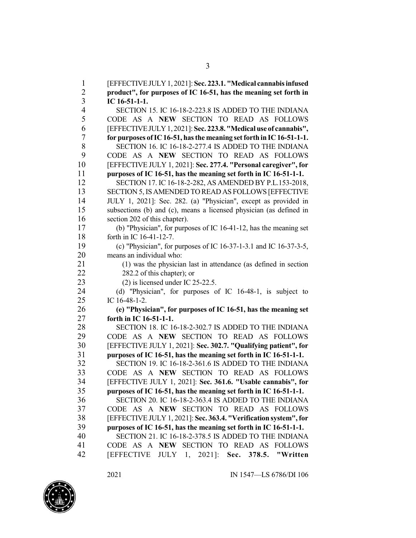[EFFECTIVEJULY1, 2021]: **Sec. 223.1. "Medical cannabisinfused product", for purposes of IC 16-51, has the meaning set forth in IC 16-51-1-1.** SECTION 15. IC 16-18-2-223.8 IS ADDED TO THE INDIANA CODE AS A **NEW** SECTION TO READ AS FOLLOWS [EFFECTIVEJULY1, 2021]: **Sec. 223.8."Medicaluse of cannabis", for purposes ofIC16-51, hasthe meaning setforth in IC16-51-1-1.** 8 SECTION 16. IC 16-18-2-277.4 IS ADDED TO THE INDIANA<br>9 CODE AS A NEW SECTION TO READ AS FOLLOWS CODE AS A **NEW** SECTION TO READ AS FOLLOWS [EFFECTIVE JULY 1, 2021]: **Sec. 277.4. "Personal caregiver", for purposes of IC 16-51, has the meaning set forth in IC 16-51-1-1.** SECTION 17. IC 16-18-2-282, AS AMENDED BY P.L.153-2018, SECTION 5, ISAMENDED TO READ AS FOLLOWS [EFFECTIVE JULY 1, 2021]: Sec. 282. (a) "Physician", except as provided in subsections (b) and (c), means a licensed physician (as defined in section 202 of this chapter). (b) "Physician", for purposes of IC 16-41-12, has the meaning set forth in IC 16-41-12-7. (c) "Physician", for purposes of IC 16-37-1-3.1 and IC 16-37-3-5, means an individual who: (1) was the physician last in attendance (as defined in section 22 282.2 of this chapter); or (2) is licensed under IC 25-22.5. (d) "Physician", for purposes of IC 16-48-1, is subject to IC 16-48-1-2. **(e) "Physician", for purposes of IC 16-51, has the meaning set forth in IC 16-51-1-1.** 28 SECTION 18. IC 16-18-2-302.7 IS ADDED TO THE INDIANA<br>29 CODE AS A NEW SECTION TO READ AS FOLLOWS CODE AS A **NEW** SECTION TO READ AS FOLLOWS [EFFECTIVE JULY 1, 2021]: **Sec. 302.7. "Qualifying patient", for purposes of IC 16-51, has the meaning set forth in IC 16-51-1-1.** SECTION 19. IC 16-18-2-361.6 IS ADDED TO THE INDIANA CODE AS A **NEW** SECTION TO READ AS FOLLOWS [EFFECTIVE JULY 1, 2021]: **Sec. 361.6. "Usable cannabis", for purposes of IC 16-51, has the meaning set forth in IC 16-51-1-1.** SECTION 20. IC 16-18-2-363.4 IS ADDED TO THE INDIANA CODE AS A **NEW** SECTION TO READ AS FOLLOWS [EFFECTIVE JULY 1, 2021]: **Sec. 363.4. "Verification system", for purposes of IC 16-51, has the meaning set forth in IC 16-51-1-1.** SECTION 21. IC 16-18-2-378.5 IS ADDED TO THE INDIANA CODE AS A **NEW** SECTION TO READ AS FOLLOWS [EFFECTIVE JULY 1, 2021]: **Sec. 378.5. "Written**

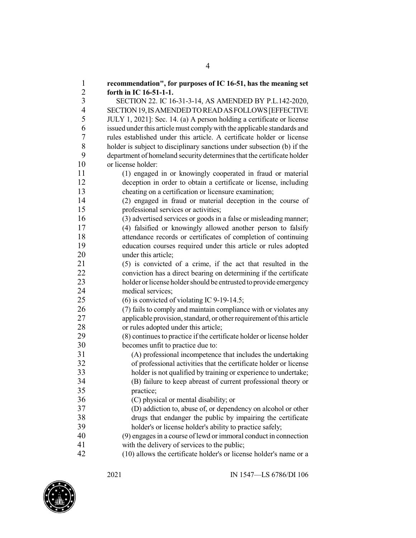**recommendation", for purposes of IC 16-51, has the meaning set forth in IC 16-51-1-1.**<br>3 **SECTION 22. IC 16**  SECTION 22. IC 16-31-3-14, AS AMENDED BY P.L.142-2020, SECTION19,ISAMENDEDTOREADASFOLLOWS[EFFECTIVE JULY 1, 2021]: Sec. 14. (a) A person holding a certificate or license issued underthis articlemust complywith the applicable standards and 7 rules established under this article. A certificate holder or license<br>8 holder is subject to disciplinary sanctions under subsection (b) if the holder is subject to disciplinary sanctions under subsection (b) if the department of homeland security determinesthat the certificate holder or license holder: (1) engaged in or knowingly cooperated in fraud or material deception in order to obtain a certificate or license, including cheating on a certification or licensure examination; (2) engaged in fraud or material deception in the course of professional services or activities; (3) advertised services or goods in a false or misleading manner; (4) falsified or knowingly allowed another person to falsify attendance records or certificates of completion of continuing education courses required under this article or rules adopted 20 under this article: (5) is convicted of a crime, if the act that resulted in the conviction has a direct bearing on determining if the certificate 23 holder or license holder should be entrusted to provide emergency medical services; (6) is convicted of violating IC 9-19-14.5; (7) fails to comply and maintain compliance with or violates any applicable provision,standard, or otherrequirement ofthis article 28 or rules adopted under this article;<br>29 (8) continues to practice if the certii (8) continuesto practice if the certificate holder or license holder becomes unfit to practice due to: (A) professional incompetence that includes the undertaking of professional activities that the certificate holder or license holder is not qualified by training or experience to undertake; (B) failure to keep abreast of current professional theory or practice; 36 (C) physical or mental disability; or<br>37 (D) addiction to abuse of or denend (D) addiction to, abuse of, or dependency on alcohol or other drugs that endanger the public by impairing the certificate holder's or license holder's ability to practice safely; (9) engagesin a course oflewd or immoral conduct in connection with the delivery of services to the public; (10) allows the certificate holder's or license holder's name or a

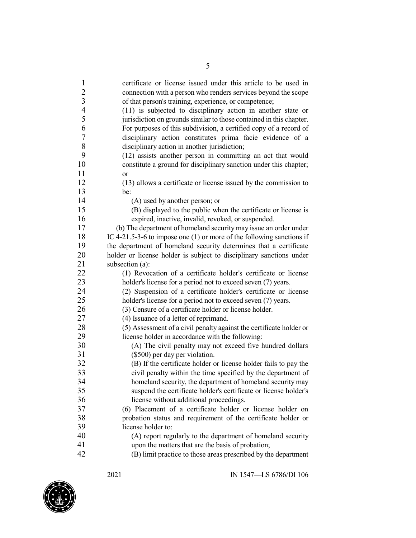| $\mathbf{1}$             | certificate or license issued under this article to be used in                                                                                                                                                                                                                                                                                                                                                                   |
|--------------------------|----------------------------------------------------------------------------------------------------------------------------------------------------------------------------------------------------------------------------------------------------------------------------------------------------------------------------------------------------------------------------------------------------------------------------------|
| $\overline{2}$           | connection with a person who renders services beyond the scope                                                                                                                                                                                                                                                                                                                                                                   |
| 3                        | of that person's training, experience, or competence;                                                                                                                                                                                                                                                                                                                                                                            |
| $\overline{\mathcal{A}}$ | (11) is subjected to disciplinary action in another state or                                                                                                                                                                                                                                                                                                                                                                     |
| 5                        | jurisdiction on grounds similar to those contained in this chapter.                                                                                                                                                                                                                                                                                                                                                              |
| 6                        | For purposes of this subdivision, a certified copy of a record of                                                                                                                                                                                                                                                                                                                                                                |
| 7                        | disciplinary action constitutes prima facie evidence of a                                                                                                                                                                                                                                                                                                                                                                        |
| 8                        | disciplinary action in another jurisdiction;                                                                                                                                                                                                                                                                                                                                                                                     |
| 9                        | (12) assists another person in committing an act that would                                                                                                                                                                                                                                                                                                                                                                      |
| 10                       | constitute a ground for disciplinary sanction under this chapter;                                                                                                                                                                                                                                                                                                                                                                |
| 11                       | <sub>or</sub>                                                                                                                                                                                                                                                                                                                                                                                                                    |
| 12                       | (13) allows a certificate or license issued by the commission to                                                                                                                                                                                                                                                                                                                                                                 |
| 13                       | be:                                                                                                                                                                                                                                                                                                                                                                                                                              |
| 14                       | (A) used by another person; or                                                                                                                                                                                                                                                                                                                                                                                                   |
| 15                       | (B) displayed to the public when the certificate or license is                                                                                                                                                                                                                                                                                                                                                                   |
| 16                       | expired, inactive, invalid, revoked, or suspended.                                                                                                                                                                                                                                                                                                                                                                               |
| 17                       | (b) The department of homeland security may issue an order under                                                                                                                                                                                                                                                                                                                                                                 |
| 18                       | IC 4-21.5-3-6 to impose one (1) or more of the following sanctions if                                                                                                                                                                                                                                                                                                                                                            |
| 19                       | the department of homeland security determines that a certificate                                                                                                                                                                                                                                                                                                                                                                |
| 20                       | holder or license holder is subject to disciplinary sanctions under                                                                                                                                                                                                                                                                                                                                                              |
| 21                       | subsection (a):                                                                                                                                                                                                                                                                                                                                                                                                                  |
| 22                       | (1) Revocation of a certificate holder's certificate or license                                                                                                                                                                                                                                                                                                                                                                  |
| 23                       | holder's license for a period not to exceed seven (7) years.                                                                                                                                                                                                                                                                                                                                                                     |
| 24                       | (2) Suspension of a certificate holder's certificate or license                                                                                                                                                                                                                                                                                                                                                                  |
| 25                       | holder's license for a period not to exceed seven (7) years.                                                                                                                                                                                                                                                                                                                                                                     |
| 26                       | (3) Censure of a certificate holder or license holder.                                                                                                                                                                                                                                                                                                                                                                           |
| 27                       | (4) Issuance of a letter of reprimand.                                                                                                                                                                                                                                                                                                                                                                                           |
| 28                       | (5) Assessment of a civil penalty against the certificate holder or                                                                                                                                                                                                                                                                                                                                                              |
| 29                       | license holder in accordance with the following:                                                                                                                                                                                                                                                                                                                                                                                 |
| 30                       | (A) The civil penalty may not exceed five hundred dollars                                                                                                                                                                                                                                                                                                                                                                        |
| 31                       | (\$500) per day per violation.                                                                                                                                                                                                                                                                                                                                                                                                   |
| 32                       | (B) If the certificate holder or license holder fails to pay the                                                                                                                                                                                                                                                                                                                                                                 |
| 33                       | civil penalty within the time specified by the department of                                                                                                                                                                                                                                                                                                                                                                     |
| 34                       | homeland security, the department of homeland security may                                                                                                                                                                                                                                                                                                                                                                       |
| 35                       |                                                                                                                                                                                                                                                                                                                                                                                                                                  |
|                          |                                                                                                                                                                                                                                                                                                                                                                                                                                  |
|                          |                                                                                                                                                                                                                                                                                                                                                                                                                                  |
|                          |                                                                                                                                                                                                                                                                                                                                                                                                                                  |
| 39                       | license holder to:                                                                                                                                                                                                                                                                                                                                                                                                               |
|                          |                                                                                                                                                                                                                                                                                                                                                                                                                                  |
| 41                       |                                                                                                                                                                                                                                                                                                                                                                                                                                  |
| 42                       |                                                                                                                                                                                                                                                                                                                                                                                                                                  |
| 36<br>37<br>38<br>40     | suspend the certificate holder's certificate or license holder's<br>license without additional proceedings.<br>(6) Placement of a certificate holder or license holder on<br>probation status and requirement of the certificate holder or<br>(A) report regularly to the department of homeland security<br>upon the matters that are the basis of probation;<br>(B) limit practice to those areas prescribed by the department |

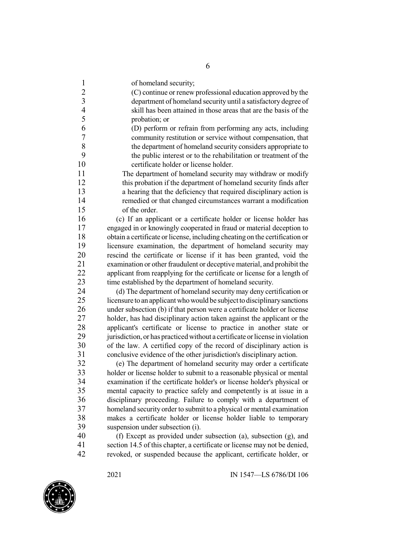of homeland security;

 (C) continue or renew professional education approved by the department of homeland security until a satisfactory degree of skill has been attained in those areas that are the basis of the probation; or

 (D) perform or refrain from performing any acts, including 7 community restitution or service without compensation, that<br>8 the department of homeland security considers appropriate to 8 the department of homeland security considers appropriate to<br>9 the public interest or to the rehabilitation or treatment of the the public interest or to the rehabilitation or treatment of the certificate holder or license holder.

 The department of homeland security may withdraw or modify this probation if the department of homeland security finds after a hearing that the deficiency that required disciplinary action is remedied or that changed circumstances warrant a modification of the order.

 (c) If an applicant or a certificate holder or license holder has engaged in or knowingly cooperated in fraud or material deception to 18 obtain a certificate or license, including cheating on the certification or licensure examination, the department of homeland security may rescind the certificate or license if it has been granted, void the 21 examination or other fraudulent or deceptive material, and prohibit the<br>22 applicant from reapplying for the certificate or license for a length of applicant from reapplying for the certificate or license for a length of time established by the department of homeland security.

 (d) The department of homeland security may deny certification or 25 licensure to an applicant who would be subject to disciplinary sanctions under subsection (b) if that person were a certificate holder or license 27 holder, has had disciplinary action taken against the applicant or the 28 applicant's certificate or license to practice in another state or license in violation<br>29 iunisdiction or has practiced without a certificate or license in violation jurisdiction, or has practiced without a certificate or license in violation of the law. A certified copy of the record of disciplinary action is conclusive evidence of the other jurisdiction's disciplinary action.

 (e) The department of homeland security may order a certificate 33 holder or license holder to submit to a reasonable physical or mental<br>34 examination if the certificate holder's or license holder's physical or 34 examination if the certificate holder's or license holder's physical or<br>35 mental capacity to practice safely and competently is at issue in a mental capacity to practice safely and competently is at issue in a disciplinary proceeding. Failure to comply with a department of homeland security order to submit to a physical or mental examination 38 makes a certificate holder or license holder liable to temporary<br>39 suspension under subsection (i). suspension under subsection (i).

 (f) Except as provided under subsection (a), subsection (g), and section 14.5 of this chapter, a certificate or license may not be denied, revoked, or suspended because the applicant, certificate holder, or

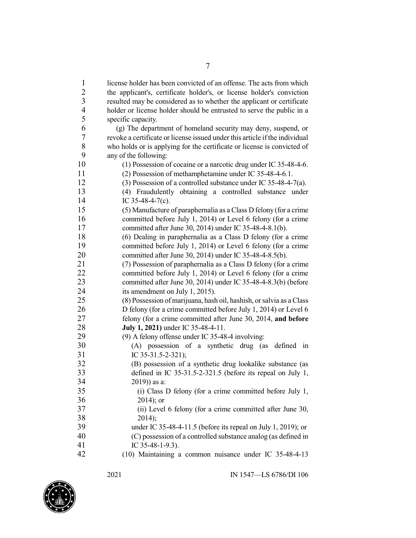license holder has been convicted of an offense. The acts from which the applicant's, certificate holder's, or license holder's conviction resulted may be considered as to whether the applicant or certificate holder or license holder should be entrusted to serve the public in a specific capacity. (g) The department of homeland security may deny, suspend, or revoke a certificate or license issued under this article if the individual 8 who holds or is applying for the certificate or license is convicted of any of the following: any of the following: (1) Possession of cocaine or a narcotic drug under IC 35-48-4-6. (2) Possession of methamphetamine under IC 35-48-4-6.1. (3) Possession of a controlled substance under IC 35-48-4-7(a). (4) Fraudulently obtaining a controlled substance under 14 IC 35-48-4-7(c). (5) Manufacture of paraphernalia as a Class D felony (for a crime committed before July 1, 2014) or Level 6 felony (for a crime committed after June 30, 2014) under IC 35-48-4-8.1(b). (6) Dealing in paraphernalia as a Class D felony (for a crime committed before July 1, 2014) or Level 6 felony (for a crime committed after June 30, 2014) under IC 35-48-4-8.5(b). (7) Possession of paraphernalia as a Class D felony (for a crime committed before July 1, 2014) or Level 6 felony (for a crime committed after June 30, 2014) under IC 35-48-4-8.3(b) (before its amendment on July 1, 2015). (8) Possession ofmarijuana, hash oil, hashish, orsalvia as a Class 26 D felony (for a crime committed before July 1, 2014) or Level 6 felony (for a crime committed after June 30, 2014, **and before July 1, 2021)** under IC 35-48-4-11. (9) A felony offense under IC 35-48-4 involving: (A) possession of a synthetic drug (as defined in IC 35-31.5-2-321); (B) possession of a synthetic drug lookalike substance (as defined in IC 35-31.5-2-321.5 (before its repeal on July 1, 2019)) as a: (i) Class D felony (for a crime committed before July 1, 2014); or (ii) Level 6 felony (for a crime committed after June 30, 2014); under IC 35-48-4-11.5 (before its repeal on July 1, 2019); or (C) possession of a controlled substance analog (as defined in IC 35-48-1-9.3). (10) Maintaining a common nuisance under IC 35-48-4-13

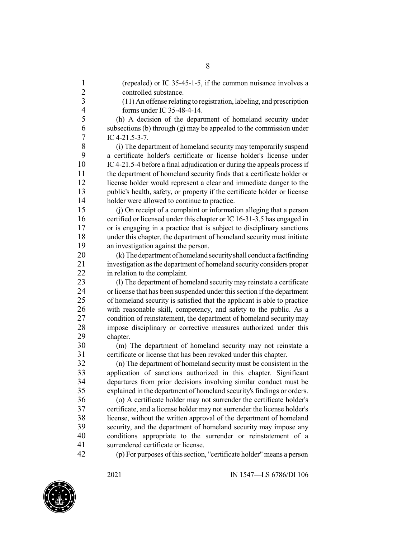1 (repealed) or IC 35-45-1-5, if the common nuisance involves a 2 controlled substance. 3 (11) An offense relating to registration, labeling, and prescription 4 forms under IC 35-48-4-14. 5 (h) A decision of the department of homeland security under<br>6 subsections (b) through (g) may be appealed to the commission under subsections (b) through  $(g)$  may be appealed to the commission under 7 IC 4-21.5-3-7.<br>8 (i) The depart 8 (i) The department of homeland security may temporarily suspend<br>9 a certificate holder's certificate or license holder's license under 9 a certificate holder's certificate or license holder's license under<br>10 IC 4-21.5-4 before a final adjudication or during the appeals process if IC4-21.5-4 before a final adjudication or during the appeals process if 11 the department of homeland security finds that a certificate holder or 12 license holder would represent a clear and immediate danger to the 13 public's health, safety, or property if the certificate holder or license 14 holder were allowed to continue to practice. 15 (j) On receipt of a complaint or information alleging that a person 16 certified or licensed under this chapter or IC 16-31-3.5 has engaged in 17 or is engaging in a practice that is subject to disciplinary sanctions 18 under this chapter, the department of homeland security must initiate 19 an investigation against the person. 20 (k)The department of homeland securityshall conduct a factfinding 21 investigation as the department of homeland security considers proper<br>22 in relation to the complaint. in relation to the complaint. 23 (l) The department of homeland security may reinstate a certificate 24 or license that has been suspended under thissection if the department 25 of homeland security is satisfied that the applicant is able to practice 26 with reasonable skill, competency, and safety to the public. As a 27 condition of reinstatement, the department of homeland security may 28 impose disciplinary or corrective measures authorized under this chanter. 29 chapter.<br>30 (m) (m) The department of homeland security may not reinstate a 31 certificate or license that has been revoked under this chapter. 32 (n) The department of homeland security must be consistent in the 33 application of sanctions authorized in this chapter. Significant departures from prior decisions involving similar conduct must be 34 departures from prior decisions involving similar conduct must be explained in the department of homeland security's findings or orders. explained in the department of homeland security's findings or orders. 36 (o) A certificate holder may not surrender the certificate holder's 37 certificate, and a license holder may not surrender the license holder's 38 license, without the written approval of the department of homeland<br>39 security, and the department of homeland security may impose any security, and the department of homeland security may impose any 40 conditions appropriate to the surrender or reinstatement of a 41 surrendered certificate or license. 42 (p) For purposes of thissection, "certificate holder"means a person

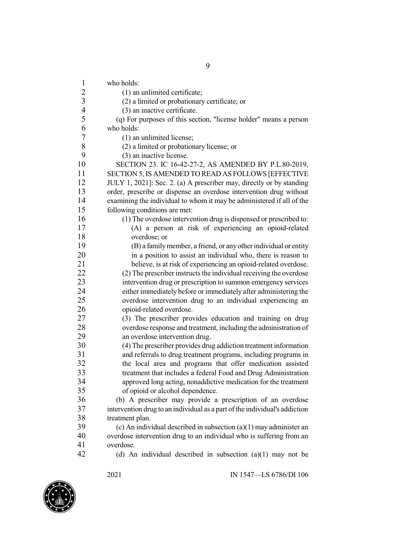who holds: 2 (1) an unlimited certificate; (2) a limited or probationary certificate; or (3) an inactive certificate. (q) For purposes of this section, "license holder" means a person who holds: (1) an unlimited license;<br>8 (2) a limited or probation 8 (2) a limited or probationary license; or  $(3)$  an inactive license 9 (3) an inactive license.<br>10 SECTION 23. IC 16-42-SECTION 23. IC 16-42-27-2, AS AMENDED BY P.L.80-2019, SECTION 5, IS AMENDED TO READ AS FOLLOWS [EFFECTIVE JULY 1, 2021]: Sec. 2. (a) A prescriber may, directly or by standing order, prescribe or dispense an overdose intervention drug without examining the individual to whom it may be administered if all of the following conditions are met: (1) The overdose intervention drug is dispensed or prescribed to: (A) a person at risk of experiencing an opioid-related overdose; or (B) a familymember, a friend, or anyotherindividual or entity 20 in a position to assist an individual who, there is reason to believe, is at risk of experiencing an opioid-related overdose. 22 (2) The prescriber instructs the individual receiving the overdose intervention drug or prescription to summon emergency services either immediately before or immediately after administering the overdose intervention drug to an individual experiencing an opioid-related overdose. (3) The prescriber provides education and training on drug 28 overdose response and treatment, including the administration of<br>29 an overdose intervention drug. an overdose intervention drug. (4) The prescriber provides drug addiction treatment information and referrals to drug treatment programs, including programs in the local area and programs that offer medication assisted 33 treatment that includes a federal Food and Drug Administration<br>34 approved long acting, nonaddictive medication for the treatment 34 approved long acting, nonaddictive medication for the treatment<br>35 of opioid or alcohol dependence. of opioid or alcohol dependence. (b) A prescriber may provide a prescription of an overdose intervention drug to an individual as a part ofthe individual's addiction 38 treatment plan.<br>39 (c) An individual  $\alpha$ ) An individual described in subsection  $\alpha$ )(1) may administer an overdose intervention drug to an individual who is suffering from an overdose. (d) An individual described in subsection (a)(1) may not be

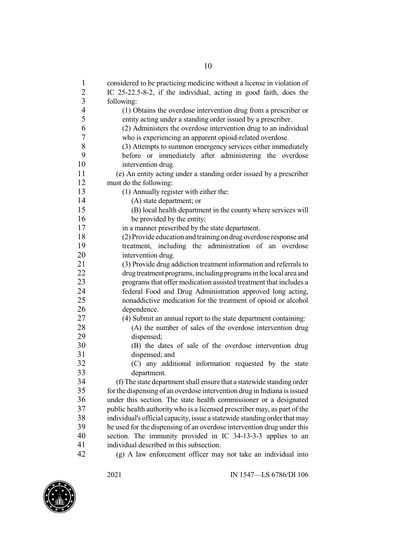| 2<br>IC 25-22.5-8-2, if the individual, acting in good faith, does the<br>$\mathfrak{Z}$<br>following:<br>$\overline{4}$<br>(1) Obtains the overdose intervention drug from a prescriber or<br>5<br>entity acting under a standing order issued by a prescriber.<br>6<br>(2) Administers the overdose intervention drug to an individual<br>7<br>who is experiencing an apparent opioid-related overdose.<br>8<br>(3) Attempts to summon emergency services either immediately<br>9<br>before or immediately after administering the overdose<br>10<br>intervention drug.<br>11<br>(e) An entity acting under a standing order issued by a prescriber<br>12<br>must do the following:<br>13<br>(1) Annually register with either the:<br>14<br>(A) state department; or<br>15<br>(B) local health department in the county where services will<br>16<br>be provided by the entity;<br>17<br>in a manner prescribed by the state department.<br>18<br>(2) Provide education and training on drug overdose response and<br>19<br>treatment, including the administration of an overdose<br>20<br>intervention drug.<br>21<br>(3) Provide drug addiction treatment information and referrals to<br>22<br>drug treatment programs, including programs in the local area and<br>23<br>programs that offer medication assisted treatment that includes a<br>24<br>federal Food and Drug Administration approved long acting,<br>25<br>nonaddictive medication for the treatment of opioid or alcohol<br>26<br>dependence.<br>27<br>(4) Submit an annual report to the state department containing:<br>28<br>(A) the number of sales of the overdose intervention drug<br>29<br>dispensed;<br>30<br>(B) the dates of sale of the overdose intervention drug<br>31<br>dispensed; and<br>32<br>(C) any additional information requested by the state<br>33<br>department.<br>34<br>(f) The state department shall ensure that a statewide standing order<br>35<br>for the dispensing of an overdose intervention drug in Indiana is issued<br>36<br>under this section. The state health commissioner or a designated<br>37<br>public health authority who is a licensed prescriber may, as part of the<br>38<br>individual's official capacity, issue a statewide standing order that may<br>39<br>be used for the dispensing of an overdose intervention drug under this | $\mathbf{1}$ | considered to be practicing medicine without a license in violation of |
|-------------------------------------------------------------------------------------------------------------------------------------------------------------------------------------------------------------------------------------------------------------------------------------------------------------------------------------------------------------------------------------------------------------------------------------------------------------------------------------------------------------------------------------------------------------------------------------------------------------------------------------------------------------------------------------------------------------------------------------------------------------------------------------------------------------------------------------------------------------------------------------------------------------------------------------------------------------------------------------------------------------------------------------------------------------------------------------------------------------------------------------------------------------------------------------------------------------------------------------------------------------------------------------------------------------------------------------------------------------------------------------------------------------------------------------------------------------------------------------------------------------------------------------------------------------------------------------------------------------------------------------------------------------------------------------------------------------------------------------------------------------------------------------------------------------------------------------------------------------------------------------------------------------------------------------------------------------------------------------------------------------------------------------------------------------------------------------------------------------------------------------------------------------------------------------------------------------------------------------------------------------------------------------------------------------------------------------------------------------------|--------------|------------------------------------------------------------------------|
|                                                                                                                                                                                                                                                                                                                                                                                                                                                                                                                                                                                                                                                                                                                                                                                                                                                                                                                                                                                                                                                                                                                                                                                                                                                                                                                                                                                                                                                                                                                                                                                                                                                                                                                                                                                                                                                                                                                                                                                                                                                                                                                                                                                                                                                                                                                                                                   |              |                                                                        |
|                                                                                                                                                                                                                                                                                                                                                                                                                                                                                                                                                                                                                                                                                                                                                                                                                                                                                                                                                                                                                                                                                                                                                                                                                                                                                                                                                                                                                                                                                                                                                                                                                                                                                                                                                                                                                                                                                                                                                                                                                                                                                                                                                                                                                                                                                                                                                                   |              |                                                                        |
|                                                                                                                                                                                                                                                                                                                                                                                                                                                                                                                                                                                                                                                                                                                                                                                                                                                                                                                                                                                                                                                                                                                                                                                                                                                                                                                                                                                                                                                                                                                                                                                                                                                                                                                                                                                                                                                                                                                                                                                                                                                                                                                                                                                                                                                                                                                                                                   |              |                                                                        |
|                                                                                                                                                                                                                                                                                                                                                                                                                                                                                                                                                                                                                                                                                                                                                                                                                                                                                                                                                                                                                                                                                                                                                                                                                                                                                                                                                                                                                                                                                                                                                                                                                                                                                                                                                                                                                                                                                                                                                                                                                                                                                                                                                                                                                                                                                                                                                                   |              |                                                                        |
|                                                                                                                                                                                                                                                                                                                                                                                                                                                                                                                                                                                                                                                                                                                                                                                                                                                                                                                                                                                                                                                                                                                                                                                                                                                                                                                                                                                                                                                                                                                                                                                                                                                                                                                                                                                                                                                                                                                                                                                                                                                                                                                                                                                                                                                                                                                                                                   |              |                                                                        |
|                                                                                                                                                                                                                                                                                                                                                                                                                                                                                                                                                                                                                                                                                                                                                                                                                                                                                                                                                                                                                                                                                                                                                                                                                                                                                                                                                                                                                                                                                                                                                                                                                                                                                                                                                                                                                                                                                                                                                                                                                                                                                                                                                                                                                                                                                                                                                                   |              |                                                                        |
|                                                                                                                                                                                                                                                                                                                                                                                                                                                                                                                                                                                                                                                                                                                                                                                                                                                                                                                                                                                                                                                                                                                                                                                                                                                                                                                                                                                                                                                                                                                                                                                                                                                                                                                                                                                                                                                                                                                                                                                                                                                                                                                                                                                                                                                                                                                                                                   |              |                                                                        |
|                                                                                                                                                                                                                                                                                                                                                                                                                                                                                                                                                                                                                                                                                                                                                                                                                                                                                                                                                                                                                                                                                                                                                                                                                                                                                                                                                                                                                                                                                                                                                                                                                                                                                                                                                                                                                                                                                                                                                                                                                                                                                                                                                                                                                                                                                                                                                                   |              |                                                                        |
|                                                                                                                                                                                                                                                                                                                                                                                                                                                                                                                                                                                                                                                                                                                                                                                                                                                                                                                                                                                                                                                                                                                                                                                                                                                                                                                                                                                                                                                                                                                                                                                                                                                                                                                                                                                                                                                                                                                                                                                                                                                                                                                                                                                                                                                                                                                                                                   |              |                                                                        |
|                                                                                                                                                                                                                                                                                                                                                                                                                                                                                                                                                                                                                                                                                                                                                                                                                                                                                                                                                                                                                                                                                                                                                                                                                                                                                                                                                                                                                                                                                                                                                                                                                                                                                                                                                                                                                                                                                                                                                                                                                                                                                                                                                                                                                                                                                                                                                                   |              |                                                                        |
|                                                                                                                                                                                                                                                                                                                                                                                                                                                                                                                                                                                                                                                                                                                                                                                                                                                                                                                                                                                                                                                                                                                                                                                                                                                                                                                                                                                                                                                                                                                                                                                                                                                                                                                                                                                                                                                                                                                                                                                                                                                                                                                                                                                                                                                                                                                                                                   |              |                                                                        |
|                                                                                                                                                                                                                                                                                                                                                                                                                                                                                                                                                                                                                                                                                                                                                                                                                                                                                                                                                                                                                                                                                                                                                                                                                                                                                                                                                                                                                                                                                                                                                                                                                                                                                                                                                                                                                                                                                                                                                                                                                                                                                                                                                                                                                                                                                                                                                                   |              |                                                                        |
|                                                                                                                                                                                                                                                                                                                                                                                                                                                                                                                                                                                                                                                                                                                                                                                                                                                                                                                                                                                                                                                                                                                                                                                                                                                                                                                                                                                                                                                                                                                                                                                                                                                                                                                                                                                                                                                                                                                                                                                                                                                                                                                                                                                                                                                                                                                                                                   |              |                                                                        |
|                                                                                                                                                                                                                                                                                                                                                                                                                                                                                                                                                                                                                                                                                                                                                                                                                                                                                                                                                                                                                                                                                                                                                                                                                                                                                                                                                                                                                                                                                                                                                                                                                                                                                                                                                                                                                                                                                                                                                                                                                                                                                                                                                                                                                                                                                                                                                                   |              |                                                                        |
|                                                                                                                                                                                                                                                                                                                                                                                                                                                                                                                                                                                                                                                                                                                                                                                                                                                                                                                                                                                                                                                                                                                                                                                                                                                                                                                                                                                                                                                                                                                                                                                                                                                                                                                                                                                                                                                                                                                                                                                                                                                                                                                                                                                                                                                                                                                                                                   |              |                                                                        |
|                                                                                                                                                                                                                                                                                                                                                                                                                                                                                                                                                                                                                                                                                                                                                                                                                                                                                                                                                                                                                                                                                                                                                                                                                                                                                                                                                                                                                                                                                                                                                                                                                                                                                                                                                                                                                                                                                                                                                                                                                                                                                                                                                                                                                                                                                                                                                                   |              |                                                                        |
|                                                                                                                                                                                                                                                                                                                                                                                                                                                                                                                                                                                                                                                                                                                                                                                                                                                                                                                                                                                                                                                                                                                                                                                                                                                                                                                                                                                                                                                                                                                                                                                                                                                                                                                                                                                                                                                                                                                                                                                                                                                                                                                                                                                                                                                                                                                                                                   |              |                                                                        |
|                                                                                                                                                                                                                                                                                                                                                                                                                                                                                                                                                                                                                                                                                                                                                                                                                                                                                                                                                                                                                                                                                                                                                                                                                                                                                                                                                                                                                                                                                                                                                                                                                                                                                                                                                                                                                                                                                                                                                                                                                                                                                                                                                                                                                                                                                                                                                                   |              |                                                                        |
|                                                                                                                                                                                                                                                                                                                                                                                                                                                                                                                                                                                                                                                                                                                                                                                                                                                                                                                                                                                                                                                                                                                                                                                                                                                                                                                                                                                                                                                                                                                                                                                                                                                                                                                                                                                                                                                                                                                                                                                                                                                                                                                                                                                                                                                                                                                                                                   |              |                                                                        |
|                                                                                                                                                                                                                                                                                                                                                                                                                                                                                                                                                                                                                                                                                                                                                                                                                                                                                                                                                                                                                                                                                                                                                                                                                                                                                                                                                                                                                                                                                                                                                                                                                                                                                                                                                                                                                                                                                                                                                                                                                                                                                                                                                                                                                                                                                                                                                                   |              |                                                                        |
|                                                                                                                                                                                                                                                                                                                                                                                                                                                                                                                                                                                                                                                                                                                                                                                                                                                                                                                                                                                                                                                                                                                                                                                                                                                                                                                                                                                                                                                                                                                                                                                                                                                                                                                                                                                                                                                                                                                                                                                                                                                                                                                                                                                                                                                                                                                                                                   |              |                                                                        |
|                                                                                                                                                                                                                                                                                                                                                                                                                                                                                                                                                                                                                                                                                                                                                                                                                                                                                                                                                                                                                                                                                                                                                                                                                                                                                                                                                                                                                                                                                                                                                                                                                                                                                                                                                                                                                                                                                                                                                                                                                                                                                                                                                                                                                                                                                                                                                                   |              |                                                                        |
|                                                                                                                                                                                                                                                                                                                                                                                                                                                                                                                                                                                                                                                                                                                                                                                                                                                                                                                                                                                                                                                                                                                                                                                                                                                                                                                                                                                                                                                                                                                                                                                                                                                                                                                                                                                                                                                                                                                                                                                                                                                                                                                                                                                                                                                                                                                                                                   |              |                                                                        |
|                                                                                                                                                                                                                                                                                                                                                                                                                                                                                                                                                                                                                                                                                                                                                                                                                                                                                                                                                                                                                                                                                                                                                                                                                                                                                                                                                                                                                                                                                                                                                                                                                                                                                                                                                                                                                                                                                                                                                                                                                                                                                                                                                                                                                                                                                                                                                                   |              |                                                                        |
|                                                                                                                                                                                                                                                                                                                                                                                                                                                                                                                                                                                                                                                                                                                                                                                                                                                                                                                                                                                                                                                                                                                                                                                                                                                                                                                                                                                                                                                                                                                                                                                                                                                                                                                                                                                                                                                                                                                                                                                                                                                                                                                                                                                                                                                                                                                                                                   |              |                                                                        |
|                                                                                                                                                                                                                                                                                                                                                                                                                                                                                                                                                                                                                                                                                                                                                                                                                                                                                                                                                                                                                                                                                                                                                                                                                                                                                                                                                                                                                                                                                                                                                                                                                                                                                                                                                                                                                                                                                                                                                                                                                                                                                                                                                                                                                                                                                                                                                                   |              |                                                                        |
|                                                                                                                                                                                                                                                                                                                                                                                                                                                                                                                                                                                                                                                                                                                                                                                                                                                                                                                                                                                                                                                                                                                                                                                                                                                                                                                                                                                                                                                                                                                                                                                                                                                                                                                                                                                                                                                                                                                                                                                                                                                                                                                                                                                                                                                                                                                                                                   |              |                                                                        |
|                                                                                                                                                                                                                                                                                                                                                                                                                                                                                                                                                                                                                                                                                                                                                                                                                                                                                                                                                                                                                                                                                                                                                                                                                                                                                                                                                                                                                                                                                                                                                                                                                                                                                                                                                                                                                                                                                                                                                                                                                                                                                                                                                                                                                                                                                                                                                                   |              |                                                                        |
|                                                                                                                                                                                                                                                                                                                                                                                                                                                                                                                                                                                                                                                                                                                                                                                                                                                                                                                                                                                                                                                                                                                                                                                                                                                                                                                                                                                                                                                                                                                                                                                                                                                                                                                                                                                                                                                                                                                                                                                                                                                                                                                                                                                                                                                                                                                                                                   |              |                                                                        |
|                                                                                                                                                                                                                                                                                                                                                                                                                                                                                                                                                                                                                                                                                                                                                                                                                                                                                                                                                                                                                                                                                                                                                                                                                                                                                                                                                                                                                                                                                                                                                                                                                                                                                                                                                                                                                                                                                                                                                                                                                                                                                                                                                                                                                                                                                                                                                                   |              |                                                                        |
|                                                                                                                                                                                                                                                                                                                                                                                                                                                                                                                                                                                                                                                                                                                                                                                                                                                                                                                                                                                                                                                                                                                                                                                                                                                                                                                                                                                                                                                                                                                                                                                                                                                                                                                                                                                                                                                                                                                                                                                                                                                                                                                                                                                                                                                                                                                                                                   |              |                                                                        |
|                                                                                                                                                                                                                                                                                                                                                                                                                                                                                                                                                                                                                                                                                                                                                                                                                                                                                                                                                                                                                                                                                                                                                                                                                                                                                                                                                                                                                                                                                                                                                                                                                                                                                                                                                                                                                                                                                                                                                                                                                                                                                                                                                                                                                                                                                                                                                                   |              |                                                                        |
|                                                                                                                                                                                                                                                                                                                                                                                                                                                                                                                                                                                                                                                                                                                                                                                                                                                                                                                                                                                                                                                                                                                                                                                                                                                                                                                                                                                                                                                                                                                                                                                                                                                                                                                                                                                                                                                                                                                                                                                                                                                                                                                                                                                                                                                                                                                                                                   |              |                                                                        |
|                                                                                                                                                                                                                                                                                                                                                                                                                                                                                                                                                                                                                                                                                                                                                                                                                                                                                                                                                                                                                                                                                                                                                                                                                                                                                                                                                                                                                                                                                                                                                                                                                                                                                                                                                                                                                                                                                                                                                                                                                                                                                                                                                                                                                                                                                                                                                                   |              |                                                                        |
|                                                                                                                                                                                                                                                                                                                                                                                                                                                                                                                                                                                                                                                                                                                                                                                                                                                                                                                                                                                                                                                                                                                                                                                                                                                                                                                                                                                                                                                                                                                                                                                                                                                                                                                                                                                                                                                                                                                                                                                                                                                                                                                                                                                                                                                                                                                                                                   |              |                                                                        |
|                                                                                                                                                                                                                                                                                                                                                                                                                                                                                                                                                                                                                                                                                                                                                                                                                                                                                                                                                                                                                                                                                                                                                                                                                                                                                                                                                                                                                                                                                                                                                                                                                                                                                                                                                                                                                                                                                                                                                                                                                                                                                                                                                                                                                                                                                                                                                                   |              |                                                                        |
|                                                                                                                                                                                                                                                                                                                                                                                                                                                                                                                                                                                                                                                                                                                                                                                                                                                                                                                                                                                                                                                                                                                                                                                                                                                                                                                                                                                                                                                                                                                                                                                                                                                                                                                                                                                                                                                                                                                                                                                                                                                                                                                                                                                                                                                                                                                                                                   |              |                                                                        |
|                                                                                                                                                                                                                                                                                                                                                                                                                                                                                                                                                                                                                                                                                                                                                                                                                                                                                                                                                                                                                                                                                                                                                                                                                                                                                                                                                                                                                                                                                                                                                                                                                                                                                                                                                                                                                                                                                                                                                                                                                                                                                                                                                                                                                                                                                                                                                                   |              |                                                                        |
|                                                                                                                                                                                                                                                                                                                                                                                                                                                                                                                                                                                                                                                                                                                                                                                                                                                                                                                                                                                                                                                                                                                                                                                                                                                                                                                                                                                                                                                                                                                                                                                                                                                                                                                                                                                                                                                                                                                                                                                                                                                                                                                                                                                                                                                                                                                                                                   | 40           | section. The immunity provided in IC 34-13-3-3 applies to an           |
| 41<br>individual described in this subsection.                                                                                                                                                                                                                                                                                                                                                                                                                                                                                                                                                                                                                                                                                                                                                                                                                                                                                                                                                                                                                                                                                                                                                                                                                                                                                                                                                                                                                                                                                                                                                                                                                                                                                                                                                                                                                                                                                                                                                                                                                                                                                                                                                                                                                                                                                                                    |              |                                                                        |
| 42<br>(g) A law enforcement officer may not take an individual into                                                                                                                                                                                                                                                                                                                                                                                                                                                                                                                                                                                                                                                                                                                                                                                                                                                                                                                                                                                                                                                                                                                                                                                                                                                                                                                                                                                                                                                                                                                                                                                                                                                                                                                                                                                                                                                                                                                                                                                                                                                                                                                                                                                                                                                                                               |              |                                                                        |

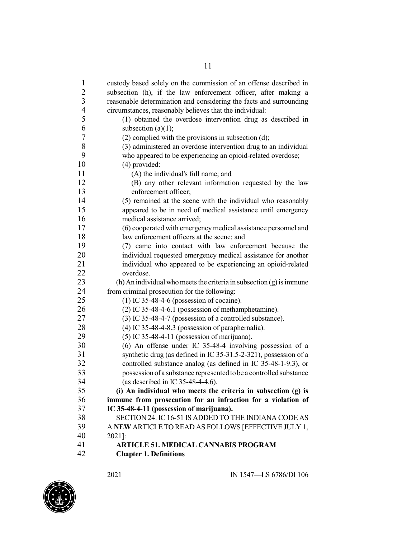| $\mathbf{1}$   | custody based solely on the commission of an offense described in      |
|----------------|------------------------------------------------------------------------|
| $\overline{2}$ | subsection (h), if the law enforcement officer, after making a         |
| $\mathfrak{Z}$ | reasonable determination and considering the facts and surrounding     |
| $\overline{4}$ | circumstances, reasonably believes that the individual:                |
| 5              | (1) obtained the overdose intervention drug as described in            |
| 6              | subsection $(a)(1)$ ;                                                  |
| 7              | $(2)$ complied with the provisions in subsection $(d)$ ;               |
| 8              | (3) administered an overdose intervention drug to an individual        |
| 9              | who appeared to be experiencing an opioid-related overdose;            |
| 10             | (4) provided:                                                          |
| 11             | (A) the individual's full name; and                                    |
| 12             | (B) any other relevant information requested by the law                |
| 13             | enforcement officer;                                                   |
| 14             | (5) remained at the scene with the individual who reasonably           |
| 15             | appeared to be in need of medical assistance until emergency           |
| 16             | medical assistance arrived;                                            |
| 17             | (6) cooperated with emergency medical assistance personnel and         |
| 18             | law enforcement officers at the scene; and                             |
| 19             | (7) came into contact with law enforcement because the                 |
| 20             | individual requested emergency medical assistance for another          |
| 21             | individual who appeared to be experiencing an opioid-related           |
| 22             | overdose.                                                              |
| 23             | (h) An individual who meets the criteria in subsection $(g)$ is immune |
| 24             | from criminal prosecution for the following:                           |
| 25             | $(1)$ IC 35-48-4-6 (possession of cocaine).                            |
| 26             | (2) IC 35-48-4-6.1 (possession of methamphetamine).                    |
| 27             | (3) IC 35-48-4-7 (possession of a controlled substance).               |
| 28             | (4) IC 35-48-4-8.3 (possession of paraphernalia).                      |
| 29             | $(5)$ IC 35-48-4-11 (possession of marijuana).                         |
| 30             | $(6)$ An offense under IC 35-48-4 involving possession of a            |
| 31             | synthetic drug (as defined in IC 35-31.5-2-321), possession of a       |
| 32             | controlled substance analog (as defined in IC 35-48-1-9.3), or         |
| 33             | possession of a substance represented to be a controlled substance     |
| 34             | (as described in IC 35-48-4-4.6).                                      |
| 35             | (i) An individual who meets the criteria in subsection (g) is          |
| 36             | immune from prosecution for an infraction for a violation of           |
| 37             | IC 35-48-4-11 (possession of marijuana).                               |
| 38             | SECTION 24. IC 16-51 IS ADDED TO THE INDIANA CODE AS                   |
| 39             | A NEW ARTICLE TO READ AS FOLLOWS [EFFECTIVE JULY 1,                    |
| 40             | 2021]:                                                                 |
| 41             | <b>ARTICLE 51. MEDICAL CANNABIS PROGRAM</b>                            |
| 42             | <b>Chapter 1. Definitions</b>                                          |

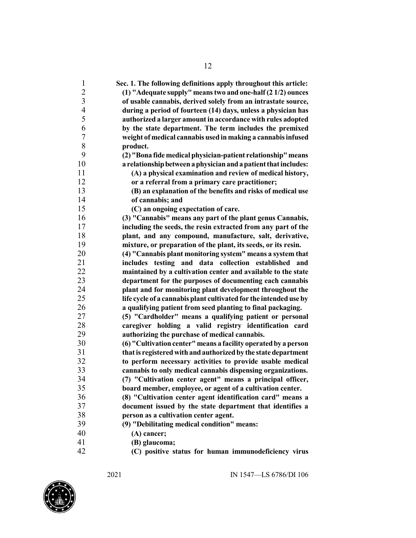| $\mathbf{1}$   | Sec. 1. The following definitions apply throughout this article:  |
|----------------|-------------------------------------------------------------------|
| $\overline{c}$ | (1) "Adequate supply" means two and one-half (2 1/2) ounces       |
| 3              | of usable cannabis, derived solely from an intrastate source,     |
| $\overline{4}$ | during a period of fourteen (14) days, unless a physician has     |
| 5              | authorized a larger amount in accordance with rules adopted       |
| 6              | by the state department. The term includes the premixed           |
| 7              | weight of medical cannabis used in making a cannabis infused      |
| 8              | product.                                                          |
| 9              | (2) "Bona fide medical physician-patient relationship" means      |
| 10             | a relationship between a physician and a patient that includes:   |
| 11             | (A) a physical examination and review of medical history,         |
| 12             | or a referral from a primary care practitioner;                   |
| 13             | (B) an explanation of the benefits and risks of medical use       |
| 14             | of cannabis; and                                                  |
| 15             | (C) an ongoing expectation of care.                               |
| 16             | (3) "Cannabis" means any part of the plant genus Cannabis,        |
| 17             | including the seeds, the resin extracted from any part of the     |
| 18             | plant, and any compound, manufacture, salt, derivative,           |
| 19             | mixture, or preparation of the plant, its seeds, or its resin.    |
| 20             | (4) "Cannabis plant monitoring system" means a system that        |
| 21             | includes testing and data collection established and              |
| 22             | maintained by a cultivation center and available to the state     |
| 23             | department for the purposes of documenting each cannabis          |
| 24             | plant and for monitoring plant development throughout the         |
| 25             | life cycle of a cannabis plant cultivated for the intended use by |
| 26             | a qualifying patient from seed planting to final packaging.       |
| 27             | (5) "Cardholder" means a qualifying patient or personal           |
| 28             | caregiver holding a valid registry identification card            |
| 29             | authorizing the purchase of medical cannabis.                     |
| 30             | (6) "Cultivation center" means a facility operated by a person    |
| 31             | that is registered with and authorized by the state department    |
| 32             | to perform necessary activities to provide usable medical         |
| 33             | cannabis to only medical cannabis dispensing organizations.       |
| 34             | (7) "Cultivation center agent" means a principal officer,         |
| 35             | board member, employee, or agent of a cultivation center.         |
| 36             | (8) "Cultivation center agent identification card" means a        |
| 37             | document issued by the state department that identifies a         |
| 38             | person as a cultivation center agent.                             |
| 39             | (9) "Debilitating medical condition" means:                       |
| 40             | (A) cancer;                                                       |
| 41             | (B) glaucoma;                                                     |
| $\Delta$       | (C) positive status for human immunodeficiency virus              |

**(C) positive status for human immunodeficiency virus**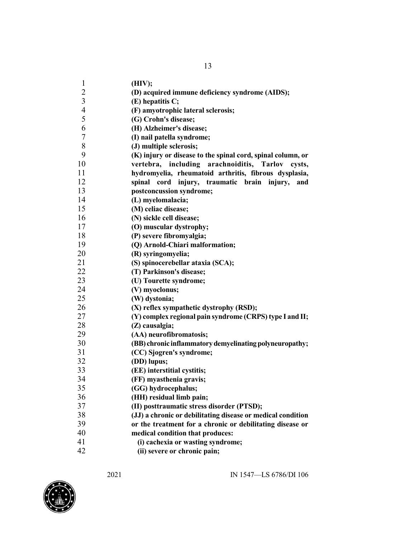| $\mathbf{1}$<br>(HIV);                                         |                                                             |
|----------------------------------------------------------------|-------------------------------------------------------------|
| $\overline{c}$                                                 | (D) acquired immune deficiency syndrome (AIDS);             |
| $\mathfrak{Z}$<br>(E) hepatitis C;                             |                                                             |
| $\overline{\mathcal{A}}$<br>(F) amyotrophic lateral sclerosis; |                                                             |
| 5<br>(G) Crohn's disease;                                      |                                                             |
| 6<br>(H) Alzheimer's disease;                                  |                                                             |
| 7<br>(I) nail patella syndrome;                                |                                                             |
| $8\,$<br>(J) multiple sclerosis;                               |                                                             |
| 9                                                              | (K) injury or disease to the spinal cord, spinal column, or |
| 10                                                             | vertebra, including arachnoiditis, Tarlov<br>cysts,         |
| 11                                                             | hydromyelia, rheumatoid arthritis, fibrous dysplasia,       |
| 12<br>cord<br>spinal                                           | injury, traumatic<br>brain<br>injury,<br>and                |
| 13<br>postconcussion syndrome;                                 |                                                             |
| 14<br>(L) myelomalacia;                                        |                                                             |
| 15<br>(M) celiac disease;                                      |                                                             |
| 16<br>(N) sickle cell disease;                                 |                                                             |
| 17<br>(O) muscular dystrophy;                                  |                                                             |
| 18<br>(P) severe fibromyalgia;                                 |                                                             |
| 19<br>(Q) Arnold-Chiari malformation;                          |                                                             |
| 20<br>(R) syringomyelia;                                       |                                                             |
| 21<br>(S) spinocerebellar ataxia (SCA);                        |                                                             |
| 22<br>(T) Parkinson's disease;                                 |                                                             |
| 23<br>(U) Tourette syndrome;                                   |                                                             |
| 24<br>(V) myoclonus;                                           |                                                             |
| 25<br>(W) dystonia;                                            |                                                             |
| 26<br>(X) reflex sympathetic dystrophy (RSD);                  |                                                             |
| 27                                                             | (Y) complex regional pain syndrome (CRPS) type I and II;    |
| 28<br>(Z) causalgia;                                           |                                                             |
| 29<br>(AA) neurofibromatosis;                                  |                                                             |
| 30                                                             | (BB) chronic inflammatory demyelinating polyneuropathy;     |
| 31<br>(CC) Sjogren's syndrome;                                 |                                                             |
| 32<br>(DD) lupus;                                              |                                                             |
| 33<br>(EE) interstitial cystitis;                              |                                                             |
| 34<br>(FF) myasthenia gravis;                                  |                                                             |
| 35<br>(GG) hydrocephalus;                                      |                                                             |
| 36<br>(HH) residual limb pain;                                 |                                                             |
| 37<br>(II) posttraumatic stress disorder (PTSD);               |                                                             |
| 38                                                             | (JJ) a chronic or debilitating disease or medical condition |
| 39                                                             | or the treatment for a chronic or debilitating disease or   |
| 40<br>medical condition that produces:                         |                                                             |
| 41<br>(i) cachexia or wasting syndrome;                        |                                                             |
|                                                                |                                                             |

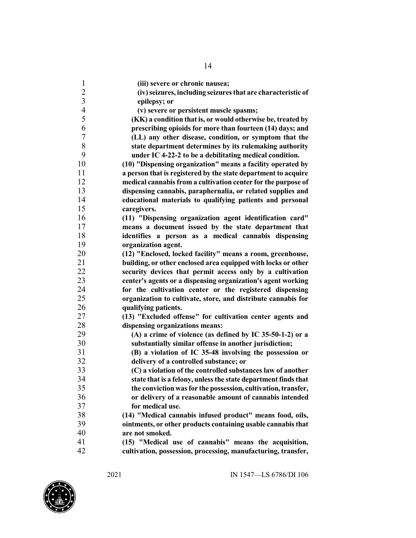| $\mathbf{1}$   | (iii) severe or chronic nausea;                                |
|----------------|----------------------------------------------------------------|
| $\overline{c}$ | (iv) seizures, including seizures that are characteristic of   |
| $\overline{3}$ | epilepsy; or                                                   |
| $\overline{4}$ | (v) severe or persistent muscle spasms;                        |
| 5              | (KK) a condition that is, or would otherwise be, treated by    |
| 6              | prescribing opioids for more than fourteen (14) days; and      |
| $\overline{7}$ | (LL) any other disease, condition, or symptom that the         |
| $\,8\,$        | state department determines by its rulemaking authority        |
| 9              | under IC 4-22-2 to be a debilitating medical condition.        |
| 10             | (10) "Dispensing organization" means a facility operated by    |
| 11             | a person that is registered by the state department to acquire |
| 12             | medical cannabis from a cultivation center for the purpose of  |
| 13             | dispensing cannabis, paraphernalia, or related supplies and    |
| 14             | educational materials to qualifying patients and personal      |
| 15             | caregivers.                                                    |
| 16             | (11) "Dispensing organization agent identification card"       |
| 17             | means a document issued by the state department that           |
| 18             | identifies a person as a medical cannabis dispensing           |
| 19             | organization agent.                                            |
| 20             | (12) "Enclosed, locked facility" means a room, greenhouse,     |
| 21             | building, or other enclosed area equipped with locks or other  |
| 22             | security devices that permit access only by a cultivation      |
| 23             | center's agents or a dispensing organization's agent working   |
| 24             | for the cultivation center or the registered dispensing        |
| 25             | organization to cultivate, store, and distribute cannabis for  |
| 26             | qualifying patients.                                           |
| 27             | (13) "Excluded offense" for cultivation center agents and      |
| 28             | dispensing organizations means:                                |
| 29             | (A) a crime of violence (as defined by IC 35-50-1-2) or a      |
| 30             | substantially similar offense in another jurisdiction;         |
| 31             | (B) a violation of IC 35-48 involving the possession or        |
| 32             | delivery of a controlled substance; or                         |
| 33             | (C) a violation of the controlled substances law of another    |
| 34             | state that is a felony, unless the state department finds that |
| 35             | the conviction was for the possession, cultivation, transfer,  |
| 36             | or delivery of a reasonable amount of cannabis intended        |
| 37             | for medical use.                                               |
| 38             | (14) "Medical cannabis infused product" means food, oils,      |
| 39             | ointments, or other products containing usable cannabis that   |
| 40             | are not smoked.                                                |
| 41             | (15) "Medical use of cannabis" means the acquisition,          |
| 42             | cultivation, possession, processing, manufacturing, transfer,  |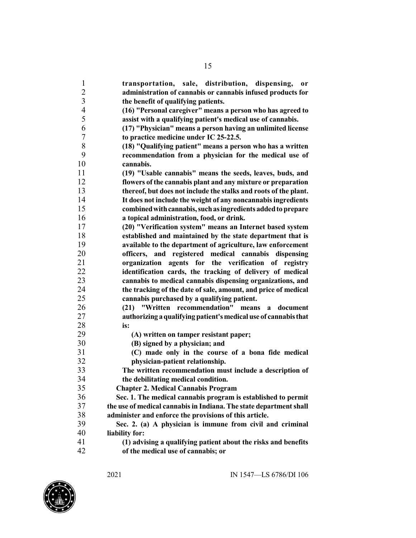**transportation, sale, distribution, dispensing, or administration of cannabis or cannabis infused products for the benefit of qualifying patients. (16) "Personal caregiver" means a person who has agreed to assist with a qualifying patient's medical use of cannabis. (17) "Physician" means a person having an unlimited license to practice medicine under IC 25-22.5. (18) "Qualifying patient" means a person who has a written recommendation from a physician for the medical use of cannabis. (19) "Usable cannabis" means the seeds, leaves, buds, and flowers ofthe cannabis plant and any mixture or preparation thereof, but does not include the stalks and roots of the plant. It does not include the weight of any noncannabisingredients combinedwithcannabis,suchasingredients addedtoprepare a topical administration, food, or drink. (20) "Verification system" means an Internet based system established and maintained by the state department that is available to the department of agriculture, law enforcement officers, and registered medical cannabis dispensing organization agents for the verification of registry identification cards, the tracking of delivery of medical cannabis to medical cannabis dispensing organizations, and the tracking of the date of sale, amount, and price of medical cannabis purchased by a qualifying patient. (21) "Written recommendation" means a document authorizing aqualifyingpatient'smedicaluse of cannabisthat is: (A) written on tamper resistant paper; (B) signed by a physician; and (C) made only in the course of a bona fide medical physician-patient relationship. The written recommendation must include a description of the debilitating medical condition. Chapter 2. Medical Cannabis Program Sec. 1. The medical cannabis program is established to permit the use of medical cannabisin Indiana. The state departmentshall administer and enforce the provisions of this article. Sec. 2. (a) A physician is immune from civil and criminal liability for: (1) advising a qualifying patient about the risks and benefits of the medical use of cannabis; or**

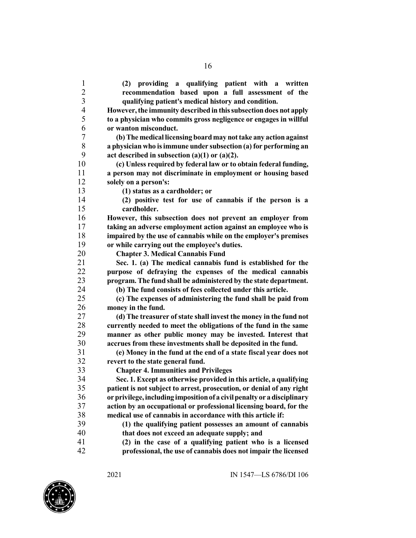**(2) providing a qualifying patient with a written recommendation based upon a full assessment of the qualifying patient's medical history and condition. However,the immunity described in thissubsectiondoes not apply to a physician who commits gross negligence or engages in willful or wanton misconduct. (b)The medical licensing boardmay nottake any action against a physician who isimmune under subsection (a) for performing an act described in subsection (a)(1) or (a)(2). (c) Unless required by federal law or to obtain federal funding, a person may not discriminate in employment or housing based solely on a person's: (1) status as a cardholder; or (2) positive test for use of cannabis if the person is a cardholder. However, this subsection does not prevent an employer from taking an adverse employment action against an employee who is impaired by the use of cannabis while on the employer's premises or while carrying out the employee's duties. Chapter 3. Medical Cannabis Fund Sec. 1. (a) The medical cannabis fund is established for the purpose of defraying the expenses of the medical cannabis program. The fund shall be administered by the state department. (b) The fund consists of fees collected under this article. (c) The expenses of administering the fund shall be paid from money in the fund. (d) The treasurer of state shall invest the money in the fund not currently needed to meet the obligations of the fund in the same manner as other public money may be invested. Interest that accrues from these investments shall be deposited in the fund. (e) Money in the fund at the end of a state fiscal year does not revert to the state general fund. Chapter 4. Immunities and Privileges Sec. 1. Except as otherwise provided in this article, a qualifying patient is not subject to arrest, prosecution, or denial of any right orprivilege,including impositionof a civilpenalty or adisciplinary action by an occupational or professional licensing board, for the medical use of cannabis in accordance with this article if: (1) the qualifying patient possesses an amount of cannabis that does not exceed an adequate supply; and (2) in the case of a qualifying patient who is a licensed professional, the use of cannabis does not impair the licensed**

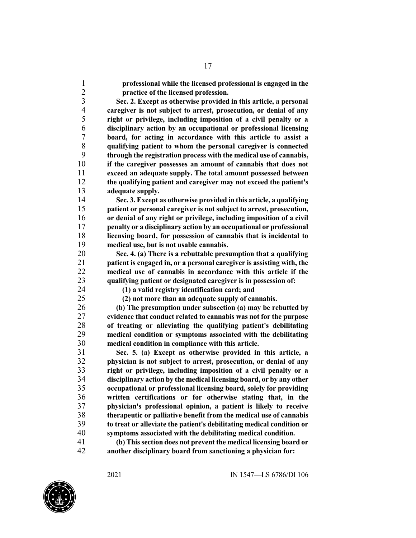**professional while the licensed professional is engaged in the practice of the licensed profession.**

 **Sec. 2. Except as otherwise provided in this article, a personal caregiver is not subject to arrest, prosecution, or denial of any right or privilege, including imposition of a civil penalty or a disciplinary action by an occupational or professional licensing board, for acting in accordance with this article to assist a qualifying patient to whom the personal caregiver is connected through the registration process with the medical use of cannabis, if the caregiver possesses an amount of cannabis that does not exceed an adequate supply. The total amount possessed between the qualifying patient and caregiver may not exceed the patient's adequate supply.**

 **Sec. 3. Except as otherwise provided in this article, a qualifying patient or personal caregiver is not subject to arrest, prosecution, or denial of any right or privilege, including imposition of a civil penalty or a disciplinary action by an occupational or professional licensing board, for possession of cannabis that is incidental to medical use, but is not usable cannabis.**

 **Sec. 4. (a) There is a rebuttable presumption that a qualifying patient is engaged in, or a personal caregiver is assisting with, the medical use of cannabis in accordance with this article if the qualifying patient or designated caregiver is in possession of:**

**(1) a valid registry identification card; and**

**(2) not more than an adequate supply of cannabis.**

 **(b) The presumption under subsection (a) may be rebutted by evidence that conduct related to cannabis was not for the purpose of treating or alleviating the qualifying patient's debilitating medical condition or symptoms associated with the debilitating medical condition in compliance with this article.**

 **Sec. 5. (a) Except as otherwise provided in this article, a physician is not subject to arrest, prosecution, or denial of any right or privilege, including imposition of a civil penalty or a disciplinary action by the medical licensing board, or by any other occupational or professional licensing board, solely for providing written certifications or for otherwise stating that, in the physician's professional opinion, a patient is likely to receive therapeutic or palliative benefit from the medical use of cannabis to treat or alleviate the patient's debilitating medical condition or symptoms associated with the debilitating medical condition.**

 **(b) Thissection does not prevent the medical licensing board or another disciplinary board from sanctioning a physician for:**

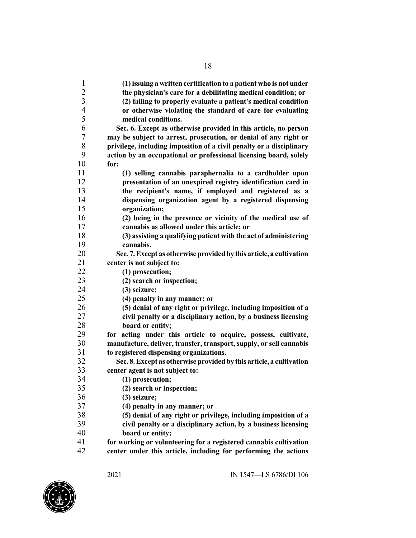| $\mathbf{1}$<br>$\overline{c}$ | (1) issuing a written certification to a patient who is not under                                         |
|--------------------------------|-----------------------------------------------------------------------------------------------------------|
| $\overline{\mathbf{3}}$        | the physician's care for a debilitating medical condition; or                                             |
| $\overline{4}$                 | (2) failing to properly evaluate a patient's medical condition                                            |
| 5                              | or otherwise violating the standard of care for evaluating                                                |
|                                | medical conditions.                                                                                       |
| 6                              | Sec. 6. Except as otherwise provided in this article, no person                                           |
| 7                              | may be subject to arrest, prosecution, or denial of any right or                                          |
| 8<br>9                         | privilege, including imposition of a civil penalty or a disciplinary                                      |
| 10                             | action by an occupational or professional licensing board, solely                                         |
| 11                             | for:                                                                                                      |
| 12                             | (1) selling cannabis paraphernalia to a cardholder upon                                                   |
| 13                             | presentation of an unexpired registry identification card in                                              |
| 14                             | the recipient's name, if employed and registered as a                                                     |
| 15                             | dispensing organization agent by a registered dispensing<br>organization;                                 |
| 16                             |                                                                                                           |
| 17                             | (2) being in the presence or vicinity of the medical use of<br>cannabis as allowed under this article; or |
| 18                             |                                                                                                           |
| 19                             | (3) assisting a qualifying patient with the act of administering<br>cannabis.                             |
| 20                             | Sec. 7. Except as otherwise provided by this article, a cultivation                                       |
| 21                             | center is not subject to:                                                                                 |
| 22                             | (1) prosecution;                                                                                          |
| 23                             | (2) search or inspection;                                                                                 |
| 24                             | $(3)$ seizure;                                                                                            |
| 25                             | (4) penalty in any manner; or                                                                             |
| 26                             | (5) denial of any right or privilege, including imposition of a                                           |
| 27                             | civil penalty or a disciplinary action, by a business licensing                                           |
| 28                             | board or entity;                                                                                          |
| 29                             | for acting under this article to acquire, possess, cultivate,                                             |
| 30                             | manufacture, deliver, transfer, transport, supply, or sell cannabis                                       |
| 31                             | to registered dispensing organizations.                                                                   |
| 32                             | Sec. 8. Except as otherwise provided by this article, a cultivation                                       |
| 33                             | center agent is not subject to:                                                                           |
| 34                             | (1) prosecution;                                                                                          |
| 35                             | (2) search or inspection;                                                                                 |
| 36                             | $(3)$ seizure;                                                                                            |
| 37                             | (4) penalty in any manner; or                                                                             |
| 38                             | (5) denial of any right or privilege, including imposition of a                                           |
| 39                             | civil penalty or a disciplinary action, by a business licensing                                           |
| 40                             | board or entity;                                                                                          |
| 41                             | for working or volunteering for a registered cannabis cultivation                                         |
| 42                             | center under this article, including for performing the actions                                           |
|                                |                                                                                                           |

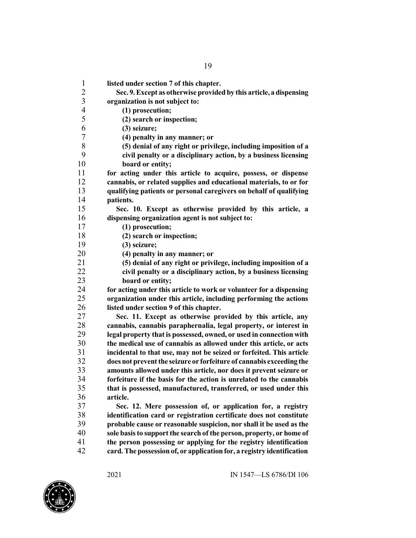| 1              | listed under section 7 of this chapter.                                                                                                                                                          |
|----------------|--------------------------------------------------------------------------------------------------------------------------------------------------------------------------------------------------|
| $\overline{c}$ | Sec. 9. Except as otherwise provided by this article, a dispensing                                                                                                                               |
| $\mathfrak{Z}$ | organization is not subject to:                                                                                                                                                                  |
| $\overline{4}$ | (1) prosecution;                                                                                                                                                                                 |
| 5              | (2) search or inspection;                                                                                                                                                                        |
| 6              | (3) seizure;                                                                                                                                                                                     |
| 7              | (4) penalty in any manner; or                                                                                                                                                                    |
| $8\,$          | (5) denial of any right or privilege, including imposition of a                                                                                                                                  |
| 9              | civil penalty or a disciplinary action, by a business licensing                                                                                                                                  |
| 10             | board or entity;                                                                                                                                                                                 |
| 11             | for acting under this article to acquire, possess, or dispense                                                                                                                                   |
| 12             | cannabis, or related supplies and educational materials, to or for                                                                                                                               |
| 13             | qualifying patients or personal caregivers on behalf of qualifying                                                                                                                               |
| 14             | patients.                                                                                                                                                                                        |
| 15             | Sec. 10. Except as otherwise provided by this article, a                                                                                                                                         |
| 16             | dispensing organization agent is not subject to:                                                                                                                                                 |
| 17             | (1) prosecution;                                                                                                                                                                                 |
| 18             | (2) search or inspection;                                                                                                                                                                        |
| 19             | $(3)$ seizure;                                                                                                                                                                                   |
| 20             | (4) penalty in any manner; or                                                                                                                                                                    |
| 21             | (5) denial of any right or privilege, including imposition of a                                                                                                                                  |
| 22             | civil penalty or a disciplinary action, by a business licensing                                                                                                                                  |
| 23             | board or entity;                                                                                                                                                                                 |
| 24             | for acting under this article to work or volunteer for a dispensing                                                                                                                              |
| 25             | organization under this article, including performing the actions                                                                                                                                |
| 26             | listed under section 9 of this chapter.                                                                                                                                                          |
| 27             | Sec. 11. Except as otherwise provided by this article, any                                                                                                                                       |
| 28             | cannabis, cannabis paraphernalia, legal property, or interest in                                                                                                                                 |
| 29             | legal property that is possessed, owned, or used in connection with                                                                                                                              |
| 30             | the medical use of cannabis as allowed under this article, or acts                                                                                                                               |
| 31             | incidental to that use, may not be seized or forfeited. This article                                                                                                                             |
| 32             | does not prevent the seizure or forfeiture of cannabis exceeding the                                                                                                                             |
| 33             | amounts allowed under this article, nor does it prevent seizure or                                                                                                                               |
| 34             | forfeiture if the basis for the action is unrelated to the cannabis                                                                                                                              |
| 35             | that is possessed, manufactured, transferred, or used under this                                                                                                                                 |
| 36             | article.                                                                                                                                                                                         |
| 37             | Sec. 12. Mere possession of, or application for, a registry                                                                                                                                      |
| 38             | identification card or registration certificate does not constitute                                                                                                                              |
| 39             | probable cause or reasonable suspicion, nor shall it be used as the                                                                                                                              |
| 40             | sole basis to support the search of the person, property, or home of                                                                                                                             |
| 41<br>$\Delta$ | the person possessing or applying for the registry identification<br>$\mathbf{J}$ TPL concerns the set of concerns $\mathbf{E}$ and $\mathbf{f}$ are $\mathbf{f}$ and $\mathbf{f}$ are constants |
|                |                                                                                                                                                                                                  |

**card.The possession of, or applicationfor, a registry identification**

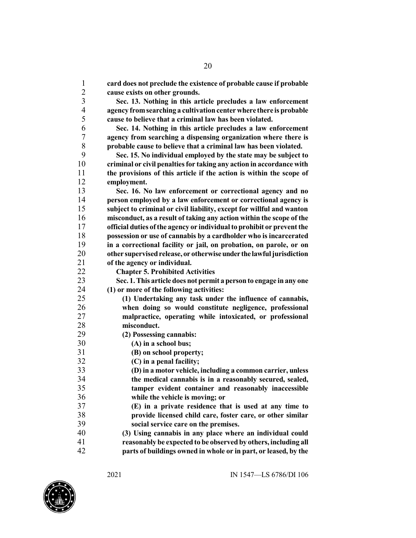| 1                       | card does not preclude the existence of probable cause if probable     |
|-------------------------|------------------------------------------------------------------------|
| $\overline{c}$          | cause exists on other grounds.                                         |
| $\overline{\mathbf{3}}$ | Sec. 13. Nothing in this article precludes a law enforcement           |
| $\overline{4}$          | agency from searching a cultivation center where there is probable     |
| 5                       | cause to believe that a criminal law has been violated.                |
| 6                       | Sec. 14. Nothing in this article precludes a law enforcement           |
| $\boldsymbol{7}$        | agency from searching a dispensing organization where there is         |
| $\,$ $\,$               | probable cause to believe that a criminal law has been violated.       |
| 9                       | Sec. 15. No individual employed by the state may be subject to         |
| 10                      | criminal or civil penalties for taking any action in accordance with   |
| 11                      | the provisions of this article if the action is within the scope of    |
| 12                      | employment.                                                            |
| 13                      | Sec. 16. No law enforcement or correctional agency and no              |
| 14                      | person employed by a law enforcement or correctional agency is         |
| 15                      | subject to criminal or civil liability, except for willful and wanton  |
| 16                      | misconduct, as a result of taking any action within the scope of the   |
| 17                      | official duties of the agency or individual to prohibit or prevent the |
| 18                      | possession or use of cannabis by a cardholder who is incarcerated      |
| 19                      | in a correctional facility or jail, on probation, on parole, or on     |
| 20                      | other supervised release, or otherwise under the lawful jurisdiction   |
| 21                      | of the agency or individual.                                           |
| 22                      | <b>Chapter 5. Prohibited Activities</b>                                |
| 23                      | Sec. 1. This article does not permit a person to engage in any one     |
| 24                      | (1) or more of the following activities:                               |
| 25                      | (1) Undertaking any task under the influence of cannabis,              |
| 26                      | when doing so would constitute negligence, professional                |
| 27                      | malpractice, operating while intoxicated, or professional              |
| 28                      | misconduct.                                                            |
| 29                      | (2) Possessing cannabis:                                               |
| 30                      | (A) in a school bus;                                                   |
| 31                      | (B) on school property;                                                |
| 32                      | (C) in a penal facility;                                               |
| 33                      | (D) in a motor vehicle, including a common carrier, unless             |
| 34                      | the medical cannabis is in a reasonably secured, sealed,               |
| 35                      | tamper evident container and reasonably inaccessible                   |
| 36                      | while the vehicle is moving; or                                        |
| 37                      | (E) in a private residence that is used at any time to                 |
| 38                      | provide licensed child care, foster care, or other similar             |
| 39<br>40                | social service care on the premises.                                   |
| 41                      | (3) Using cannabis in any place where an individual could              |
| 42                      | reasonably be expected to be observed by others, including all         |
|                         | parts of buildings owned in whole or in part, or leased, by the        |

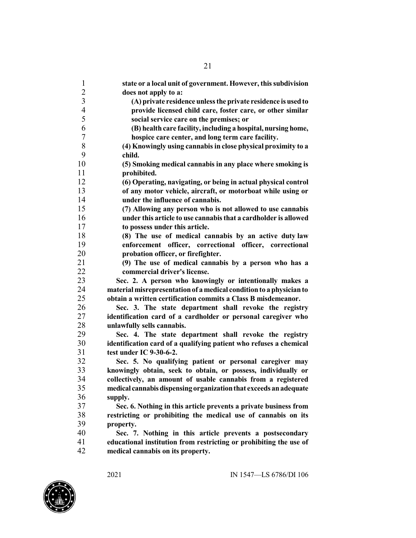| $\mathbf{1}$<br>state or a local unit of government. However, this subdivision<br>$\overline{c}$<br>does not apply to a:<br>$\overline{\mathbf{3}}$<br>(A) private residence unless the private residence is used to<br>$\overline{\mathcal{L}}$<br>provide licensed child care, foster care, or other similar<br>5<br>social service care on the premises; or<br>6<br>(B) health care facility, including a hospital, nursing home,<br>$\tau$<br>hospice care center, and long term care facility.<br>8<br>(4) Knowingly using cannabis in close physical proximity to a<br>9<br>child.<br>10<br>(5) Smoking medical cannabis in any place where smoking is<br>11<br>prohibited.<br>12<br>(6) Operating, navigating, or being in actual physical control<br>13<br>of any motor vehicle, aircraft, or motorboat while using or<br>14<br>under the influence of cannabis.<br>15<br>(7) Allowing any person who is not allowed to use cannabis<br>16<br>under this article to use cannabis that a cardholder is allowed<br>17<br>to possess under this article.<br>18<br>(8) The use of medical cannabis by an active duty law<br>19<br>enforcement officer, correctional officer, correctional<br>20<br>probation officer, or firefighter.<br>21<br>(9) The use of medical cannabis by a person who has a<br>22<br>commercial driver's license.<br>23<br>Sec. 2. A person who knowingly or intentionally makes a<br>24<br>material misrepresentation of a medical condition to a physician to<br>25<br>obtain a written certification commits a Class B misdemeanor.<br>26<br>Sec. 3. The state department shall revoke the registry<br>27<br>identification card of a cardholder or personal caregiver who<br>28<br>unlawfully sells cannabis.<br>29<br>Sec. 4. The state department shall revoke the registry<br>30<br>identification card of a qualifying patient who refuses a chemical<br>31<br>test under IC 9-30-6-2.<br>32<br>Sec. 5. No qualifying patient or personal caregiver may<br>33<br>knowingly obtain, seek to obtain, or possess, individually or<br>34<br>collectively, an amount of usable cannabis from a registered<br>35<br>medical cannabis dispensing organization that exceeds an adequate<br>36<br>supply.<br>37<br>Sec. 6. Nothing in this article prevents a private business from<br>38<br>restricting or prohibiting the medical use of cannabis on its<br>39<br>property.<br>40<br>Sec. 7. Nothing in this article prevents a postsecondary<br>41<br>educational institution from restricting or prohibiting the use of<br>42<br>medical cannabis on its property. |  |
|----------------------------------------------------------------------------------------------------------------------------------------------------------------------------------------------------------------------------------------------------------------------------------------------------------------------------------------------------------------------------------------------------------------------------------------------------------------------------------------------------------------------------------------------------------------------------------------------------------------------------------------------------------------------------------------------------------------------------------------------------------------------------------------------------------------------------------------------------------------------------------------------------------------------------------------------------------------------------------------------------------------------------------------------------------------------------------------------------------------------------------------------------------------------------------------------------------------------------------------------------------------------------------------------------------------------------------------------------------------------------------------------------------------------------------------------------------------------------------------------------------------------------------------------------------------------------------------------------------------------------------------------------------------------------------------------------------------------------------------------------------------------------------------------------------------------------------------------------------------------------------------------------------------------------------------------------------------------------------------------------------------------------------------------------------------------------------------------------------------------------------------------------------------------------------------------------------------------------------------------------------------------------------------------------------------------------------------------------------------------------------------------------------------------------------------------------------------------------------------------------------------------------------------------------------------------------------------------------|--|
|                                                                                                                                                                                                                                                                                                                                                                                                                                                                                                                                                                                                                                                                                                                                                                                                                                                                                                                                                                                                                                                                                                                                                                                                                                                                                                                                                                                                                                                                                                                                                                                                                                                                                                                                                                                                                                                                                                                                                                                                                                                                                                                                                                                                                                                                                                                                                                                                                                                                                                                                                                                                    |  |
|                                                                                                                                                                                                                                                                                                                                                                                                                                                                                                                                                                                                                                                                                                                                                                                                                                                                                                                                                                                                                                                                                                                                                                                                                                                                                                                                                                                                                                                                                                                                                                                                                                                                                                                                                                                                                                                                                                                                                                                                                                                                                                                                                                                                                                                                                                                                                                                                                                                                                                                                                                                                    |  |
|                                                                                                                                                                                                                                                                                                                                                                                                                                                                                                                                                                                                                                                                                                                                                                                                                                                                                                                                                                                                                                                                                                                                                                                                                                                                                                                                                                                                                                                                                                                                                                                                                                                                                                                                                                                                                                                                                                                                                                                                                                                                                                                                                                                                                                                                                                                                                                                                                                                                                                                                                                                                    |  |
|                                                                                                                                                                                                                                                                                                                                                                                                                                                                                                                                                                                                                                                                                                                                                                                                                                                                                                                                                                                                                                                                                                                                                                                                                                                                                                                                                                                                                                                                                                                                                                                                                                                                                                                                                                                                                                                                                                                                                                                                                                                                                                                                                                                                                                                                                                                                                                                                                                                                                                                                                                                                    |  |
|                                                                                                                                                                                                                                                                                                                                                                                                                                                                                                                                                                                                                                                                                                                                                                                                                                                                                                                                                                                                                                                                                                                                                                                                                                                                                                                                                                                                                                                                                                                                                                                                                                                                                                                                                                                                                                                                                                                                                                                                                                                                                                                                                                                                                                                                                                                                                                                                                                                                                                                                                                                                    |  |
|                                                                                                                                                                                                                                                                                                                                                                                                                                                                                                                                                                                                                                                                                                                                                                                                                                                                                                                                                                                                                                                                                                                                                                                                                                                                                                                                                                                                                                                                                                                                                                                                                                                                                                                                                                                                                                                                                                                                                                                                                                                                                                                                                                                                                                                                                                                                                                                                                                                                                                                                                                                                    |  |
|                                                                                                                                                                                                                                                                                                                                                                                                                                                                                                                                                                                                                                                                                                                                                                                                                                                                                                                                                                                                                                                                                                                                                                                                                                                                                                                                                                                                                                                                                                                                                                                                                                                                                                                                                                                                                                                                                                                                                                                                                                                                                                                                                                                                                                                                                                                                                                                                                                                                                                                                                                                                    |  |
|                                                                                                                                                                                                                                                                                                                                                                                                                                                                                                                                                                                                                                                                                                                                                                                                                                                                                                                                                                                                                                                                                                                                                                                                                                                                                                                                                                                                                                                                                                                                                                                                                                                                                                                                                                                                                                                                                                                                                                                                                                                                                                                                                                                                                                                                                                                                                                                                                                                                                                                                                                                                    |  |
|                                                                                                                                                                                                                                                                                                                                                                                                                                                                                                                                                                                                                                                                                                                                                                                                                                                                                                                                                                                                                                                                                                                                                                                                                                                                                                                                                                                                                                                                                                                                                                                                                                                                                                                                                                                                                                                                                                                                                                                                                                                                                                                                                                                                                                                                                                                                                                                                                                                                                                                                                                                                    |  |
|                                                                                                                                                                                                                                                                                                                                                                                                                                                                                                                                                                                                                                                                                                                                                                                                                                                                                                                                                                                                                                                                                                                                                                                                                                                                                                                                                                                                                                                                                                                                                                                                                                                                                                                                                                                                                                                                                                                                                                                                                                                                                                                                                                                                                                                                                                                                                                                                                                                                                                                                                                                                    |  |
|                                                                                                                                                                                                                                                                                                                                                                                                                                                                                                                                                                                                                                                                                                                                                                                                                                                                                                                                                                                                                                                                                                                                                                                                                                                                                                                                                                                                                                                                                                                                                                                                                                                                                                                                                                                                                                                                                                                                                                                                                                                                                                                                                                                                                                                                                                                                                                                                                                                                                                                                                                                                    |  |
|                                                                                                                                                                                                                                                                                                                                                                                                                                                                                                                                                                                                                                                                                                                                                                                                                                                                                                                                                                                                                                                                                                                                                                                                                                                                                                                                                                                                                                                                                                                                                                                                                                                                                                                                                                                                                                                                                                                                                                                                                                                                                                                                                                                                                                                                                                                                                                                                                                                                                                                                                                                                    |  |
|                                                                                                                                                                                                                                                                                                                                                                                                                                                                                                                                                                                                                                                                                                                                                                                                                                                                                                                                                                                                                                                                                                                                                                                                                                                                                                                                                                                                                                                                                                                                                                                                                                                                                                                                                                                                                                                                                                                                                                                                                                                                                                                                                                                                                                                                                                                                                                                                                                                                                                                                                                                                    |  |
|                                                                                                                                                                                                                                                                                                                                                                                                                                                                                                                                                                                                                                                                                                                                                                                                                                                                                                                                                                                                                                                                                                                                                                                                                                                                                                                                                                                                                                                                                                                                                                                                                                                                                                                                                                                                                                                                                                                                                                                                                                                                                                                                                                                                                                                                                                                                                                                                                                                                                                                                                                                                    |  |
|                                                                                                                                                                                                                                                                                                                                                                                                                                                                                                                                                                                                                                                                                                                                                                                                                                                                                                                                                                                                                                                                                                                                                                                                                                                                                                                                                                                                                                                                                                                                                                                                                                                                                                                                                                                                                                                                                                                                                                                                                                                                                                                                                                                                                                                                                                                                                                                                                                                                                                                                                                                                    |  |
|                                                                                                                                                                                                                                                                                                                                                                                                                                                                                                                                                                                                                                                                                                                                                                                                                                                                                                                                                                                                                                                                                                                                                                                                                                                                                                                                                                                                                                                                                                                                                                                                                                                                                                                                                                                                                                                                                                                                                                                                                                                                                                                                                                                                                                                                                                                                                                                                                                                                                                                                                                                                    |  |
|                                                                                                                                                                                                                                                                                                                                                                                                                                                                                                                                                                                                                                                                                                                                                                                                                                                                                                                                                                                                                                                                                                                                                                                                                                                                                                                                                                                                                                                                                                                                                                                                                                                                                                                                                                                                                                                                                                                                                                                                                                                                                                                                                                                                                                                                                                                                                                                                                                                                                                                                                                                                    |  |
|                                                                                                                                                                                                                                                                                                                                                                                                                                                                                                                                                                                                                                                                                                                                                                                                                                                                                                                                                                                                                                                                                                                                                                                                                                                                                                                                                                                                                                                                                                                                                                                                                                                                                                                                                                                                                                                                                                                                                                                                                                                                                                                                                                                                                                                                                                                                                                                                                                                                                                                                                                                                    |  |
|                                                                                                                                                                                                                                                                                                                                                                                                                                                                                                                                                                                                                                                                                                                                                                                                                                                                                                                                                                                                                                                                                                                                                                                                                                                                                                                                                                                                                                                                                                                                                                                                                                                                                                                                                                                                                                                                                                                                                                                                                                                                                                                                                                                                                                                                                                                                                                                                                                                                                                                                                                                                    |  |
|                                                                                                                                                                                                                                                                                                                                                                                                                                                                                                                                                                                                                                                                                                                                                                                                                                                                                                                                                                                                                                                                                                                                                                                                                                                                                                                                                                                                                                                                                                                                                                                                                                                                                                                                                                                                                                                                                                                                                                                                                                                                                                                                                                                                                                                                                                                                                                                                                                                                                                                                                                                                    |  |
|                                                                                                                                                                                                                                                                                                                                                                                                                                                                                                                                                                                                                                                                                                                                                                                                                                                                                                                                                                                                                                                                                                                                                                                                                                                                                                                                                                                                                                                                                                                                                                                                                                                                                                                                                                                                                                                                                                                                                                                                                                                                                                                                                                                                                                                                                                                                                                                                                                                                                                                                                                                                    |  |
|                                                                                                                                                                                                                                                                                                                                                                                                                                                                                                                                                                                                                                                                                                                                                                                                                                                                                                                                                                                                                                                                                                                                                                                                                                                                                                                                                                                                                                                                                                                                                                                                                                                                                                                                                                                                                                                                                                                                                                                                                                                                                                                                                                                                                                                                                                                                                                                                                                                                                                                                                                                                    |  |
|                                                                                                                                                                                                                                                                                                                                                                                                                                                                                                                                                                                                                                                                                                                                                                                                                                                                                                                                                                                                                                                                                                                                                                                                                                                                                                                                                                                                                                                                                                                                                                                                                                                                                                                                                                                                                                                                                                                                                                                                                                                                                                                                                                                                                                                                                                                                                                                                                                                                                                                                                                                                    |  |
|                                                                                                                                                                                                                                                                                                                                                                                                                                                                                                                                                                                                                                                                                                                                                                                                                                                                                                                                                                                                                                                                                                                                                                                                                                                                                                                                                                                                                                                                                                                                                                                                                                                                                                                                                                                                                                                                                                                                                                                                                                                                                                                                                                                                                                                                                                                                                                                                                                                                                                                                                                                                    |  |
|                                                                                                                                                                                                                                                                                                                                                                                                                                                                                                                                                                                                                                                                                                                                                                                                                                                                                                                                                                                                                                                                                                                                                                                                                                                                                                                                                                                                                                                                                                                                                                                                                                                                                                                                                                                                                                                                                                                                                                                                                                                                                                                                                                                                                                                                                                                                                                                                                                                                                                                                                                                                    |  |
|                                                                                                                                                                                                                                                                                                                                                                                                                                                                                                                                                                                                                                                                                                                                                                                                                                                                                                                                                                                                                                                                                                                                                                                                                                                                                                                                                                                                                                                                                                                                                                                                                                                                                                                                                                                                                                                                                                                                                                                                                                                                                                                                                                                                                                                                                                                                                                                                                                                                                                                                                                                                    |  |
|                                                                                                                                                                                                                                                                                                                                                                                                                                                                                                                                                                                                                                                                                                                                                                                                                                                                                                                                                                                                                                                                                                                                                                                                                                                                                                                                                                                                                                                                                                                                                                                                                                                                                                                                                                                                                                                                                                                                                                                                                                                                                                                                                                                                                                                                                                                                                                                                                                                                                                                                                                                                    |  |
|                                                                                                                                                                                                                                                                                                                                                                                                                                                                                                                                                                                                                                                                                                                                                                                                                                                                                                                                                                                                                                                                                                                                                                                                                                                                                                                                                                                                                                                                                                                                                                                                                                                                                                                                                                                                                                                                                                                                                                                                                                                                                                                                                                                                                                                                                                                                                                                                                                                                                                                                                                                                    |  |
|                                                                                                                                                                                                                                                                                                                                                                                                                                                                                                                                                                                                                                                                                                                                                                                                                                                                                                                                                                                                                                                                                                                                                                                                                                                                                                                                                                                                                                                                                                                                                                                                                                                                                                                                                                                                                                                                                                                                                                                                                                                                                                                                                                                                                                                                                                                                                                                                                                                                                                                                                                                                    |  |
|                                                                                                                                                                                                                                                                                                                                                                                                                                                                                                                                                                                                                                                                                                                                                                                                                                                                                                                                                                                                                                                                                                                                                                                                                                                                                                                                                                                                                                                                                                                                                                                                                                                                                                                                                                                                                                                                                                                                                                                                                                                                                                                                                                                                                                                                                                                                                                                                                                                                                                                                                                                                    |  |
|                                                                                                                                                                                                                                                                                                                                                                                                                                                                                                                                                                                                                                                                                                                                                                                                                                                                                                                                                                                                                                                                                                                                                                                                                                                                                                                                                                                                                                                                                                                                                                                                                                                                                                                                                                                                                                                                                                                                                                                                                                                                                                                                                                                                                                                                                                                                                                                                                                                                                                                                                                                                    |  |
|                                                                                                                                                                                                                                                                                                                                                                                                                                                                                                                                                                                                                                                                                                                                                                                                                                                                                                                                                                                                                                                                                                                                                                                                                                                                                                                                                                                                                                                                                                                                                                                                                                                                                                                                                                                                                                                                                                                                                                                                                                                                                                                                                                                                                                                                                                                                                                                                                                                                                                                                                                                                    |  |
|                                                                                                                                                                                                                                                                                                                                                                                                                                                                                                                                                                                                                                                                                                                                                                                                                                                                                                                                                                                                                                                                                                                                                                                                                                                                                                                                                                                                                                                                                                                                                                                                                                                                                                                                                                                                                                                                                                                                                                                                                                                                                                                                                                                                                                                                                                                                                                                                                                                                                                                                                                                                    |  |
|                                                                                                                                                                                                                                                                                                                                                                                                                                                                                                                                                                                                                                                                                                                                                                                                                                                                                                                                                                                                                                                                                                                                                                                                                                                                                                                                                                                                                                                                                                                                                                                                                                                                                                                                                                                                                                                                                                                                                                                                                                                                                                                                                                                                                                                                                                                                                                                                                                                                                                                                                                                                    |  |
|                                                                                                                                                                                                                                                                                                                                                                                                                                                                                                                                                                                                                                                                                                                                                                                                                                                                                                                                                                                                                                                                                                                                                                                                                                                                                                                                                                                                                                                                                                                                                                                                                                                                                                                                                                                                                                                                                                                                                                                                                                                                                                                                                                                                                                                                                                                                                                                                                                                                                                                                                                                                    |  |
|                                                                                                                                                                                                                                                                                                                                                                                                                                                                                                                                                                                                                                                                                                                                                                                                                                                                                                                                                                                                                                                                                                                                                                                                                                                                                                                                                                                                                                                                                                                                                                                                                                                                                                                                                                                                                                                                                                                                                                                                                                                                                                                                                                                                                                                                                                                                                                                                                                                                                                                                                                                                    |  |
|                                                                                                                                                                                                                                                                                                                                                                                                                                                                                                                                                                                                                                                                                                                                                                                                                                                                                                                                                                                                                                                                                                                                                                                                                                                                                                                                                                                                                                                                                                                                                                                                                                                                                                                                                                                                                                                                                                                                                                                                                                                                                                                                                                                                                                                                                                                                                                                                                                                                                                                                                                                                    |  |
|                                                                                                                                                                                                                                                                                                                                                                                                                                                                                                                                                                                                                                                                                                                                                                                                                                                                                                                                                                                                                                                                                                                                                                                                                                                                                                                                                                                                                                                                                                                                                                                                                                                                                                                                                                                                                                                                                                                                                                                                                                                                                                                                                                                                                                                                                                                                                                                                                                                                                                                                                                                                    |  |
|                                                                                                                                                                                                                                                                                                                                                                                                                                                                                                                                                                                                                                                                                                                                                                                                                                                                                                                                                                                                                                                                                                                                                                                                                                                                                                                                                                                                                                                                                                                                                                                                                                                                                                                                                                                                                                                                                                                                                                                                                                                                                                                                                                                                                                                                                                                                                                                                                                                                                                                                                                                                    |  |
|                                                                                                                                                                                                                                                                                                                                                                                                                                                                                                                                                                                                                                                                                                                                                                                                                                                                                                                                                                                                                                                                                                                                                                                                                                                                                                                                                                                                                                                                                                                                                                                                                                                                                                                                                                                                                                                                                                                                                                                                                                                                                                                                                                                                                                                                                                                                                                                                                                                                                                                                                                                                    |  |
|                                                                                                                                                                                                                                                                                                                                                                                                                                                                                                                                                                                                                                                                                                                                                                                                                                                                                                                                                                                                                                                                                                                                                                                                                                                                                                                                                                                                                                                                                                                                                                                                                                                                                                                                                                                                                                                                                                                                                                                                                                                                                                                                                                                                                                                                                                                                                                                                                                                                                                                                                                                                    |  |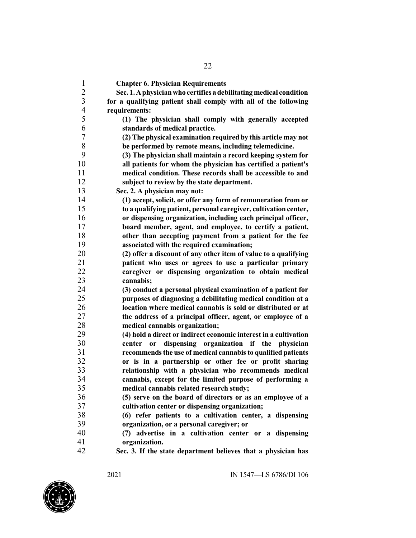| $\mathbf{1}$            | <b>Chapter 6. Physician Requirements</b>                           |
|-------------------------|--------------------------------------------------------------------|
| $\overline{2}$          | Sec. 1. A physician who certifies a debilitating medical condition |
| $\overline{\mathbf{3}}$ | for a qualifying patient shall comply with all of the following    |
| $\overline{4}$          | requirements:                                                      |
| 5                       | (1) The physician shall comply with generally accepted             |
| 6                       | standards of medical practice.                                     |
| $\boldsymbol{7}$        | (2) The physical examination required by this article may not      |
| $8\,$                   | be performed by remote means, including telemedicine.              |
| 9                       | (3) The physician shall maintain a record keeping system for       |
| 10                      | all patients for whom the physician has certified a patient's      |
| 11                      | medical condition. These records shall be accessible to and        |
| 12                      | subject to review by the state department.                         |
| 13                      | Sec. 2. A physician may not:                                       |
| 14                      | (1) accept, solicit, or offer any form of remuneration from or     |
| 15                      | to a qualifying patient, personal caregiver, cultivation center,   |
| 16                      | or dispensing organization, including each principal officer,      |
| 17                      | board member, agent, and employee, to certify a patient,           |
| 18                      | other than accepting payment from a patient for the fee            |
| 19                      | associated with the required examination;                          |
| 20                      | (2) offer a discount of any other item of value to a qualifying    |
| 21                      | patient who uses or agrees to use a particular primary             |
| 22                      | caregiver or dispensing organization to obtain medical             |
| 23                      | cannabis;                                                          |
| 24                      | (3) conduct a personal physical examination of a patient for       |
| 25                      | purposes of diagnosing a debilitating medical condition at a       |
| 26                      | location where medical cannabis is sold or distributed or at       |
| 27                      | the address of a principal officer, agent, or employee of a        |
| 28                      | medical cannabis organization;                                     |
| 29                      | (4) hold a direct or indirect economic interest in a cultivation   |
| 30                      | dispensing organization if the physician<br>center<br>or           |
| 31                      | recommends the use of medical cannabis to qualified patients       |
| 32                      | or is in a partnership or other fee or profit sharing              |
| 33                      | relationship with a physician who recommends medical               |
| 34                      | cannabis, except for the limited purpose of performing a           |
| 35                      | medical cannabis related research study;                           |
| 36                      | (5) serve on the board of directors or as an employee of a         |
| 37                      | cultivation center or dispensing organization;                     |
| 38                      | (6) refer patients to a cultivation center, a dispensing           |
| 39                      | organization, or a personal caregiver; or                          |
| 40                      | (7) advertise in a cultivation center or a dispensing              |
| 41                      | organization.                                                      |
| 42                      | Sec. 3. If the state department believes that a physician has      |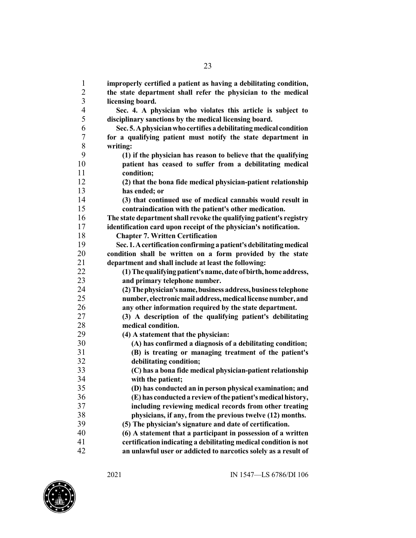| $\mathbf{1}$             | improperly certified a patient as having a debilitating condition,  |
|--------------------------|---------------------------------------------------------------------|
| $\overline{c}$           | the state department shall refer the physician to the medical       |
| $\overline{\mathbf{3}}$  | licensing board.                                                    |
| $\overline{\mathcal{A}}$ | Sec. 4. A physician who violates this article is subject to         |
| 5                        | disciplinary sanctions by the medical licensing board.              |
| 6                        | Sec. 5. A physician who certifies a debilitating medical condition  |
| 7                        | for a qualifying patient must notify the state department in        |
| 8                        | writing:                                                            |
| 9                        | (1) if the physician has reason to believe that the qualifying      |
| 10                       | patient has ceased to suffer from a debilitating medical            |
| 11                       | condition;                                                          |
| 12                       | (2) that the bona fide medical physician-patient relationship       |
| 13                       | has ended; or                                                       |
| 14                       | (3) that continued use of medical cannabis would result in          |
| 15                       | contraindication with the patient's other medication.               |
| 16                       | The state department shall revoke the qualifying patient's registry |
| 17                       | identification card upon receipt of the physician's notification.   |
| 18                       | <b>Chapter 7. Written Certification</b>                             |
| 19                       | Sec. 1. A certification confirming a patient's debilitating medical |
| 20                       | condition shall be written on a form provided by the state          |
| 21                       | department and shall include at least the following:                |
| 22                       | (1) The qualifying patient's name, date of birth, home address,     |
| 23                       | and primary telephone number.                                       |
| 24                       | (2) The physician's name, business address, business telephone      |
| 25                       | number, electronic mail address, medical license number, and        |
| 26                       | any other information required by the state department.             |
| 27                       | (3) A description of the qualifying patient's debilitating          |
| 28                       | medical condition.                                                  |
| 29                       | (4) A statement that the physician:                                 |
| 30                       | (A) has confirmed a diagnosis of a debilitating condition;          |
| 31                       | (B) is treating or managing treatment of the patient's              |
| 32                       | debilitating condition;                                             |
| 33                       | (C) has a bona fide medical physician-patient relationship          |
| 34                       | with the patient;                                                   |
| 35                       | (D) has conducted an in person physical examination; and            |
| 36                       | (E) has conducted a review of the patient's medical history,        |
| 37                       | including reviewing medical records from other treating             |
| 38                       | physicians, if any, from the previous twelve (12) months.           |
| 39                       | (5) The physician's signature and date of certification.            |
| 40                       | (6) A statement that a participant in possession of a written       |
| 41                       | certification indicating a debilitating medical condition is not    |
| 42                       | an unlawful user or addicted to narcotics solely as a result of     |

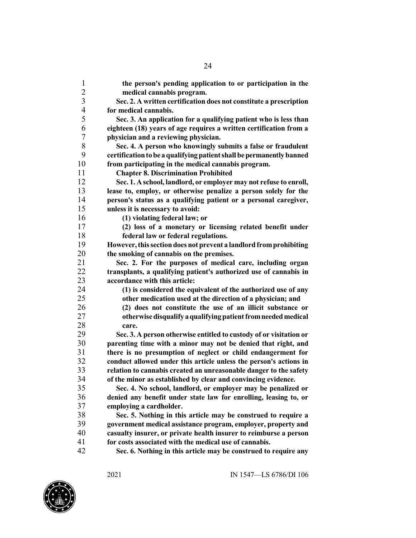| $\mathbf{1}$<br>$\overline{2}$ | the person's pending application to or participation in the                                                                          |
|--------------------------------|--------------------------------------------------------------------------------------------------------------------------------------|
| $\mathfrak{Z}$                 | medical cannabis program.                                                                                                            |
| $\overline{\mathcal{A}}$       | Sec. 2. A written certification does not constitute a prescription<br>for medical cannabis.                                          |
| 5                              |                                                                                                                                      |
|                                | Sec. 3. An application for a qualifying patient who is less than                                                                     |
| 6<br>7                         | eighteen (18) years of age requires a written certification from a                                                                   |
| 8                              | physician and a reviewing physician.                                                                                                 |
| 9                              | Sec. 4. A person who knowingly submits a false or fraudulent<br>certification to be a qualifying patient shall be permanently banned |
| 10                             | from participating in the medical cannabis program.                                                                                  |
| 11                             | <b>Chapter 8. Discrimination Prohibited</b>                                                                                          |
| 12                             | Sec. 1. A school, landlord, or employer may not refuse to enroll,                                                                    |
| 13                             | lease to, employ, or otherwise penalize a person solely for the                                                                      |
| 14                             | person's status as a qualifying patient or a personal caregiver,                                                                     |
| 15                             | unless it is necessary to avoid:                                                                                                     |
| 16                             | (1) violating federal law; or                                                                                                        |
| 17                             | (2) loss of a monetary or licensing related benefit under                                                                            |
| 18                             | federal law or federal regulations.                                                                                                  |
| 19                             | However, this section does not prevent a landlord from prohibiting                                                                   |
| 20                             | the smoking of cannabis on the premises.                                                                                             |
| 21                             | Sec. 2. For the purposes of medical care, including organ                                                                            |
| 22                             | transplants, a qualifying patient's authorized use of cannabis in                                                                    |
| 23                             | accordance with this article:                                                                                                        |
| 24                             | (1) is considered the equivalent of the authorized use of any                                                                        |
| 25                             | other medication used at the direction of a physician; and                                                                           |
| 26                             | (2) does not constitute the use of an illicit substance or                                                                           |
| 27                             | otherwise disqualify a qualifying patient from needed medical                                                                        |
| 28                             | care.                                                                                                                                |
| 29                             | Sec. 3. A person otherwise entitled to custody of or visitation or                                                                   |
| 30                             | parenting time with a minor may not be denied that right, and                                                                        |
| 31                             | there is no presumption of neglect or child endangerment for                                                                         |
| 32                             | conduct allowed under this article unless the person's actions in                                                                    |
| 33                             | relation to cannabis created an unreasonable danger to the safety                                                                    |
| 34                             | of the minor as established by clear and convincing evidence.                                                                        |
| 35                             | Sec. 4. No school, landlord, or employer may be penalized or                                                                         |
| 36                             | denied any benefit under state law for enrolling, leasing to, or                                                                     |
| 37                             | employing a cardholder.                                                                                                              |
| 38                             | Sec. 5. Nothing in this article may be construed to require a                                                                        |
| 39                             | government medical assistance program, employer, property and                                                                        |
| 40                             | casualty insurer, or private health insurer to reimburse a person                                                                    |
| 41                             | for costs associated with the medical use of cannabis.                                                                               |
| 42                             | Sec. 6. Nothing in this article may be construed to require any                                                                      |

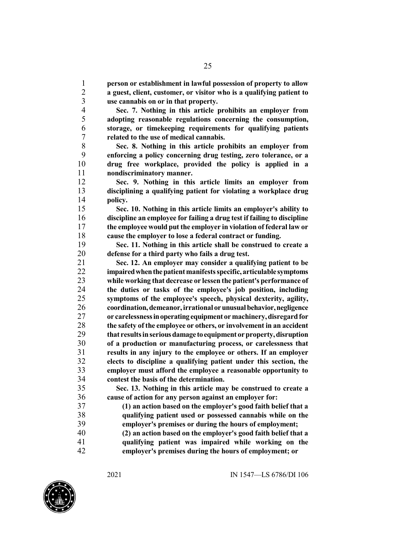**person or establishment in lawful possession of property to allow a guest, client, customer, or visitor who is a qualifying patient to use cannabis on or in that property.**

 **Sec. 7. Nothing in this article prohibits an employer from adopting reasonable regulations concerning the consumption, storage, or timekeeping requirements for qualifying patients related to the use of medical cannabis.**

 **Sec. 8. Nothing in this article prohibits an employer from enforcing a policy concerning drug testing, zero tolerance, or a drug free workplace, provided the policy is applied in a nondiscriminatory manner.**

 **Sec. 9. Nothing in this article limits an employer from disciplining a qualifying patient for violating a workplace drug policy.**

 **Sec. 10. Nothing in this article limits an employer's ability to discipline an employee for failing a drug test if failing to discipline the employee would put the employer in violation of federal law or cause the employer to lose a federal contract or funding.**

 **Sec. 11. Nothing in this article shall be construed to create a defense for a third party who fails a drug test.**

 **Sec. 12. An employer may consider a qualifying patient to be impairedwhenthepatientmanifestsspecific, articulable symptoms while working that decrease or lessen the patient's performance of the duties or tasks of the employee's job position, including symptoms of the employee's speech, physical dexterity, agility, coordination,demeanor,irrational orunusualbehavior,negligence or carelessnessinoperatingequipment ormachinery,disregardfor the safety of the employee or others, or involvement in an accident that resultsinseriousdamage toequipment orproperty,disruption of a production or manufacturing process, or carelessness that results in any injury to the employee or others. If an employer elects to discipline a qualifying patient under this section, the employer must afford the employee a reasonable opportunity to contest the basis of the determination.**

 **Sec. 13. Nothing in this article may be construed to create a cause of action for any person against an employer for:**

 **(1) an action based on the employer's good faith belief that a qualifying patient used or possessed cannabis while on the employer's premises or during the hours of employment; (2) an action based on the employer's good faith belief that a qualifying patient was impaired while working on the employer's premises during the hours of employment; or**

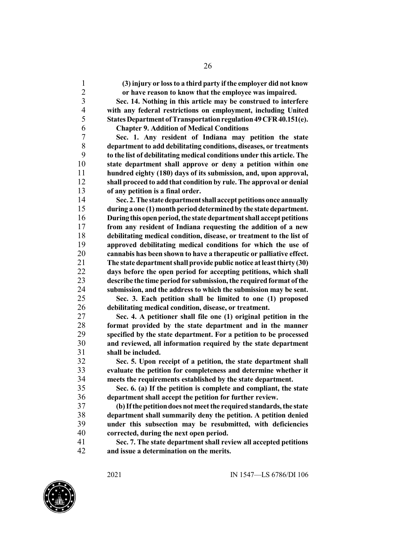**(3) injury or lossto a third party ifthe employer did not know or have reason to know that the employee was impaired.**

 **Sec. 14. Nothing in this article may be construed to interfere with any federal restrictions on employment, including United States Department of Transportation regulation 49 CFR 40.151(e). Chapter 9. Addition of Medical Conditions**

 **Sec. 1. Any resident of Indiana may petition the state department to add debilitating conditions, diseases, or treatments to the list of debilitating medical conditions under this article. The state department shall approve or deny a petition within one hundred eighty (180) days of its submission, and, upon approval, shall proceed to add that condition by rule. The approval or denial of any petition is a final order.**

 **Sec. 2.The statedepartmentshall acceptpetitions once annually during a one (1) monthperioddeterminedby the state department. Duringthis openperiod,the statedepartmentshall acceptpetitions from any resident of Indiana requesting the addition of a new debilitating medical condition, disease, or treatment to the list of approved debilitating medical conditions for which the use of cannabis has been shown to have a therapeutic or palliative effect. The state departmentshall provide public notice atleastthirty (30) days before the open period for accepting petitions, which shall describe the time period for submission,the required format ofthe submission, and the address to which the submission may be sent.**

 **Sec. 3. Each petition shall be limited to one (1) proposed debilitating medical condition, disease, or treatment.**

 **Sec. 4. A petitioner shall file one (1) original petition in the format provided by the state department and in the manner specified by the state department. For a petition to be processed and reviewed, all information required by the state department shall be included.**

 **Sec. 5. Upon receipt of a petition, the state department shall evaluate the petition for completeness and determine whether it meets the requirements established by the state department.**

 **Sec. 6. (a) If the petition is complete and compliant, the state department shall accept the petition for further review.**

 **(b)Ifthepetitiondoesnotmeetthe requiredstandards,the state department shall summarily deny the petition. A petition denied under this subsection may be resubmitted, with deficiencies corrected, during the next open period.**

 **Sec. 7. The state department shall review all accepted petitions and issue a determination on the merits.**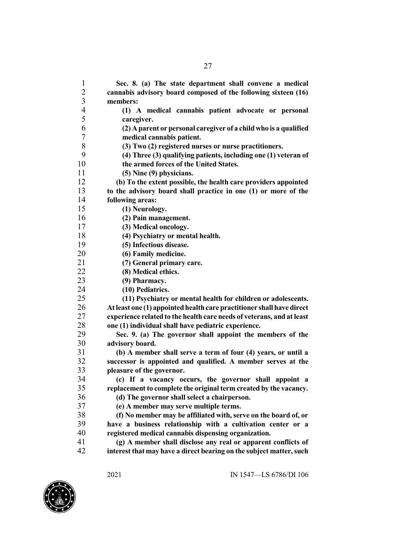| $\mathbf{1}$             | Sec. 8. (a) The state department shall convene a medical              |
|--------------------------|-----------------------------------------------------------------------|
| $\overline{2}$           | cannabis advisory board composed of the following sixteen (16)        |
| 3                        | members:                                                              |
| $\overline{\mathcal{A}}$ | (1) A medical cannabis patient advocate or personal                   |
| 5                        | caregiver.                                                            |
| 6                        | (2) A parent or personal caregiver of a child who is a qualified      |
| 7                        | medical cannabis patient.                                             |
| 8                        | (3) Two (2) registered nurses or nurse practitioners.                 |
| 9                        | (4) Three (3) qualifying patients, including one (1) veteran of       |
| 10                       | the armed forces of the United States.                                |
| 11                       | (5) Nine (9) physicians.                                              |
| 12                       | (b) To the extent possible, the health care providers appointed       |
| 13                       | to the advisory board shall practice in one (1) or more of the        |
| 14                       | following areas:                                                      |
| 15                       | (1) Neurology.                                                        |
| 16                       | (2) Pain management.                                                  |
| 17                       | (3) Medical oncology.                                                 |
| 18                       | (4) Psychiatry or mental health.                                      |
| 19                       | (5) Infectious disease.                                               |
| 20                       | (6) Family medicine.                                                  |
| 21                       | (7) General primary care.                                             |
| 22                       | (8) Medical ethics.                                                   |
| 23                       | (9) Pharmacy.                                                         |
| 24                       | (10) Pediatrics.                                                      |
| 25                       | (11) Psychiatry or mental health for children or adolescents.         |
| 26                       | At least one (1) appointed health care practitioner shall have direct |
| 27                       | experience related to the health care needs of veterans, and at least |
| 28                       | one (1) individual shall have pediatric experience.                   |
| 29                       | Sec. 9. (a) The governor shall appoint the members of the             |
| 30                       | advisory board.                                                       |
| 31                       | (b) A member shall serve a term of four (4) years, or until a         |
| 32                       | successor is appointed and qualified. A member serves at the          |
| 33                       | pleasure of the governor.                                             |
| 34                       | (c) If a vacancy occurs, the governor shall appoint a                 |
| 35                       | replacement to complete the original term created by the vacancy.     |
| 36                       | (d) The governor shall select a chairperson.                          |
| 37                       | (e) A member may serve multiple terms.                                |
| 38                       | (f) No member may be affiliated with, serve on the board of, or       |
| 39                       | have a business relationship with a cultivation center or a           |
| 40                       | registered medical cannabis dispensing organization.                  |
| 41                       | (g) A member shall disclose any real or apparent conflicts of         |
| 42                       | interest that may have a direct bearing on the subject matter, such   |
|                          |                                                                       |

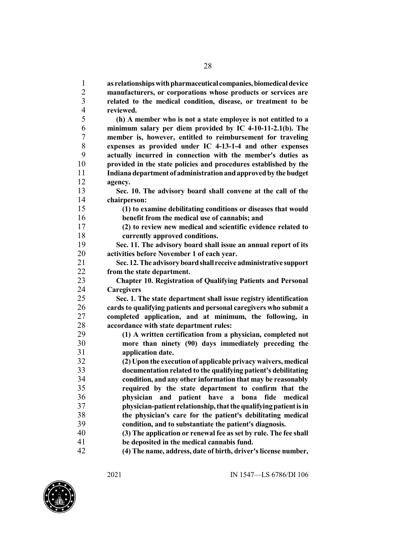**as relationshipswithpharmaceutical companies,biomedicaldevice manufacturers, or corporations whose products or services are related to the medical condition, disease, or treatment to be reviewed. (h) A member who is not a state employee is not entitled to a minimum salary per diem provided by IC 4-10-11-2.1(b). The member is, however, entitled to reimbursement for traveling expenses as provided under IC 4-13-1-4 and other expenses actually incurred in connection with the member's duties as provided in the state policies and procedures established by the Indiana department of administrationandapprovedby the budget agency. Sec. 10. The advisory board shall convene at the call of the chairperson: (1) to examine debilitating conditions or diseases that would benefit from the medical use of cannabis; and (2) to review new medical and scientific evidence related to currently approved conditions. Sec. 11. The advisory board shall issue an annual report of its activities before November 1 of each year. Sec. 12.The advisoryboardshall receive administrative support from the state department. Chapter 10. Registration of Qualifying Patients and Personal Caregivers Sec. 1. The state department shall issue registry identification cards to qualifying patients and personal caregivers who submit a completed application, and at minimum, the following, in accordance with state department rules: (1) A written certification from a physician, completed not more than ninety (90) days immediately preceding the application date. (2) Upon the execution of applicable privacy waivers, medical documentation related to the qualifying patient's debilitating condition, and any other information that may be reasonably required by the state department to confirm that the physician and patient have a bona fide medical physician-patient relationship,thatthequalifyingpatientisin the physician's care for the patient's debilitating medical condition, and to substantiate the patient's diagnosis. (3) The application or renewal fee asset by rule. The fee shall be deposited in the medical cannabis fund. (4) The name, address, date of birth, driver'slicense number,**

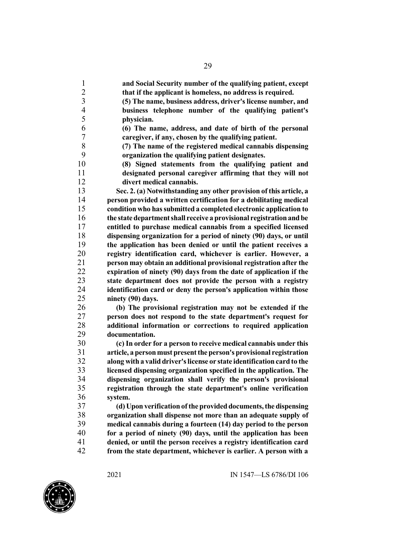| $\mathbf{1}$   | and Social Security number of the qualifying patient, except                                                                     |
|----------------|----------------------------------------------------------------------------------------------------------------------------------|
| $\overline{c}$ | that if the applicant is homeless, no address is required.                                                                       |
| $\overline{3}$ | (5) The name, business address, driver's license number, and                                                                     |
| $\overline{4}$ | business telephone number of the qualifying patient's                                                                            |
| 5              | physician.                                                                                                                       |
| 6              | (6) The name, address, and date of birth of the personal                                                                         |
| 7              | caregiver, if any, chosen by the qualifying patient.                                                                             |
| 8              | (7) The name of the registered medical cannabis dispensing                                                                       |
| 9              | organization the qualifying patient designates.                                                                                  |
| 10             | (8) Signed statements from the qualifying patient and                                                                            |
| 11             | designated personal caregiver affirming that they will not                                                                       |
| 12             | divert medical cannabis.                                                                                                         |
| 13             | Sec. 2. (a) Notwithstanding any other provision of this article, a                                                               |
| 14             | person provided a written certification for a debilitating medical                                                               |
| 15             | condition who has submitted a completed electronic application to                                                                |
| 16             | the state department shall receive a provisional registration and be                                                             |
| 17             | entitled to purchase medical cannabis from a specified licensed                                                                  |
| 18             | dispensing organization for a period of ninety (90) days, or until                                                               |
| 19             | the application has been denied or until the patient receives a                                                                  |
| 20             | registry identification card, whichever is earlier. However, a                                                                   |
| 21             | person may obtain an additional provisional registration after the                                                               |
| 22             | expiration of ninety (90) days from the date of application if the                                                               |
| 23             | state department does not provide the person with a registry                                                                     |
| 24             | identification card or deny the person's application within those                                                                |
| 25             | ninety (90) days.                                                                                                                |
| 26             | (b) The provisional registration may not be extended if the                                                                      |
| 27             | person does not respond to the state department's request for                                                                    |
| 28             | additional information or corrections to required application                                                                    |
| 29             | documentation.                                                                                                                   |
| 30             | (c) In order for a person to receive medical cannabis under this                                                                 |
| 31             | article, a person must present the person's provisional registration                                                             |
| 32             | along with a valid driver's license or state identification card to the                                                          |
| 33             | licensed dispensing organization specified in the application. The                                                               |
| 34             |                                                                                                                                  |
| 35             | dispensing organization shall verify the person's provisional<br>registration through the state department's online verification |
| 36             | system.                                                                                                                          |
| 37             |                                                                                                                                  |
| 38             | (d) Upon verification of the provided documents, the dispensing                                                                  |
| 39             | organization shall dispense not more than an adequate supply of                                                                  |
|                | medical cannabis during a fourteen (14) day period to the person                                                                 |
| 40             | for a period of ninety (90) days, until the application has been                                                                 |
| 41             | denied, or until the person receives a registry identification card                                                              |
| 42             | from the state department, whichever is earlier. A person with a                                                                 |

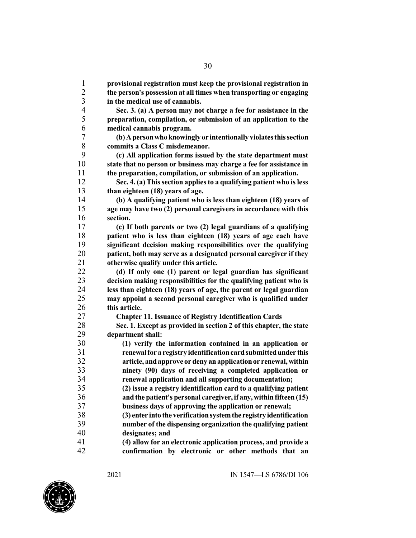**provisional registration must keep the provisional registration in the person's possession at all times when transporting or engaging in the medical use of cannabis. Sec. 3. (a) A person may not charge a fee for assistance in the preparation, compilation, or submission of an application to the medical cannabis program. (b)Apersonwhoknowingly or intentionally violatesthissection commits a Class C misdemeanor. (c) All application forms issued by the state department must state that no person or business may charge a fee for assistance in the preparation, compilation, or submission of an application. Sec. 4. (a) Thissection appliesto a qualifying patient who isless than eighteen (18) years of age. (b) A qualifying patient who is less than eighteen (18) years of age may have two (2) personal caregivers in accordance with this section. (c) If both parents or two (2) legal guardians of a qualifying patient who is less than eighteen (18) years of age each have significant decision making responsibilities over the qualifying patient, both may serve as a designated personal caregiver if they otherwise qualify under this article. (d) If only one (1) parent or legal guardian has significant decision making responsibilities for the qualifying patient who is less than eighteen (18) years of age, the parent or legal guardian may appoint a second personal caregiver who is qualified under this article. Chapter 11. Issuance of Registry Identification Cards Sec. 1. Except as provided in section 2 of this chapter, the state department shall: (1) verify the information contained in an application or renewalfor a registry identificationcardsubmittedunder this article, andapprove or deny anapplicationor renewal,within ninety (90) days of receiving a completed application or renewal application and all supporting documentation; (2) issue a registry identification card to a qualifying patient and the patient's personal caregiver, if any,within fifteen (15) business days of approving the application or renewal; (3) enter into the verificationsystemthe registryidentification number of the dispensing organization the qualifying patient designates; and (4) allow for an electronic application process, and provide a confirmation by electronic or other methods that an**

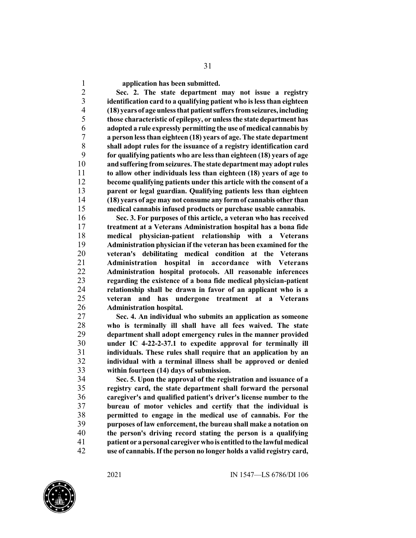**application has been submitted.**

 **Sec. 2. The state department may not issue a registry identification card to a qualifying patient who islessthan eighteen (18) years of ageunlessthatpatientsuffersfromseizures,including those characteristic of epilepsy, or unlessthe state department has adopted a rule expressly permitting the use of medical cannabis by a person lessthan eighteen (18) years of age. The state department shall adopt rules for the issuance of a registry identification card for qualifying patients who are lessthan eighteen (18) years of age andsuffering fromseizures.The state department may adopt rules to allow other individuals less than eighteen (18) years of age to become qualifying patients under this article with the consent of a parent or legal guardian. Qualifying patients less than eighteen (18) years of age may not consume any formof cannabis other than medical cannabis infused products or purchase usable cannabis.**

 **Sec. 3. For purposes of this article, a veteran who has received treatment at a Veterans Administration hospital has a bona fide medical physician-patient relationship with a Veterans Administration physician if the veteran has been examined for the veteran's debilitating medical condition at the Veterans Administration hospital in accordance with Veterans Administration hospital protocols. All reasonable inferences regarding the existence of a bona fide medical physician-patient relationship shall be drawn in favor of an applicant who is a veteran and has undergone treatment at a Veterans Administration hospital.**

 **Sec. 4. An individual who submits an application as someone who is terminally ill shall have all fees waived. The state department shall adopt emergency rules in the manner provided under IC 4-22-2-37.1 to expedite approval for terminally ill individuals. These rules shall require that an application by an individual with a terminal illness shall be approved or denied within fourteen (14) days of submission.**

 **Sec. 5. Upon the approval of the registration and issuance of a registry card, the state department shall forward the personal caregiver's and qualified patient's driver's license number to the bureau of motor vehicles and certify that the individual is permitted to engage in the medical use of cannabis. For the purposes of law enforcement, the bureau shall make a notation on the person's driving record stating the person is a qualifying patient or apersonal caregiverwho is entitledto the lawful medical use of cannabis.If the person no longer holds a valid registry card,**

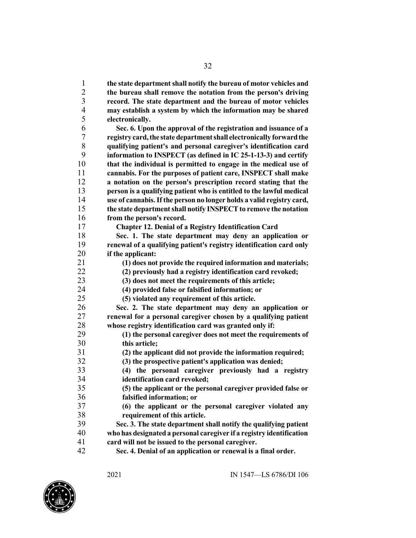**the state departmentshall notify the bureau of motor vehicles and the bureau shall remove the notation from the person's driving record. The state department and the bureau of motor vehicles may establish a system by which the information may be shared electronically. Sec. 6. Upon the approval of the registration and issuance of a registry card,the statedepartmentshall electronically forwardthe qualifying patient's and personal caregiver's identification card information to INSPECT (as defined in IC 25-1-13-3) and certify that the individual is permitted to engage in the medical use of cannabis. For the purposes of patient care, INSPECT shall make a notation on the person's prescription record stating that the person is a qualifying patient who is entitled to the lawful medical use of cannabis.If the person no longer holds a valid registry card, the state department shall notify INSPECT to remove the notation from the person's record. Chapter 12. Denial of a Registry Identification Card Sec. 1. The state department may deny an application or renewal of a qualifying patient's registry identification card only if the applicant: (1) does not provide the required information and materials; (2) previously had a registry identification card revoked; (3) does not meet the requirements of this article; (4) provided false or falsified information; or (5) violated any requirement of this article. Sec. 2. The state department may deny an application or renewal for a personal caregiver chosen by a qualifying patient whose registry identification card was granted only if: (1) the personal caregiver does not meet the requirements of this article; (2) the applicant did not provide the information required; (3) the prospective patient's application was denied; (4) the personal caregiver previously had a registry identification card revoked; (5) the applicant or the personal caregiver provided false or falsified information; or (6) the applicant or the personal caregiver violated any requirement of this article. Sec. 3. The state department shall notify the qualifying patient who has designateda personal caregiver if a registry identification card will not be issued to the personal caregiver. Sec. 4. Denial of an application or renewal is a final order.**

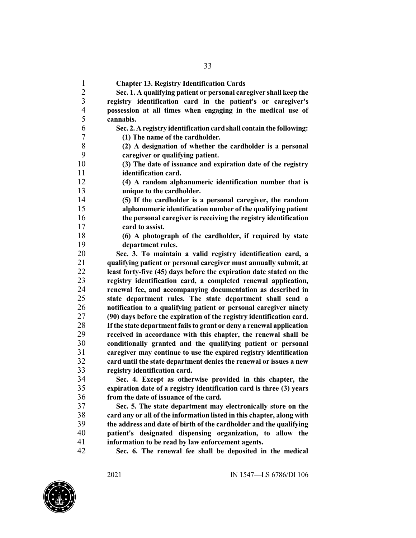**Chapter 13. Registry Identification Cards Sec. 1. A qualifying patient or personal caregiver shall keep the registry identification card in the patient's or caregiver's possession at all times when engaging in the medical use of cannabis. Sec. 2.Aregistry identification card shall contain the following: (1) The name of the cardholder. (2) A designation of whether the cardholder is a personal caregiver or qualifying patient. (3) The date of issuance and expiration date of the registry identification card. (4) A random alphanumeric identification number that is unique to the cardholder. (5) If the cardholder is a personal caregiver, the random alphanumeric identification number of the qualifying patient the personal caregiver is receiving the registry identification card to assist. (6) A photograph of the cardholder, if required by state department rules. Sec. 3. To maintain a valid registry identification card, a qualifying patient or personal caregiver must annually submit, at least forty-five (45) days before the expiration date stated on the registry identification card, a completed renewal application, renewal fee, and accompanying documentation as described in state department rules. The state department shall send a notification to a qualifying patient or personal caregiver ninety (90) days before the expiration of the registry identification card. If the state department failsto grant or deny a renewal application received in accordance with this chapter, the renewal shall be conditionally granted and the qualifying patient or personal caregiver may continue to use the expired registry identification card until the state department denies the renewal or issues a new registry identification card. Sec. 4. Except as otherwise provided in this chapter, the expiration date of a registry identification card is three (3) years from the date of issuance of the card. Sec. 5. The state department may electronically store on the card any or all of the information listed in this chapter, along with the address and date of birth of the cardholder and the qualifying patient's designated dispensing organization, to allow the information to be read by law enforcement agents.**

**Sec. 6. The renewal fee shall be deposited in the medical**

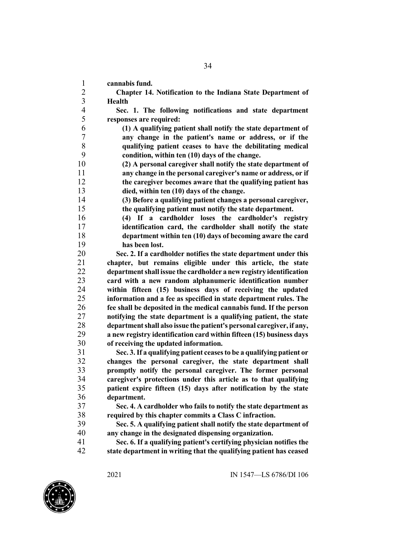**cannabis fund.**

 **Chapter 14. Notification to the Indiana State Department of Health**

 **Sec. 1. The following notifications and state department responses are required:**

 **(1) A qualifying patient shall notify the state department of any change in the patient's name or address, or if the qualifying patient ceases to have the debilitating medical condition, within ten (10) days of the change.**

 **(2) A personal caregiver shall notify the state department of any change in the personal caregiver's name or address, or if the caregiver becomes aware that the qualifying patient has died, within ten (10) days of the change.**

 **(3) Before a qualifying patient changes a personal caregiver, the qualifying patient must notify the state department.**

 **(4) If a cardholder loses the cardholder's registry identification card, the cardholder shall notify the state department within ten (10) days of becoming aware the card has been lost.**

 **Sec. 2. If a cardholder notifies the state department under this chapter, but remains eligible under this article, the state departmentshall issue the cardholder a newregistry identification card with a new random alphanumeric identification number within fifteen (15) business days of receiving the updated information and a fee as specified in state department rules. The fee shall be deposited in the medical cannabis fund. If the person notifying the state department is a qualifying patient, the state departmentshall also issue the patient's personal caregiver, if any, a new registry identification card within fifteen (15) business days of receiving the updated information.**

 **Sec. 3.If a qualifying patient ceasesto be a qualifying patient or changes the personal caregiver, the state department shall promptly notify the personal caregiver. The former personal caregiver's protections under this article as to that qualifying patient expire fifteen (15) days after notification by the state department.**

 **Sec. 4. A cardholder who fails to notify the state department as required by this chapter commits a Class C infraction.**

 **Sec. 5. A qualifying patient shall notify the state department of any change in the designated dispensing organization.**

 **Sec. 6. If a qualifying patient's certifying physician notifies the state department in writing that the qualifying patient has ceased**

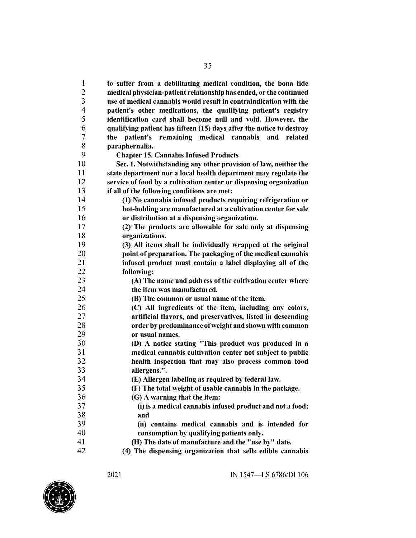**to suffer from a debilitating medical condition, the bona fide medical physician-patient relationshiphas ended, or the continued use of medical cannabis would result in contraindication with the patient's other medications, the qualifying patient's registry identification card shall become null and void. However, the qualifying patient has fifteen (15) days after the notice to destroy the patient's remaining medical cannabis and related paraphernalia. Chapter 15. Cannabis Infused Products Sec. 1. Notwithstanding any other provision of law, neither the state department nor a local health department may regulate the service of food by a cultivation center or dispensing organization if all of the following conditions are met: (1) No cannabis infused products requiring refrigeration or hot-holding are manufactured at a cultivation center for sale or distribution at a dispensing organization. (2) The products are allowable for sale only at dispensing organizations. (3) All items shall be individually wrapped at the original point of preparation. The packaging of the medical cannabis infused product must contain a label displaying all of the following: (A) The name and address of the cultivation center where the item was manufactured. (B) The common or usual name of the item. (C) All ingredients of the item, including any colors, artificial flavors, and preservatives, listed in descending order by predominance ofweight andshownwithcommon or usual names. (D) A notice stating "This product was produced in a medical cannabis cultivation center not subject to public health inspection that may also process common food allergens.". (E) Allergen labeling as required by federal law. (F) The total weight of usable cannabis in the package. (G) A warning that the item: (i) is a medical cannabis infused product and not a food; and (ii) contains medical cannabis and is intended for consumption by qualifying patients only. (H) The date of manufacture and the "use by" date.**

**(4) The dispensing organization that sells edible cannabis**

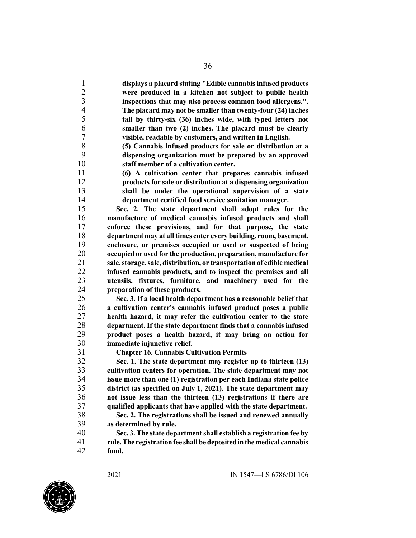**displays a placard stating "Edible cannabis infused products were produced in a kitchen not subject to public health inspections that may also process common food allergens.". The placard may not be smaller than twenty-four (24) inches tall by thirty-six (36) inches wide, with typed letters not smaller than two (2) inches. The placard must be clearly visible, readable by customers, and written in English.**

 **(5) Cannabis infused products for sale or distribution at a dispensing organization must be prepared by an approved staff member of a cultivation center.**

 **(6) A cultivation center that prepares cannabis infused products for sale or distribution at a dispensing organization shall be under the operational supervision of a state department certified food service sanitation manager.**

 **Sec. 2. The state department shall adopt rules for the manufacture of medical cannabis infused products and shall enforce these provisions, and for that purpose, the state department may at alltimes enter every building, room, basement, enclosure, or premises occupied or used or suspected of being occupiedor usedfor the production, preparation, manufacture for sale,storage,sale, distribution, or transportationof edible medical infused cannabis products, and to inspect the premises and all utensils, fixtures, furniture, and machinery used for the preparation of these products.**

 **Sec. 3. If a local health department has a reasonable belief that a cultivation center's cannabis infused product poses a public health hazard, it may refer the cultivation center to the state department. If the state department finds that a cannabis infused product poses a health hazard, it may bring an action for immediate injunctive relief.**

**Chapter 16. Cannabis Cultivation Permits**

 **Sec. 1. The state department may register up to thirteen (13) cultivation centers for operation. The state department may not issue more than one (1) registration per each Indiana state police district (as specified on July 1, 2021). The state department may not issue less than the thirteen (13) registrations if there are qualified applicants that have applied with the state department.**

 **Sec. 2. The registrations shall be issued and renewed annually as determined by rule.**

 **Sec. 3.The state departmentshall establish a registration fee by rule.The registrationfee shallbe depositedinthemedical cannabis fund.**

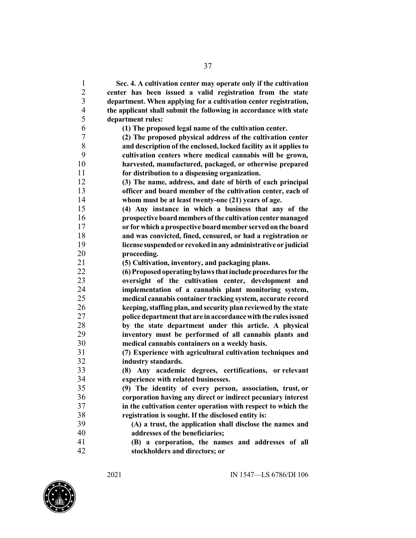**Sec. 4. A cultivation center may operate only if the cultivation center has been issued a valid registration from the state department. When applying for a cultivation center registration, the applicant shall submit the following in accordance with state department rules:**

**(1) The proposed legal name of the cultivation center.**

 **(2) The proposed physical address of the cultivation center and description of the enclosed, locked facility as it applies to cultivation centers where medical cannabis will be grown, harvested, manufactured, packaged, or otherwise prepared for distribution to a dispensing organization.**

 **(3) The name, address, and date of birth of each principal officer and board member of the cultivation center, each of whom must be at least twenty-one (21) years of age.**

 **(4) Any instance in which a business that any of the prospectiveboardmembersofthe cultivationcentermanaged or forwhicha prospective boardmember servedonthe board and was convicted, fined, censured, or had a registration or license suspendedor revokedinany administrative or judicial**

**proceeding.**

**(5) Cultivation, inventory, and packaging plans.**

 **(6)Proposedoperatingbylawsthatincludeproceduresfor the oversight of the cultivation center, development and implementation of a cannabis plant monitoring system, medical cannabis container tracking system, accurate record keeping,staffing plan, and security planreviewed by the state police department that are in accordance with the rules issued by the state department under this article. A physical inventory must be performed of all cannabis plants and**

 **medical cannabis containers on a weekly basis. (7) Experience with agricultural cultivation techniques and industry standards.**

 **(8) Any academic degrees, certifications, or relevant experience with related businesses.**

 **(9) The identity of every person, association, trust, or corporation having any direct or indirect pecuniary interest in the cultivation center operation with respect to which the registration is sought. If the disclosed entity is:**

 **(A) a trust, the application shall disclose the names and addresses of the beneficiaries;**

 **(B) a corporation, the names and addresses of all stockholders and directors; or**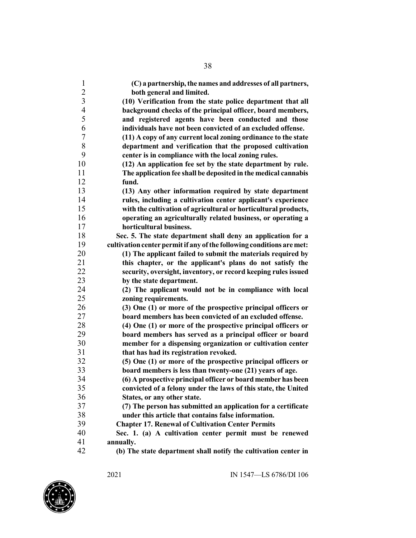| $\mathbf{1}$             | (C) a partnership, the names and addresses of all partners,                                                              |
|--------------------------|--------------------------------------------------------------------------------------------------------------------------|
| $\overline{c}$           | both general and limited.                                                                                                |
| $\overline{\mathbf{3}}$  | (10) Verification from the state police department that all                                                              |
| $\overline{\mathcal{A}}$ | background checks of the principal officer, board members,                                                               |
| 5                        | and registered agents have been conducted and those                                                                      |
| 6                        | individuals have not been convicted of an excluded offense.                                                              |
| 7                        | (11) A copy of any current local zoning ordinance to the state                                                           |
| 8                        | department and verification that the proposed cultivation                                                                |
| 9                        | center is in compliance with the local zoning rules.                                                                     |
| 10                       | (12) An application fee set by the state department by rule.                                                             |
| 11                       | The application fee shall be deposited in the medical cannabis                                                           |
| 12                       | fund.                                                                                                                    |
| 13                       | (13) Any other information required by state department                                                                  |
| 14                       | rules, including a cultivation center applicant's experience                                                             |
| 15                       | with the cultivation of agricultural or horticultural products,                                                          |
| 16                       | operating an agriculturally related business, or operating a                                                             |
| 17                       | horticultural business.                                                                                                  |
| 18                       | Sec. 5. The state department shall deny an application for a                                                             |
| 19                       | cultivation center permit if any of the following conditions are met:                                                    |
| 20                       | (1) The applicant failed to submit the materials required by                                                             |
| 21                       | this chapter, or the applicant's plans do not satisfy the                                                                |
| 22                       | security, oversight, inventory, or record keeping rules issued                                                           |
| 23                       | by the state department.                                                                                                 |
| 24                       | (2) The applicant would not be in compliance with local                                                                  |
| 25<br>26                 | zoning requirements.                                                                                                     |
| 27                       | (3) One (1) or more of the prospective principal officers or<br>board members has been convicted of an excluded offense. |
| 28                       | (4) One (1) or more of the prospective principal officers or                                                             |
| 29                       | board members has served as a principal officer or board                                                                 |
| 30                       | member for a dispensing organization or cultivation center                                                               |
| 31                       | that has had its registration revoked.                                                                                   |
| 32                       | (5) One (1) or more of the prospective principal officers or                                                             |
| 33                       | board members is less than twenty-one (21) years of age.                                                                 |
| 34                       | (6) A prospective principal officer or board member has been                                                             |
| 35                       | convicted of a felony under the laws of this state, the United                                                           |
| 36                       | States, or any other state.                                                                                              |
| 37                       | (7) The person has submitted an application for a certificate                                                            |
| 38                       | under this article that contains false information.                                                                      |
| 39                       | <b>Chapter 17. Renewal of Cultivation Center Permits</b>                                                                 |
| 40                       | Sec. 1. (a) A cultivation center permit must be renewed                                                                  |
| 41                       | annually.                                                                                                                |
| 42                       | (b) The state department shall notify the cultivation center in                                                          |
|                          |                                                                                                                          |

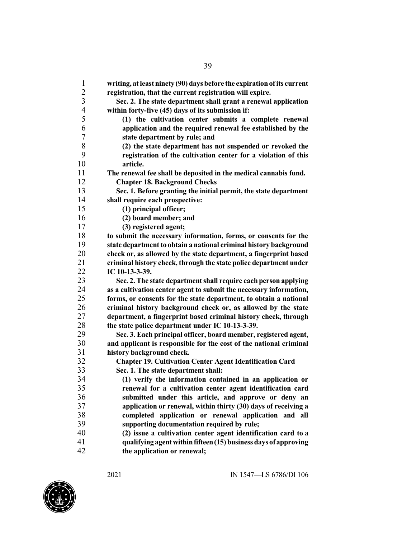| $\mathbf{1}$   | writing, at least ninety (90) days before the expiration of its current    |
|----------------|----------------------------------------------------------------------------|
| $\overline{2}$ | registration, that the current registration will expire.                   |
| $\overline{3}$ | Sec. 2. The state department shall grant a renewal application             |
| $\overline{4}$ | within forty-five (45) days of its submission if:                          |
| 5              | (1) the cultivation center submits a complete renewal                      |
| 6              |                                                                            |
| 7              | application and the required renewal fee established by the                |
| 8              | state department by rule; and                                              |
| 9              | (2) the state department has not suspended or revoked the                  |
| 10             | registration of the cultivation center for a violation of this<br>article. |
| 11             |                                                                            |
| 12             | The renewal fee shall be deposited in the medical cannabis fund.           |
|                | <b>Chapter 18. Background Checks</b>                                       |
| 13             | Sec. 1. Before granting the initial permit, the state department           |
| 14             | shall require each prospective:                                            |
| 15             | (1) principal officer;                                                     |
| 16             | (2) board member; and                                                      |
| 17             | (3) registered agent;                                                      |
| 18             | to submit the necessary information, forms, or consents for the            |
| 19             | state department to obtain a national criminal history background          |
| 20             | check or, as allowed by the state department, a fingerprint based          |
| 21             | criminal history check, through the state police department under          |
| 22             | IC 10-13-3-39.                                                             |
| 23             | Sec. 2. The state department shall require each person applying            |
| 24             | as a cultivation center agent to submit the necessary information,         |
| 25             | forms, or consents for the state department, to obtain a national          |
| 26             | criminal history background check or, as allowed by the state              |
| 27             | department, a fingerprint based criminal history check, through            |
| 28             | the state police department under IC 10-13-3-39.                           |
| 29             | Sec. 3. Each principal officer, board member, registered agent,            |
| 30             | and applicant is responsible for the cost of the national criminal         |
| 31             | history background check.                                                  |
| 32             | <b>Chapter 19. Cultivation Center Agent Identification Card</b>            |
| 33             | Sec. 1. The state department shall:                                        |
| 34             | (1) verify the information contained in an application or                  |
| 35             | renewal for a cultivation center agent identification card                 |
| 36             | submitted under this article, and approve or deny an                       |
| 37             | application or renewal, within thirty (30) days of receiving a             |
| 38             | completed application or renewal application and all                       |
| 39             | supporting documentation required by rule;                                 |
| 40             | (2) issue a cultivation center agent identification card to a              |
| 41             | qualifying agent within fifteen (15) business days of approving            |
| 42             | the application or renewal;                                                |

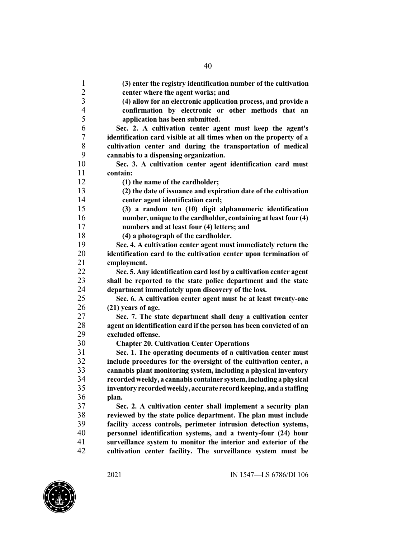**(3) enter the registry identification number of the cultivation center where the agent works; and (4) allow for an electronic application process, and provide a confirmation by electronic or other methods that an application has been submitted. Sec. 2. A cultivation center agent must keep the agent's identification card visible at all times when on the property of a cultivation center and during the transportation of medical cannabis to a dispensing organization. Sec. 3. A cultivation center agent identification card must contain: (1) the name of the cardholder; (2) the date of issuance and expiration date of the cultivation center agent identification card; (3) a random ten (10) digit alphanumeric identification number, unique to the cardholder, containing at leastfour (4) numbers and at least four (4) letters; and (4) a photograph of the cardholder. Sec. 4. A cultivation center agent must immediately return the identification card to the cultivation center upon termination of employment. Sec. 5. Any identification card lost by a cultivation center agent shall be reported to the state police department and the state department immediately upon discovery of the loss. Sec. 6. A cultivation center agent must be at least twenty-one (21) years of age. Sec. 7. The state department shall deny a cultivation center agent an identification card if the person has been convicted of an excluded offense. Chapter 20. Cultivation Center Operations Sec. 1. The operating documents of a cultivation center must include procedures for the oversight of the cultivation center, a cannabis plant monitoring system, including a physical inventory recordedweekly, a cannabis container system,including aphysical inventory recordedweekly, accurate recordkeeping, anda staffing plan. Sec. 2. A cultivation center shall implement a security plan reviewed by the state police department. The plan must include facility access controls, perimeter intrusion detection systems, personnel identification systems, and a twenty-four (24) hour surveillance system to monitor the interior and exterior of the cultivation center facility. The surveillance system must be**

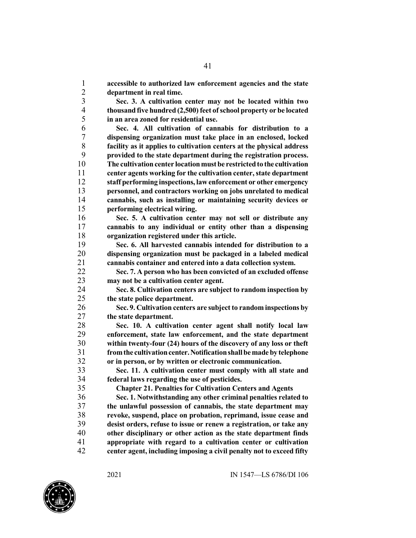**accessible to authorized law enforcement agencies and the state department in real time.**

 **Sec. 3. A cultivation center may not be located within two thousandfive hundred (2,500) feet ofschool property or be located in an area zoned for residential use.**

 **Sec. 4. All cultivation of cannabis for distribution to a dispensing organization must take place in an enclosed, locked facility as it applies to cultivation centers at the physical address provided to the state department during the registration process.** 10 The cultivation center location must be restricted to the cultivation **center agents working for the cultivation center,state department staff performing inspections, law enforcement or other emergency personnel, and contractors working on jobs unrelated to medical cannabis, such as installing or maintaining security devices or performing electrical wiring.**

 **Sec. 5. A cultivation center may not sell or distribute any cannabis to any individual or entity other than a dispensing organization registered under this article.**

 **Sec. 6. All harvested cannabis intended for distribution to a dispensing organization must be packaged in a labeled medical cannabis container and entered into a data collection system.**

 **Sec. 7. A person who has been convicted of an excluded offense may not be a cultivation center agent.**

 **Sec. 8. Cultivation centers are subject to random inspection by the state police department.**

 **Sec. 9. Cultivation centers are subject to random inspections by the state department.**

 **Sec. 10. A cultivation center agent shall notify local law enforcement, state law enforcement, and the state department within twenty-four (24) hours of the discovery of any loss or theft fromthe cultivationcenter.Notificationshallbemadeby telephone or in person, or by written or electronic communication.**

 **Sec. 11. A cultivation center must comply with all state and federal laws regarding the use of pesticides.**

**Chapter 21. Penalties for Cultivation Centers and Agents**

 **Sec. 1. Notwithstanding any other criminal penalties related to the unlawful possession of cannabis, the state department may revoke, suspend, place on probation, reprimand, issue cease and desist orders, refuse to issue or renew a registration, or take any other disciplinary or other action as the state department finds appropriate with regard to a cultivation center or cultivation center agent, including imposing a civil penalty not to exceed fifty**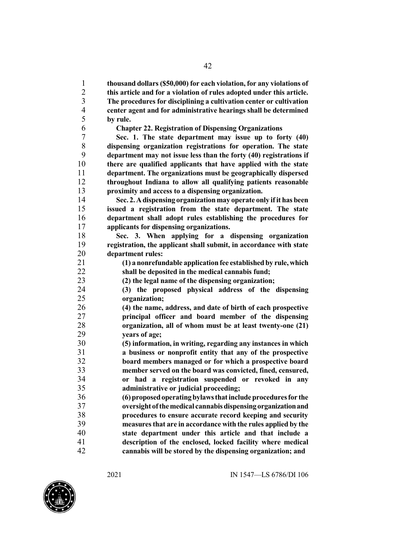**thousand dollars(\$50,000) for each violation, for any violations of this article and for a violation of rules adopted under this article. The procedures for disciplining a cultivation center or cultivation center agent and for administrative hearings shall be determined by rule.**

**Chapter 22. Registration of Dispensing Organizations**

 **Sec. 1. The state department may issue up to forty (40) dispensing organization registrations for operation. The state department may not issue less than the forty (40) registrations if there are qualified applicants that have applied with the state department. The organizations must be geographically dispersed throughout Indiana to allow all qualifying patients reasonable proximity and access to a dispensing organization.**

 **Sec. 2.Adispensing organization may operate only ifit has been issued a registration from the state department. The state department shall adopt rules establishing the procedures for applicants for dispensing organizations.**

 **Sec. 3. When applying for a dispensing organization registration, the applicant shall submit, in accordance with state department rules:**

 **(1) a nonrefundable application fee established by rule, which shall be deposited in the medical cannabis fund;**

**(2) the legal name of the dispensing organization;**

 **(3) the proposed physical address of the dispensing organization;**

 **(4) the name, address, and date of birth of each prospective principal officer and board member of the dispensing organization, all of whom must be at least twenty-one (21) years of age;**

 **(5) information, in writing, regarding any instances in which a business or nonprofit entity that any of the prospective board members managed or for which a prospective board member served on the board was convicted, fined, censured, or had a registration suspended or revoked in any administrative or judicial proceeding;**

 **(6)proposedoperatingbylawsthatincludeproceduresfor the oversight ofthemedical cannabisdispensing organizationand procedures to ensure accurate record keeping and security measuresthat are in accordance with the rules applied by the state department under this article and that include a description of the enclosed, locked facility where medical cannabis will be stored by the dispensing organization; and**

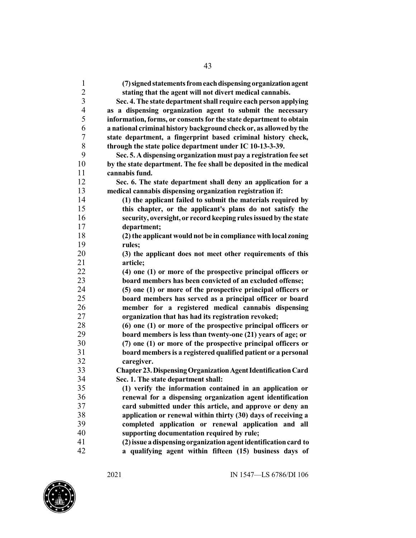| $\mathbf{1}$                              | (7) signed statements from each dispensing organization agent        |
|-------------------------------------------|----------------------------------------------------------------------|
| $\overline{c}$<br>$\overline{\mathbf{3}}$ | stating that the agent will not divert medical cannabis.             |
|                                           | Sec. 4. The state department shall require each person applying      |
| $\overline{\mathcal{L}}$                  | as a dispensing organization agent to submit the necessary           |
| 5                                         | information, forms, or consents for the state department to obtain   |
| 6                                         | a national criminal history background check or, as allowed by the   |
| 7                                         | state department, a fingerprint based criminal history check,        |
| 8                                         | through the state police department under IC 10-13-3-39.             |
| 9                                         | Sec. 5. A dispensing organization must pay a registration fee set    |
| 10                                        | by the state department. The fee shall be deposited in the medical   |
| 11                                        | cannabis fund.                                                       |
| 12                                        | Sec. 6. The state department shall deny an application for a         |
| 13                                        | medical cannabis dispensing organization registration if:            |
| 14                                        | (1) the applicant failed to submit the materials required by         |
| 15                                        | this chapter, or the applicant's plans do not satisfy the            |
| 16                                        | security, oversight, or record keeping rules issued by the state     |
| 17                                        | department;                                                          |
| 18                                        | (2) the applicant would not be in compliance with local zoning       |
| 19                                        | rules;                                                               |
| 20                                        | (3) the applicant does not meet other requirements of this           |
| 21                                        | article;                                                             |
| 22                                        | (4) one (1) or more of the prospective principal officers or         |
| 23                                        | board members has been convicted of an excluded offense;             |
| 24                                        | (5) one (1) or more of the prospective principal officers or         |
| 25                                        | board members has served as a principal officer or board             |
| 26                                        | member for a registered medical cannabis dispensing                  |
| 27                                        | organization that has had its registration revoked;                  |
| 28                                        | (6) one (1) or more of the prospective principal officers or         |
| 29                                        | board members is less than twenty-one (21) years of age; or          |
| 30                                        | (7) one (1) or more of the prospective principal officers or         |
| 31                                        | board members is a registered qualified patient or a personal        |
| 32                                        | caregiver.                                                           |
| 33                                        | <b>Chapter 23. Dispensing Organization Agent Identification Card</b> |
| 34                                        | Sec. 1. The state department shall:                                  |
| 35                                        | (1) verify the information contained in an application or            |
| 36                                        | renewal for a dispensing organization agent identification           |
| 37                                        | card submitted under this article, and approve or deny an            |
| 38                                        | application or renewal within thirty (30) days of receiving a        |
| 39                                        | completed application or renewal application and all                 |
| 40                                        | supporting documentation required by rule;                           |
| 41                                        | (2) issue a dispensing organization agent identification card to     |
| 42                                        | a qualifying agent within fifteen (15) business days of              |

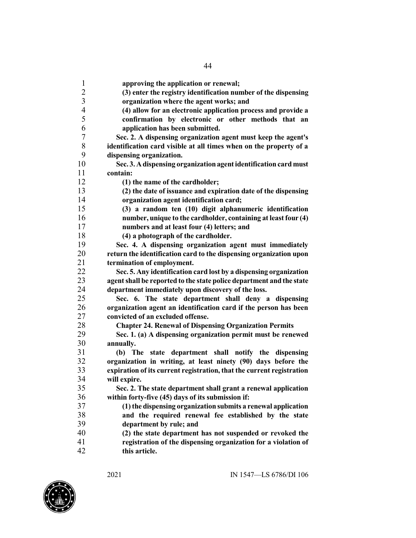**approving the application or renewal; (3) enter the registry identification number of the dispensing organization where the agent works; and (4) allow for an electronic application process and provide a confirmation by electronic or other methods that an application has been submitted. Sec. 2. A dispensing organization agent must keep the agent's identification card visible at all times when on the property of a dispensing organization. Sec. 3. Adispensing organizationagentidentification card must contain: (1) the name of the cardholder; (2) the date of issuance and expiration date of the dispensing organization agent identification card; (3) a random ten (10) digit alphanumeric identification number, unique to the cardholder, containing at leastfour (4) numbers and at least four (4) letters; and (4) a photograph of the cardholder. Sec. 4. A dispensing organization agent must immediately return the identification card to the dispensing organization upon termination of employment. Sec. 5. Any identification card lost by a dispensing organization agentshall be reported to the state police department and the state department immediately upon discovery of the loss. Sec. 6. The state department shall deny a dispensing organization agent an identification card if the person has been convicted of an excluded offense. Chapter 24. Renewal of Dispensing Organization Permits Sec. 1. (a) A dispensing organization permit must be renewed annually. (b) The state department shall notify the dispensing organization in writing, at least ninety (90) days before the expiration of its current registration, that the current registration will expire. Sec. 2. The state department shall grant a renewal application within forty-five (45) days of its submission if: (1)the dispensing organizationsubmits a renewal application and the required renewal fee established by the state department by rule; and (2) the state department has not suspended or revoked the registration of the dispensing organization for a violation of this article.**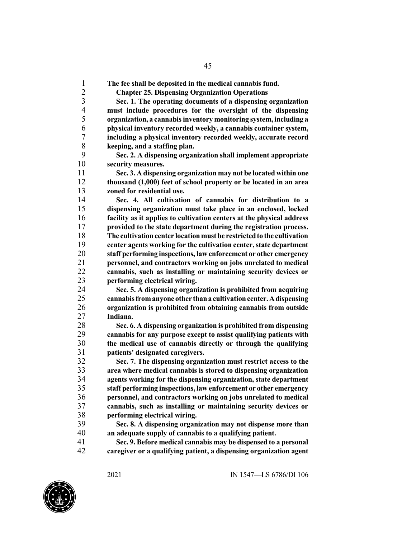**The fee shall be deposited in the medical cannabis fund.**

**Chapter 25. Dispensing Organization Operations**

 **Sec. 1. The operating documents of a dispensing organization must include procedures for the oversight of the dispensing organization, a cannabisinventory monitoring system, including a physical inventory recorded weekly, a cannabis container system, including a physical inventory recorded weekly, accurate record keeping, and a staffing plan.**

 **Sec. 2. A dispensing organization shall implement appropriate security measures.**

 **Sec. 3. A dispensing organization may not be located within one thousand (1,000) feet of school property or be located in an area zoned for residential use.**

 **Sec. 4. All cultivation of cannabis for distribution to a dispensing organization must take place in an enclosed, locked facility as it applies to cultivation centers at the physical address provided to the state department during the registration process. The cultivationcenter locationmust be restrictedto the cultivation center agents working for the cultivation center,state department staff performing inspections, law enforcement or other emergency personnel, and contractors working on jobs unrelated to medical cannabis, such as installing or maintaining security devices or performing electrical wiring.**

 **Sec. 5. A dispensing organization is prohibited from acquiring cannabisfromanyone other thana cultivationcenter.Adispensing organization is prohibited from obtaining cannabis from outside Indiana.**

 **Sec. 6. A dispensing organization is prohibited from dispensing cannabis for any purpose except to assist qualifying patients with the medical use of cannabis directly or through the qualifying patients' designated caregivers.**

 **Sec. 7. The dispensing organization must restrict access to the area where medical cannabis is stored to dispensing organization agents working for the dispensing organization, state department staff performing inspections, law enforcement or other emergency personnel, and contractors working on jobs unrelated to medical cannabis, such as installing or maintaining security devices or performing electrical wiring.**

 **Sec. 8. A dispensing organization may not dispense more than an adequate supply of cannabis to a qualifying patient.**

 **Sec. 9. Before medical cannabis may be dispensed to a personal caregiver or a qualifying patient, a dispensing organization agent**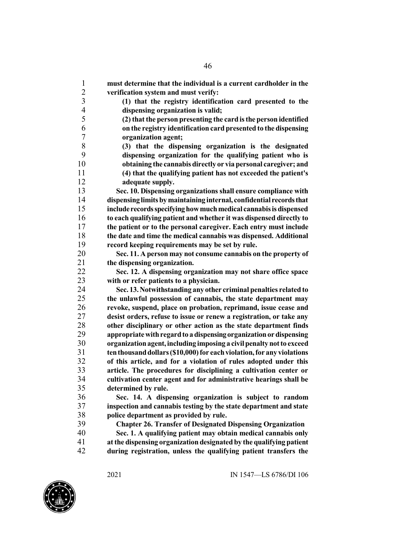**must determine that the individual is a current cardholder in the verification system and must verify: (1) that the registry identification card presented to the dispensing organization is valid; (2) that the person presenting the cardisthe person identified on the registry identification card presented to the dispensing organization agent; (3) that the dispensing organization is the designated dispensing organization for the qualifying patient who is obtaining the cannabis directly or via personal caregiver; and (4) that the qualifying patient has not exceeded the patient's adequate supply. Sec. 10. Dispensing organizations shall ensure compliance with dispensing limitsbymaintaining internal, confidential recordsthat include recordsspecifyinghowmuchmedical cannabisisdispensed to each qualifying patient and whether it was dispensed directly to the patient or to the personal caregiver. Each entry must include the date and time the medical cannabis was dispensed. Additional record keeping requirements may be set by rule. Sec. 11. A person may not consume cannabis on the property of the dispensing organization. Sec. 12. A dispensing organization may not share office space with or refer patients to a physician. Sec. 13.Notwithstanding any other criminal penalties related to the unlawful possession of cannabis, the state department may revoke, suspend, place on probation, reprimand, issue cease and desist orders, refuse to issue or renew a registration, or take any other disciplinary or other action as the state department finds appropriatewithregardto adispensingorganizationordispensing organizationagent,including imposing a civilpenaltynotto exceed tenthousanddollars(\$10,000)for eachviolation,for any violations of this article, and for a violation of rules adopted under this article. The procedures for disciplining a cultivation center or cultivation center agent and for administrative hearings shall be determined by rule. Sec. 14. A dispensing organization is subject to random inspection and cannabis testing by the state department and state police department as provided by rule. Chapter 26. Transfer of Designated Dispensing Organization Sec. 1. A qualifying patient may obtain medical cannabis only atthe dispensing organization designated by the qualifying patient during registration, unless the qualifying patient transfers the**

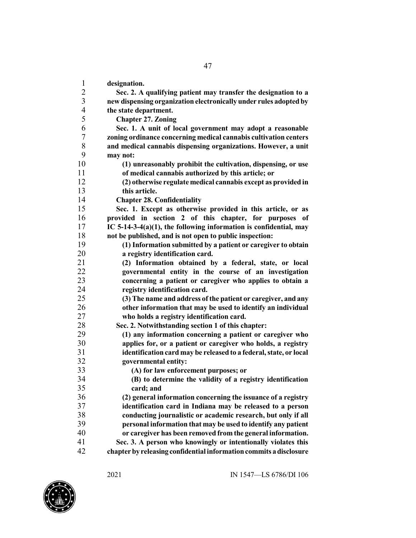| $\mathbf{1}$             | designation.                                                       |
|--------------------------|--------------------------------------------------------------------|
| $\frac{2}{3}$            | Sec. 2. A qualifying patient may transfer the designation to a     |
|                          | new dispensing organization electronically under rules adopted by  |
| $\overline{\mathcal{L}}$ | the state department.                                              |
| 5                        | <b>Chapter 27. Zoning</b>                                          |
| 6                        | Sec. 1. A unit of local government may adopt a reasonable          |
| $\tau$                   | zoning ordinance concerning medical cannabis cultivation centers   |
| $8\,$                    | and medical cannabis dispensing organizations. However, a unit     |
| 9                        | may not:                                                           |
| 10                       | (1) unreasonably prohibit the cultivation, dispensing, or use      |
| 11                       | of medical cannabis authorized by this article; or                 |
| 12                       | (2) otherwise regulate medical cannabis except as provided in      |
| 13                       | this article.                                                      |
| 14                       | <b>Chapter 28. Confidentiality</b>                                 |
| 15                       | Sec. 1. Except as otherwise provided in this article, or as        |
| 16                       | provided in section 2 of this chapter, for purposes of             |
| 17                       | IC 5-14-3-4(a)(1), the following information is confidential, may  |
| 18                       | not be published, and is not open to public inspection:            |
| 19                       | (1) Information submitted by a patient or caregiver to obtain      |
| 20                       | a registry identification card.                                    |
| 21                       | (2) Information obtained by a federal, state, or local             |
| 22                       | governmental entity in the course of an investigation              |
| 23                       | concerning a patient or caregiver who applies to obtain a          |
| 24                       | registry identification card.                                      |
| 25                       | (3) The name and address of the patient or caregiver, and any      |
| 26                       | other information that may be used to identify an individual       |
| 27                       | who holds a registry identification card.                          |
| 28                       | Sec. 2. Notwithstanding section 1 of this chapter:                 |
| 29                       | (1) any information concerning a patient or caregiver who          |
| 30                       | applies for, or a patient or caregiver who holds, a registry       |
| 31                       | identification card may be released to a federal, state, or local  |
| 32                       | governmental entity:                                               |
| 33                       | (A) for law enforcement purposes; or                               |
| 34                       | (B) to determine the validity of a registry identification         |
| 35                       | card; and                                                          |
| 36                       | (2) general information concerning the issuance of a registry      |
| 37                       | identification card in Indiana may be released to a person         |
| 38                       | conducting journalistic or academic research, but only if all      |
| 39                       | personal information that may be used to identify any patient      |
| 40                       | or caregiver has been removed from the general information.        |
| 41                       | Sec. 3. A person who knowingly or intentionally violates this      |
| 42                       | chapter by releasing confidential information commits a disclosure |

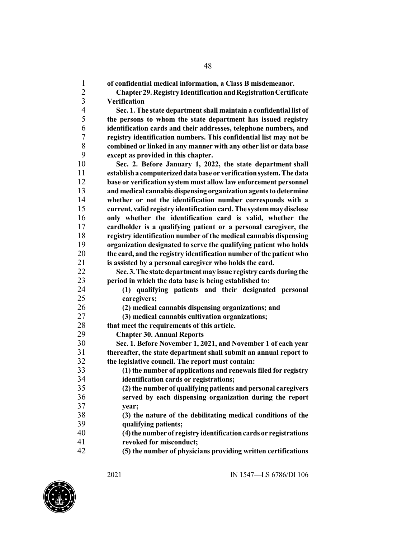**of confidential medical information, a Class B misdemeanor. Chapter 29.Registry IdentificationandRegistrationCertificate Verification Sec. 1.The state departmentshall maintain a confidential list of the persons to whom the state department has issued registry identification cards and their addresses, telephone numbers, and registry identification numbers. This confidential list may not be combined or linked in any manner with any other list or data base except as provided in this chapter. Sec. 2. Before January 1, 2022, the state department shall establisha computerizeddatabase or verificationsystem.Thedata base or verification system must allow law enforcement personnel and medical cannabis dispensing organization agentsto determine whether or not the identification number corresponds with a current, validregistry identificationcard.The systemmaydisclose only whether the identification card is valid, whether the cardholder is a qualifying patient or a personal caregiver, the registry identification number of the medical cannabis dispensing organization designated to serve the qualifying patient who holds the card, and the registry identification number of the patient who is assisted by a personal caregiver who holds the card. Sec. 3.The state department may issue registry cardsduring the period in which the data base is being established to: (1) qualifying patients and their designated personal caregivers; (2) medical cannabis dispensing organizations; and (3) medical cannabis cultivation organizations; that meet the requirements of this article. Chapter 30. Annual Reports Sec. 1. Before November 1, 2021, and November 1 of each year thereafter, the state department shall submit an annual report to the legislative council. The report must contain: (1) the number of applications and renewalsfiled for registry identification cards or registrations; (2) the number of qualifying patients and personal caregivers served by each dispensing organization during the report year; (3) the nature of the debilitating medical conditions of the qualifying patients; (4)thenumber of registry identificationcards or registrations revoked for misconduct;**

**(5) the number of physicians providing written certifications**

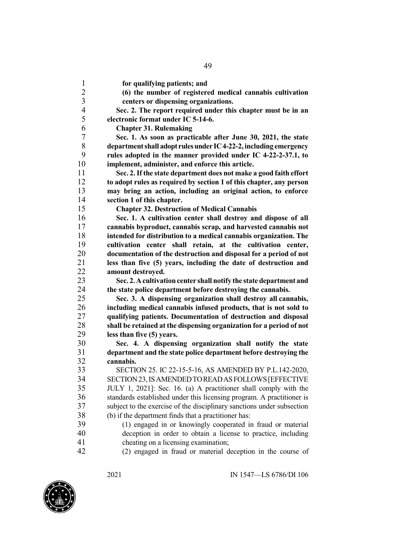**for qualifying patients; and (6) the number of registered medical cannabis cultivation centers or dispensing organizations. Sec. 2. The report required under this chapter must be in an electronic format under IC 5-14-6. Chapter 31. Rulemaking Sec. 1. As soon as practicable after June 30, 2021, the state departmentshall adopt rulesunder IC4-22-2,including emergency rules adopted in the manner provided under IC 4-22-2-37.1, to implement, administer, and enforce this article. Sec. 2.If the state department does not make a good faith effort to adopt rules as required by section 1 of this chapter, any person may bring an action, including an original action, to enforce section 1 of this chapter. Chapter 32. Destruction of Medical Cannabis Sec. 1. A cultivation center shall destroy and dispose of all cannabis byproduct, cannabis scrap, and harvested cannabis not intended for distribution to a medical cannabis organization. The cultivation center shall retain, at the cultivation center, documentation of the destruction and disposal for a period of not less than five (5) years, including the date of destruction and amount destroyed. Sec. 2.Acultivationcenter shall notify the state department and the state police department before destroying the cannabis. Sec. 3. A dispensing organization shall destroy all cannabis, including medical cannabis infused products, that is not sold to qualifying patients. Documentation of destruction and disposal shall be retained at the dispensing organization for a period of not less than five (5) years. Sec. 4. A dispensing organization shall notify the state department and the state police department before destroying the cannabis.** SECTION 25. IC 22-15-5-16, AS AMENDED BY P.L.142-2020, SECTION23,ISAMENDEDTOREADASFOLLOWS[EFFECTIVE JULY 1, 2021]: Sec. 16. (a) A practitioner shall comply with the standards established under this licensing program. A practitioner is subject to the exercise of the disciplinary sanctions under subsection (b) if the department finds that a practitioner has: (1) engaged in or knowingly cooperated in fraud or material deception in order to obtain a license to practice, including cheating on a licensing examination; (2) engaged in fraud or material deception in the course of

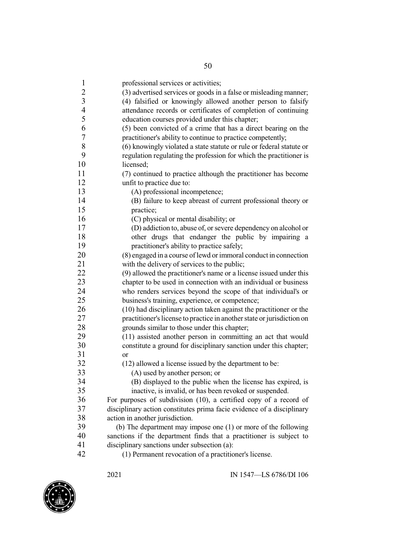|                         | 50                                                                                                |
|-------------------------|---------------------------------------------------------------------------------------------------|
| $\mathbf{1}$            | professional services or activities;                                                              |
| $\overline{c}$          | (3) advertised services or goods in a false or misleading manner;                                 |
| $\overline{\mathbf{3}}$ | (4) falsified or knowingly allowed another person to falsify                                      |
| $\overline{4}$          | attendance records or certificates of completion of continuing                                    |
| 5                       | education courses provided under this chapter;                                                    |
| 6                       | (5) been convicted of a crime that has a direct bearing on the                                    |
| $\sqrt{ }$              | practitioner's ability to continue to practice competently;                                       |
| $8\,$                   | (6) knowingly violated a state statute or rule or federal statute or                              |
| 9                       | regulation regulating the profession for which the practitioner is                                |
| 10                      | licensed;                                                                                         |
| 11                      | (7) continued to practice although the practitioner has become                                    |
| 12                      | unfit to practice due to:                                                                         |
| 13                      | (A) professional incompetence;                                                                    |
| 14                      | (B) failure to keep abreast of current professional theory or                                     |
| 15                      | practice;                                                                                         |
| 16                      | (C) physical or mental disability; or                                                             |
| 17                      | (D) addiction to, abuse of, or severe dependency on alcohol or                                    |
| 18                      | other drugs that endanger the public by impairing a                                               |
| 19                      | practitioner's ability to practice safely;                                                        |
| 20                      | (8) engaged in a course of lewd or immoral conduct in connection                                  |
| 21                      | with the delivery of services to the public;                                                      |
| 22                      | (9) allowed the practitioner's name or a license issued under this                                |
| 23                      | chapter to be used in connection with an individual or business                                   |
| 24                      | who renders services beyond the scope of that individual's or                                     |
| 25                      | business's training, experience, or competence;                                                   |
| 26                      | (10) had disciplinary action taken against the practitioner or the                                |
| 27                      | practitioner's license to practice in another state or jurisdiction on                            |
| 28                      | grounds similar to those under this chapter;                                                      |
| 29                      | (11) assisted another person in committing an act that would                                      |
| 30                      | constitute a ground for disciplinary sanction under this chapter;                                 |
| 31                      | <sub>or</sub>                                                                                     |
| 32                      | (12) allowed a license issued by the department to be:                                            |
| 33                      | (A) used by another person; or                                                                    |
| 34                      | (B) displayed to the public when the license has expired, is                                      |
| 35                      | inactive, is invalid, or has been revoked or suspended.                                           |
| 36<br>37                | For purposes of subdivision $(10)$ , a certified copy of a record of                              |
| 38                      | disciplinary action constitutes prima facie evidence of a disciplinary                            |
| 39                      | action in another jurisdiction.<br>(b) The department may impose one (1) or more of the following |
| 40                      | sanctions if the department finds that a practitioner is subject to                               |
| 41                      | disciplinary sanctions under subsection (a):                                                      |
| 42                      | (1) Permanent revocation of a practitioner's license.                                             |
|                         |                                                                                                   |

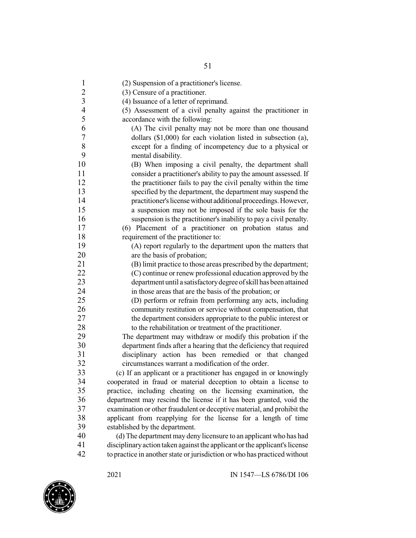| $\mathbf{1}$   | (2) Suspension of a practitioner's license.                                |
|----------------|----------------------------------------------------------------------------|
| $\overline{c}$ | (3) Censure of a practitioner.                                             |
| $\overline{3}$ | (4) Issuance of a letter of reprimand.                                     |
| $\overline{4}$ | (5) Assessment of a civil penalty against the practitioner in              |
| 5              | accordance with the following:                                             |
| 6              | (A) The civil penalty may not be more than one thousand                    |
| $\sqrt{ }$     | dollars $(\$1,000)$ for each violation listed in subsection $(a)$ ,        |
| $8\,$          | except for a finding of incompetency due to a physical or                  |
| 9              | mental disability.                                                         |
| 10             | (B) When imposing a civil penalty, the department shall                    |
| 11             | consider a practitioner's ability to pay the amount assessed. If           |
| 12             | the practitioner fails to pay the civil penalty within the time            |
| 13             | specified by the department, the department may suspend the                |
| 14             | practitioner's license without additional proceedings. However,            |
| 15             | a suspension may not be imposed if the sole basis for the                  |
| 16             | suspension is the practitioner's inability to pay a civil penalty.         |
| 17             | (6) Placement of a practitioner on probation status and                    |
| 18             | requirement of the practitioner to:                                        |
| 19             | (A) report regularly to the department upon the matters that               |
| 20             | are the basis of probation;                                                |
| 21             | (B) limit practice to those areas prescribed by the department;            |
| 22             | (C) continue or renew professional education approved by the               |
| 23             | department until a satisfactory degree of skill has been attained          |
| 24             | in those areas that are the basis of the probation; or                     |
| 25             | (D) perform or refrain from performing any acts, including                 |
| 26             | community restitution or service without compensation, that                |
| 27             | the department considers appropriate to the public interest or             |
| 28             | to the rehabilitation or treatment of the practitioner.                    |
| 29             | The department may withdraw or modify this probation if the                |
| 30             | department finds after a hearing that the deficiency that required         |
| 31             | disciplinary action has been remedied or that changed                      |
| 32             | circumstances warrant a modification of the order.                         |
| 33             | (c) If an applicant or a practitioner has engaged in or knowingly          |
| 34             | cooperated in fraud or material deception to obtain a license to           |
| 35             | practice, including cheating on the licensing examination, the             |
| 36             | department may rescind the license if it has been granted, void the        |
| 37             | examination or other fraudulent or deceptive material, and prohibit the    |
| 38             | applicant from reapplying for the license for a length of time             |
| 39             | established by the department.                                             |
| 40             | (d) The department may deny licensure to an applicant who has had          |
| 41             | disciplinary action taken against the applicant or the applicant's license |
| $\sim$         |                                                                            |

to practice in anotherstate or jurisdiction or who has practiced without

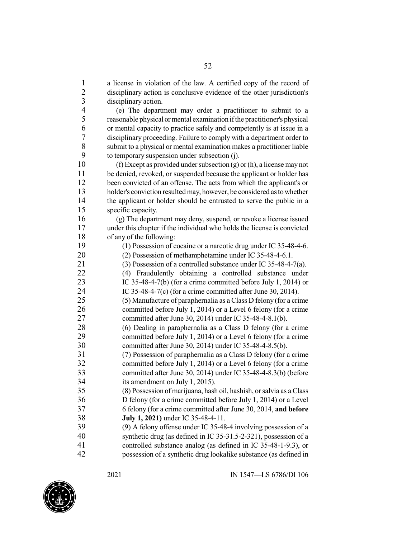a license in violation of the law. A certified copy of the record of disciplinary action is conclusive evidence of the other jurisdiction's disciplinary action. (e) The department may order a practitioner to submit to a reasonable physical ormental examination ifthe practitioner's physical or mental capacity to practice safely and competently is at issue in a 7 disciplinary proceeding. Failure to comply with a department order to<br>8 submit to a physical or mental examination makes a practitioner liable 8 submit to a physical or mental examination makes a practitioner liable<br>9 to temporary suspension under subsection  $(i)$ . to temporary suspension under subsection (j). 10 (f) Except as provided under subsection (g) or (h), a license may not be denied, revoked, or suspended because the applicant or holder has been convicted of an offense. The acts from which the applicant's or holder's conviction resultedmay, however, be considered astowhether 14 the applicant or holder should be entrusted to serve the public in a specific capacity. (g) The department may deny, suspend, or revoke a license issued under this chapter if the individual who holds the license is convicted of any of the following: (1) Possession of cocaine or a narcotic drug under IC 35-48-4-6. (2) Possession of methamphetamine under IC 35-48-4-6.1. (3) Possession of a controlled substance under IC 35-48-4-7(a). (4) Fraudulently obtaining a controlled substance under IC 35-48-4-7(b) (for a crime committed before July 1, 2014) or IC 35-48-4-7(c) (for a crime committed after June 30, 2014). (5) Manufacture of paraphernalia as a Class D felony (for a crime committed before July 1, 2014) or a Level 6 felony (for a crime committed after June 30, 2014) under IC 35-48-4-8.1(b). 28 (6) Dealing in paraphernalia as a Class D felony (for a crime<br>29 committed before July 1, 2014) or a Level 6 felony (for a crime committed before July 1, 2014) or a Level 6 felony (for a crime committed after June 30, 2014) under IC 35-48-4-8.5(b). (7) Possession of paraphernalia as a Class D felony (for a crime committed before July 1, 2014) or a Level 6 felony (for a crime committed after June 30, 2014) under IC 35-48-4-8.3(b) (before 34 its amendment on July 1, 2015).<br>35 (8) Possession of marijuana, hash (8) Possession of marijuana, hash oil, hashish, orsalvia as a Class D felony (for a crime committed before July 1, 2014) or a Level 6 felony (for a crime committed after June 30, 2014, **and before July 1, 2021)** under IC 35-48-4-11. (9) A felony offense under IC 35-48-4 involving possession of a synthetic drug (as defined in IC 35-31.5-2-321), possession of a controlled substance analog (as defined in IC 35-48-1-9.3), or

possession of a synthetic drug lookalike substance (as defined in

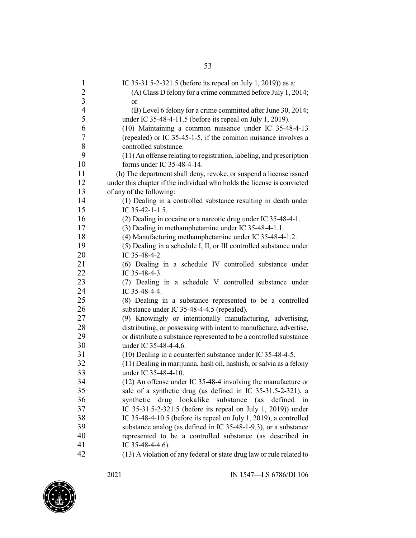| $\mathbf{1}$   | IC 35-31.5-2-321.5 (before its repeal on July 1, 2019)) as a:           |
|----------------|-------------------------------------------------------------------------|
| $\frac{2}{3}$  | (A) Class D felony for a crime committed before July 1, 2014;           |
|                | <sub>or</sub>                                                           |
| $\overline{4}$ | (B) Level 6 felony for a crime committed after June 30, 2014;           |
| 5              | under IC 35-48-4-11.5 (before its repeal on July 1, 2019).              |
| 6              | (10) Maintaining a common nuisance under IC 35-48-4-13                  |
| 7              | (repealed) or IC 35-45-1-5, if the common nuisance involves a           |
| $8\,$          | controlled substance.                                                   |
| 9              | (11) An offense relating to registration, labeling, and prescription    |
| 10             | forms under IC 35-48-4-14.                                              |
| 11             | (h) The department shall deny, revoke, or suspend a license issued      |
| 12             | under this chapter if the individual who holds the license is convicted |
| 13             | of any of the following:                                                |
| 14             | (1) Dealing in a controlled substance resulting in death under          |
| 15             | IC 35-42-1-1.5.                                                         |
| 16             | (2) Dealing in cocaine or a narcotic drug under IC 35-48-4-1.           |
| 17             | (3) Dealing in methamphetamine under IC 35-48-4-1.1.                    |
| 18             | (4) Manufacturing methamphetamine under IC 35-48-4-1.2.                 |
| 19             | (5) Dealing in a schedule I, II, or III controlled substance under      |
| 20             | IC 35-48-4-2.                                                           |
| 21             | (6) Dealing in a schedule IV controlled substance under                 |
| 22             | IC 35-48-4-3.                                                           |
| 23             | (7) Dealing in a schedule V controlled substance under                  |
| 24             | IC 35-48-4-4.                                                           |
| 25             | (8) Dealing in a substance represented to be a controlled               |
| 26             | substance under IC 35-48-4-4.5 (repealed).                              |
| 27             | (9) Knowingly or intentionally manufacturing, advertising,              |
| 28             | distributing, or possessing with intent to manufacture, advertise,      |
| 29             | or distribute a substance represented to be a controlled substance      |
| 30             | under IC 35-48-4-4.6.                                                   |
| 31             | (10) Dealing in a counterfeit substance under IC 35-48-4-5.             |
| 32             | (11) Dealing in marijuana, hash oil, hashish, or salvia as a felony     |
| 33             | under IC 35-48-4-10.                                                    |
| 34             | (12) An offense under IC 35-48-4 involving the manufacture or           |
| 35             | sale of a synthetic drug (as defined in IC 35-31.5-2-321), a            |
| 36             |                                                                         |
| 37             | lookalike substance (as defined<br>synthetic<br>drug<br>in              |
| 38             | IC 35-31.5-2-321.5 (before its repeal on July 1, 2019)) under           |
| 39             | IC 35-48-4-10.5 (before its repeal on July 1, 2019), a controlled       |
|                | substance analog (as defined in IC 35-48-1-9.3), or a substance         |
| 40             | represented to be a controlled substance (as described in               |
| 41             | IC 35-48-4-4.6).                                                        |
| 42             | (13) A violation of any federal or state drug law or rule related to    |

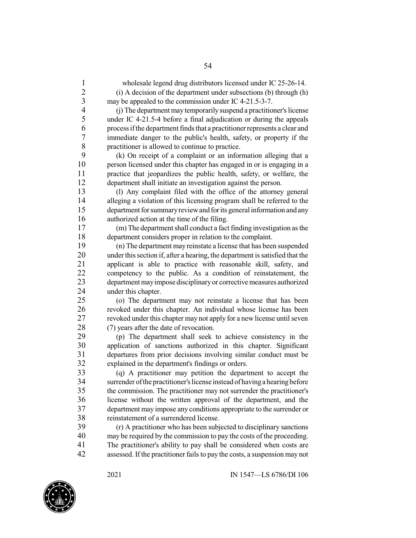7 immediate danger to the public's health, safety, or property if the practitioner is allowed to continue to practice. 8 practitioner is allowed to continue to practice.<br>9 (k) On receipt of a complaint or an information 9 (k) On receipt of a complaint or an information alleging that a person licensed under this chapter has engaged in or is engaging in a person licensed under this chapter has engaged in or is engaging in a practice that jeopardizes the public health, safety, or welfare, the department shall initiate an investigation against the person. (l) Any complaint filed with the office of the attorney general alleging a violation of this licensing program shall be referred to the 15 department for summary review and for its general information and any authorized action at the time of the filing. (m) The departmentshall conduct a fact finding investigation asthe department considers proper in relation to the complaint. (n) The department may reinstate a license that has been suspended

20 under this section if, after a hearing, the department is satisfied that the 21 applicant is able to practice with reasonable skill, safety, and competency to the public. As a condition of reinstatement, the competency to the public. As a condition of reinstatement, the 23 department may impose disciplinary or corrective measures authorized under this chapter.

 (o) The department may not reinstate a license that has been revoked under this chapter. An individual whose license has been revoked under this chapter may not apply for a new license untilseven 28 (7) years after the date of revocation.<br>29 (n) The denartment shall seek

29 (p) The department shall seek to achieve consistency in the<br>30 application of sanctions authorized in this chapter. Significant application of sanctions authorized in this chapter. Significant departures from prior decisions involving similar conduct must be explained in the department's findings or orders.

33 (q) A practitioner may petition the department to accept the surrender of the practitioner's license instead of having a hearing before 34 surrender of the practitioner's license instead of having a hearing before<br>35 the commission. The practitioner may not surrender the practitioner's the commission. The practitioner may not surrender the practitioner's license without the written approval of the department, and the department may impose any conditions appropriate to the surrender or 38 reinstatement of a surrendered license.<br>39 (r) A practitioner who has been subj

 (r) A practitioner who has been subjected to disciplinary sanctions may be required by the commission to pay the costs of the proceeding. The practitioner's ability to pay shall be considered when costs are assessed. If the practitioner failsto pay the costs, a suspension may not

 wholesale legend drug distributors licensed under IC 25-26-14. (i) A decision of the department under subsections (b) through (h)

 (j) The department maytemporarilysuspend a practitioner'slicense 5 under IC 4-21.5-4 before a final adjudication or during the appeals<br>6 occess if the department finds that a practitioner represents a clear and process if the department finds that a practitioner represents a clear and

may be appealed to the commission under IC 4-21.5-3-7.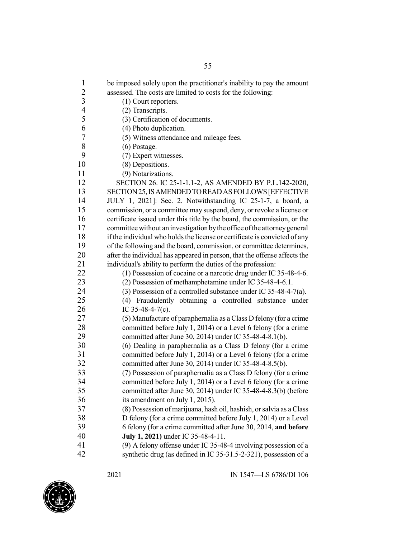| $\mathbf{1}$<br>be imposed solely upon the practitioner's inability to pay the amount<br>$\overline{c}$<br>assessed. The costs are limited to costs for the following:<br>$\mathfrak{Z}$<br>(1) Court reporters.<br>$\overline{\mathcal{L}}$<br>(2) Transcripts.<br>5<br>(3) Certification of documents.<br>6<br>(4) Photo duplication.<br>$\tau$<br>(5) Witness attendance and mileage fees.<br>8<br>$(6)$ Postage.<br>9<br>(7) Expert witnesses.<br>10<br>(8) Depositions.<br>11<br>(9) Notarizations.<br>12<br>SECTION 26. IC 25-1-1.1-2, AS AMENDED BY P.L.142-2020,<br>13<br>SECTION 25, IS AMENDED TO READ AS FOLLOWS [EFFECTIVE |    |                                                              |
|----------------------------------------------------------------------------------------------------------------------------------------------------------------------------------------------------------------------------------------------------------------------------------------------------------------------------------------------------------------------------------------------------------------------------------------------------------------------------------------------------------------------------------------------------------------------------------------------------------------------------------------|----|--------------------------------------------------------------|
|                                                                                                                                                                                                                                                                                                                                                                                                                                                                                                                                                                                                                                        |    |                                                              |
|                                                                                                                                                                                                                                                                                                                                                                                                                                                                                                                                                                                                                                        |    |                                                              |
|                                                                                                                                                                                                                                                                                                                                                                                                                                                                                                                                                                                                                                        |    |                                                              |
|                                                                                                                                                                                                                                                                                                                                                                                                                                                                                                                                                                                                                                        |    |                                                              |
|                                                                                                                                                                                                                                                                                                                                                                                                                                                                                                                                                                                                                                        |    |                                                              |
|                                                                                                                                                                                                                                                                                                                                                                                                                                                                                                                                                                                                                                        |    |                                                              |
|                                                                                                                                                                                                                                                                                                                                                                                                                                                                                                                                                                                                                                        |    |                                                              |
|                                                                                                                                                                                                                                                                                                                                                                                                                                                                                                                                                                                                                                        |    |                                                              |
|                                                                                                                                                                                                                                                                                                                                                                                                                                                                                                                                                                                                                                        |    |                                                              |
|                                                                                                                                                                                                                                                                                                                                                                                                                                                                                                                                                                                                                                        |    |                                                              |
|                                                                                                                                                                                                                                                                                                                                                                                                                                                                                                                                                                                                                                        |    |                                                              |
|                                                                                                                                                                                                                                                                                                                                                                                                                                                                                                                                                                                                                                        |    |                                                              |
|                                                                                                                                                                                                                                                                                                                                                                                                                                                                                                                                                                                                                                        |    |                                                              |
|                                                                                                                                                                                                                                                                                                                                                                                                                                                                                                                                                                                                                                        | 14 | JULY 1, 2021]: Sec. 2. Notwithstanding IC 25-1-7, a board, a |
| 15<br>commission, or a committee may suspend, deny, or revoke a license or                                                                                                                                                                                                                                                                                                                                                                                                                                                                                                                                                             |    |                                                              |
| 16<br>certificate issued under this title by the board, the commission, or the                                                                                                                                                                                                                                                                                                                                                                                                                                                                                                                                                         |    |                                                              |
| 17<br>committee without an investigation by the office of the attorney general                                                                                                                                                                                                                                                                                                                                                                                                                                                                                                                                                         |    |                                                              |
| 18<br>if the individual who holds the license or certificate is convicted of any                                                                                                                                                                                                                                                                                                                                                                                                                                                                                                                                                       |    |                                                              |
| 19<br>of the following and the board, commission, or committee determines,                                                                                                                                                                                                                                                                                                                                                                                                                                                                                                                                                             |    |                                                              |
| 20<br>after the individual has appeared in person, that the offense affects the                                                                                                                                                                                                                                                                                                                                                                                                                                                                                                                                                        |    |                                                              |
| 21<br>individual's ability to perform the duties of the profession:                                                                                                                                                                                                                                                                                                                                                                                                                                                                                                                                                                    |    |                                                              |
| 22<br>(1) Possession of cocaine or a narcotic drug under IC 35-48-4-6.                                                                                                                                                                                                                                                                                                                                                                                                                                                                                                                                                                 |    |                                                              |
| 23<br>(2) Possession of methamphetamine under IC 35-48-4-6.1.                                                                                                                                                                                                                                                                                                                                                                                                                                                                                                                                                                          |    |                                                              |
| 24<br>(3) Possession of a controlled substance under IC 35-48-4-7(a).                                                                                                                                                                                                                                                                                                                                                                                                                                                                                                                                                                  |    |                                                              |
| 25<br>(4) Fraudulently obtaining a controlled substance under                                                                                                                                                                                                                                                                                                                                                                                                                                                                                                                                                                          |    |                                                              |
| 26<br>IC 35-48-4-7(c).                                                                                                                                                                                                                                                                                                                                                                                                                                                                                                                                                                                                                 |    |                                                              |
| 27<br>(5) Manufacture of paraphernalia as a Class D felony (for a crime                                                                                                                                                                                                                                                                                                                                                                                                                                                                                                                                                                |    |                                                              |
| 28<br>committed before July 1, 2014) or a Level 6 felony (for a crime                                                                                                                                                                                                                                                                                                                                                                                                                                                                                                                                                                  |    |                                                              |
| 29<br>committed after June 30, 2014) under IC 35-48-4-8.1(b).                                                                                                                                                                                                                                                                                                                                                                                                                                                                                                                                                                          |    |                                                              |
| 30<br>(6) Dealing in paraphernalia as a Class D felony (for a crime                                                                                                                                                                                                                                                                                                                                                                                                                                                                                                                                                                    |    |                                                              |
| 31<br>committed before July 1, 2014) or a Level 6 felony (for a crime                                                                                                                                                                                                                                                                                                                                                                                                                                                                                                                                                                  |    |                                                              |
| 32<br>committed after June 30, 2014) under IC 35-48-4-8.5(b).                                                                                                                                                                                                                                                                                                                                                                                                                                                                                                                                                                          |    |                                                              |
| 33<br>(7) Possession of paraphernalia as a Class D felony (for a crime                                                                                                                                                                                                                                                                                                                                                                                                                                                                                                                                                                 |    |                                                              |
| 34<br>committed before July 1, 2014) or a Level 6 felony (for a crime                                                                                                                                                                                                                                                                                                                                                                                                                                                                                                                                                                  |    |                                                              |
| 35<br>committed after June 30, 2014) under IC 35-48-4-8.3(b) (before                                                                                                                                                                                                                                                                                                                                                                                                                                                                                                                                                                   |    |                                                              |
| 36<br>its amendment on July 1, 2015).                                                                                                                                                                                                                                                                                                                                                                                                                                                                                                                                                                                                  |    |                                                              |
| 37<br>(8) Possession of marijuana, hash oil, hashish, or salvia as a Class                                                                                                                                                                                                                                                                                                                                                                                                                                                                                                                                                             |    |                                                              |
| 38<br>D felony (for a crime committed before July 1, 2014) or a Level                                                                                                                                                                                                                                                                                                                                                                                                                                                                                                                                                                  |    |                                                              |
| 39<br>6 felony (for a crime committed after June 30, 2014, and before                                                                                                                                                                                                                                                                                                                                                                                                                                                                                                                                                                  |    |                                                              |
| 40<br>July 1, 2021) under IC 35-48-4-11.                                                                                                                                                                                                                                                                                                                                                                                                                                                                                                                                                                                               |    |                                                              |
| 41<br>(9) A felony offense under IC 35-48-4 involving possession of a                                                                                                                                                                                                                                                                                                                                                                                                                                                                                                                                                                  |    |                                                              |
| 42<br>synthetic drug (as defined in IC 35-31.5-2-321), possession of a                                                                                                                                                                                                                                                                                                                                                                                                                                                                                                                                                                 |    |                                                              |

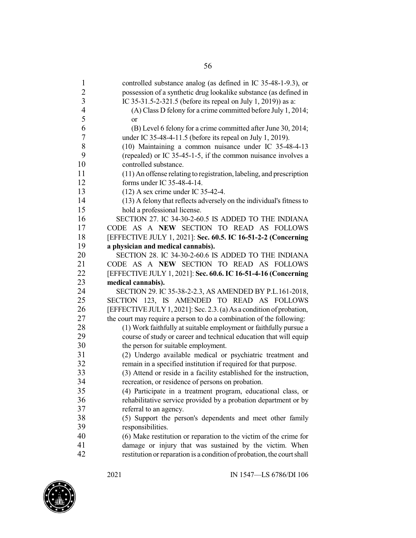| $\mathbf{1}$     | controlled substance analog (as defined in IC 35-48-1-9.3), or         |
|------------------|------------------------------------------------------------------------|
| $\overline{c}$   | possession of a synthetic drug lookalike substance (as defined in      |
| $\overline{3}$   | IC 35-31.5-2-321.5 (before its repeal on July 1, 2019)) as a:          |
| $\overline{4}$   | (A) Class D felony for a crime committed before July 1, 2014;          |
| 5                | or                                                                     |
| 6                | (B) Level 6 felony for a crime committed after June 30, 2014;          |
| $\boldsymbol{7}$ | under IC 35-48-4-11.5 (before its repeal on July 1, 2019).             |
| $8\,$            | (10) Maintaining a common nuisance under IC 35-48-4-13                 |
| 9                | (repealed) or IC 35-45-1-5, if the common nuisance involves a          |
| 10               | controlled substance.                                                  |
| 11               | (11) An offense relating to registration, labeling, and prescription   |
| 12               | forms under IC 35-48-4-14.                                             |
| 13               | $(12)$ A sex crime under IC 35-42-4.                                   |
| 14               | (13) A felony that reflects adversely on the individual's fitness to   |
| 15               | hold a professional license.                                           |
| 16               | SECTION 27. IC 34-30-2-60.5 IS ADDED TO THE INDIANA                    |
| 17               | CODE AS A NEW SECTION TO READ AS FOLLOWS                               |
| 18               | [EFFECTIVE JULY 1, 2021]: Sec. 60.5. IC 16-51-2-2 (Concerning          |
| 19               | a physician and medical cannabis).                                     |
| 20               | SECTION 28. IC 34-30-2-60.6 IS ADDED TO THE INDIANA                    |
| 21               | CODE AS A NEW SECTION TO READ AS FOLLOWS                               |
| 22               |                                                                        |
| 23               | [EFFECTIVE JULY 1, 2021]: Sec. 60.6. IC 16-51-4-16 (Concerning         |
| 24               | medical cannabis).                                                     |
| 25               | SECTION 29. IC 35-38-2-2.3, AS AMENDED BY P.L.161-2018,                |
| 26               | SECTION 123, IS AMENDED TO READ AS FOLLOWS                             |
| 27               | [EFFECTIVE JULY 1, 2021]: Sec. 2.3. (a) As a condition of probation,   |
| 28               | the court may require a person to do a combination of the following:   |
| 29               | (1) Work faithfully at suitable employment or faithfully pursue a      |
| 30               | course of study or career and technical education that will equip      |
| 31               | the person for suitable employment.                                    |
| 32               | (2) Undergo available medical or psychiatric treatment and             |
| 33               | remain in a specified institution if required for that purpose.        |
| 34               | (3) Attend or reside in a facility established for the instruction,    |
|                  | recreation, or residence of persons on probation.                      |
| 35               | (4) Participate in a treatment program, educational class, or          |
| 36               | rehabilitative service provided by a probation department or by        |
| 37               | referral to an agency.                                                 |
| 38               | (5) Support the person's dependents and meet other family              |
| 39               | responsibilities.                                                      |
| 40               | (6) Make restitution or reparation to the victim of the crime for      |
| 41               | damage or injury that was sustained by the victim. When                |
| 42               | restitution or reparation is a condition of probation, the court shall |

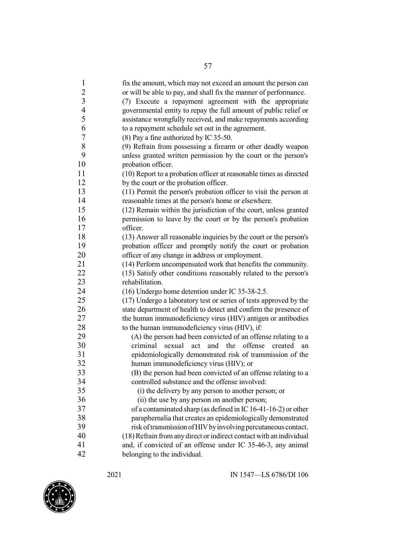|                          | ЭI                                                                                                                                |
|--------------------------|-----------------------------------------------------------------------------------------------------------------------------------|
| $\mathbf{1}$             | fix the amount, which may not exceed an amount the person can                                                                     |
| $\overline{c}$           | or will be able to pay, and shall fix the manner of performance.                                                                  |
| $\overline{3}$           | (7) Execute a repayment agreement with the appropriate                                                                            |
| $\overline{\mathcal{L}}$ | governmental entity to repay the full amount of public relief or                                                                  |
| 5                        | assistance wrongfully received, and make repayments according                                                                     |
| 6                        | to a repayment schedule set out in the agreement.                                                                                 |
| 7                        | (8) Pay a fine authorized by IC 35-50.                                                                                            |
| 8                        | (9) Refrain from possessing a firearm or other deadly weapon                                                                      |
| 9                        | unless granted written permission by the court or the person's                                                                    |
| 10                       | probation officer.                                                                                                                |
| 11                       | (10) Report to a probation officer at reasonable times as directed                                                                |
| 12                       | by the court or the probation officer.                                                                                            |
| 13                       | (11) Permit the person's probation officer to visit the person at                                                                 |
| 14                       | reasonable times at the person's home or elsewhere.                                                                               |
| 15                       | (12) Remain within the jurisdiction of the court, unless granted                                                                  |
| 16                       | permission to leave by the court or by the person's probation                                                                     |
| 17                       | officer.                                                                                                                          |
| 18                       | (13) Answer all reasonable inquiries by the court or the person's                                                                 |
| 19                       | probation officer and promptly notify the court or probation                                                                      |
| 20                       | officer of any change in address or employment.                                                                                   |
| 21                       | (14) Perform uncompensated work that benefits the community.                                                                      |
| 22                       | (15) Satisfy other conditions reasonably related to the person's                                                                  |
| 23                       | rehabilitation.                                                                                                                   |
| 24                       | (16) Undergo home detention under IC 35-38-2.5.                                                                                   |
| 25                       | (17) Undergo a laboratory test or series of tests approved by the                                                                 |
| 26                       | state department of health to detect and confirm the presence of                                                                  |
| 27                       | the human immunodeficiency virus (HIV) antigen or antibodies                                                                      |
| 28<br>29                 | to the human immunodeficiency virus (HIV), if:                                                                                    |
| 30                       | (A) the person had been convicted of an offense relating to a<br>criminal<br>sexual<br>offense<br>act<br>and the<br>created<br>an |
| 31                       | epidemiologically demonstrated risk of transmission of the                                                                        |
| 32                       | human immunodeficiency virus (HIV); or                                                                                            |
| 33                       | (B) the person had been convicted of an offense relating to a                                                                     |
| 34                       | controlled substance and the offense involved:                                                                                    |
| 35                       | (i) the delivery by any person to another person; or                                                                              |
| 36                       | (ii) the use by any person on another person;                                                                                     |
| 37                       | of a contaminated sharp (as defined in IC 16-41-16-2) or other                                                                    |
| 38                       | paraphernalia that creates an epidemiologically demonstrated                                                                      |
| 39                       | risk of transmission of HIV by involving percutaneous contact.                                                                    |
| 40                       | (18) Refrain from any direct or indirect contact with an individual                                                               |
| 41                       | and, if convicted of an offense under IC 35-46-3, any animal                                                                      |
| 42                       | belonging to the individual.                                                                                                      |

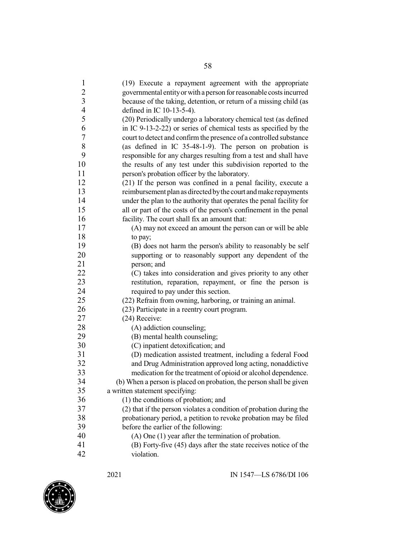| $\mathbf{1}$             | (19) Execute a repayment agreement with the appropriate              |
|--------------------------|----------------------------------------------------------------------|
|                          | governmental entity or with a person for reasonable costs incurred   |
| $\frac{2}{3}$            | because of the taking, detention, or return of a missing child (as   |
| $\overline{\mathcal{A}}$ | defined in IC 10-13-5-4).                                            |
| 5                        | (20) Periodically undergo a laboratory chemical test (as defined     |
| 6                        | in IC 9-13-2-22) or series of chemical tests as specified by the     |
| $\tau$                   | court to detect and confirm the presence of a controlled substance   |
| $8\,$                    | (as defined in IC 35-48-1-9). The person on probation is             |
| 9                        | responsible for any charges resulting from a test and shall have     |
| 10                       | the results of any test under this subdivision reported to the       |
| 11                       | person's probation officer by the laboratory.                        |
| 12                       | (21) If the person was confined in a penal facility, execute a       |
| 13                       | reimbursement plan as directed by the court and make repayments      |
| 14                       | under the plan to the authority that operates the penal facility for |
| 15                       | all or part of the costs of the person's confinement in the penal    |
| 16                       | facility. The court shall fix an amount that:                        |
| 17                       | (A) may not exceed an amount the person can or will be able          |
| 18                       | to pay;                                                              |
| 19                       | (B) does not harm the person's ability to reasonably be self         |
| 20                       | supporting or to reasonably support any dependent of the             |
| 21                       | person; and                                                          |
| 22                       | (C) takes into consideration and gives priority to any other         |
| 23                       | restitution, reparation, repayment, or fine the person is            |
| 24                       | required to pay under this section.                                  |
| 25                       | (22) Refrain from owning, harboring, or training an animal.          |
| 26                       | (23) Participate in a reentry court program.                         |
| 27                       | (24) Receive:                                                        |
| 28                       | (A) addiction counseling;                                            |
| 29                       | (B) mental health counseling;                                        |
| 30                       | (C) inpatient detoxification; and                                    |
| 31                       | (D) medication assisted treatment, including a federal Food          |
| 32                       | and Drug Administration approved long acting, nonaddictive           |
| 33                       | medication for the treatment of opioid or alcohol dependence.        |
| 34                       | (b) When a person is placed on probation, the person shall be given  |
| 35                       | a written statement specifying:                                      |
| 36                       | (1) the conditions of probation; and                                 |
| 37                       | (2) that if the person violates a condition of probation during the  |
| 38                       | probationary period, a petition to revoke probation may be filed     |
| 39                       | before the earlier of the following:                                 |
| 40                       | $(A)$ One $(1)$ year after the termination of probation.             |
| 41                       | (B) Forty-five (45) days after the state receives notice of the      |
| 42                       | violation.                                                           |

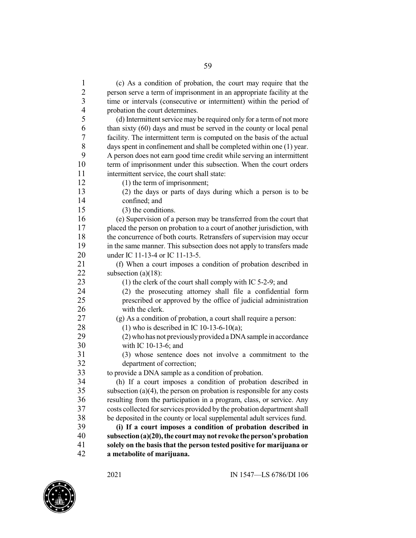(c) As a condition of probation, the court may require that the person serve a term of imprisonment in an appropriate facility at the time or intervals (consecutive or intermittent) within the period of probation the court determines. 5 (d) Intermittent service may be required only for a term of not more<br>6 than sixty (60) days and must be served in the county or local penal than sixty (60) days and must be served in the county or local penal 7 facility. The intermittent term is computed on the basis of the actual<br>8 days spent in confinement and shall be completed within one (1) year. 8 days spent in confinement and shall be completed within one (1) year.<br>9 A person does not earn good time credit while serving an intermittent 9 A person does not earn good time credit while serving an intermittent 10 term of imprisonment under this subsection. When the court orders term of imprisonment under this subsection. When the court orders intermittent service, the court shall state: 12 (1) the term of imprisonment; (2) the days or parts of days during which a person is to be confined; and (3) the conditions. (e) Supervision of a person may be transferred from the court that 17 placed the person on probation to a court of another jurisdiction, with the concurrence of both courts. Retransfers of supervision may occur in the same manner. This subsection does not apply to transfers made under IC 11-13-4 or IC 11-13-5. 21 (f) When a court imposes a condition of probation described in subsection  $(a)(18)$ : subsection  $(a)(18)$ : 23 (1) the clerk of the court shall comply with IC 5-2-9; and (2) the prosecuting attorney shall file a confidential form prescribed or approved by the office of judicial administration with the clerk. (g) As a condition of probation, a court shall require a person: 28 (1) who is described in IC 10-13-6-10(a);<br>29 (2) who has not previously provided a DNA (2) who has not previously provided a DNA sample in accordance with IC 10-13-6; and (3) whose sentence does not involve a commitment to the department of correction; 33 to provide a DNA sample as a condition of probation.<br>34 (h) If a court imposes a condition of probation 34 (h) If a court imposes a condition of probation described in subsection  $(a)(4)$ , the person on probation is responsible for any costs subsection (a)(4), the person on probation is responsible for any costs resulting from the participation in a program, class, or service. Any 37 costs collected for services provided by the probation department shall 38 be deposited in the county or local supplemental adult services fund.<br>39 (i) If a court imposes a condition of probation described in **(i) If a court imposes a condition of probation described in subsection(a)(20),the courtmaynot revoke theperson'sprobation solely on the basis that the person tested positive for marijuana or a metabolite of marijuana.**

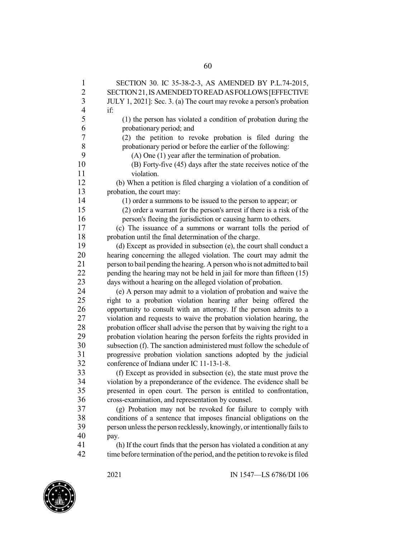| $\mathbf{1}$             | SECTION 30. IC 35-38-2-3, AS AMENDED BY P.L.74-2015,                       |
|--------------------------|----------------------------------------------------------------------------|
| $\overline{c}$           | SECTION 21, IS AMENDED TO READ AS FOLLOWS [EFFECTIVE                       |
| $\overline{\mathbf{3}}$  | JULY 1, 2021]: Sec. 3. (a) The court may revoke a person's probation       |
| $\overline{\mathcal{L}}$ | if:                                                                        |
| 5                        | (1) the person has violated a condition of probation during the            |
| 6                        | probationary period; and                                                   |
| $\sqrt{ }$               | (2) the petition to revoke probation is filed during the                   |
| $8\,$                    | probationary period or before the earlier of the following:                |
| 9                        | $(A)$ One $(1)$ year after the termination of probation.                   |
| 10                       | (B) Forty-five (45) days after the state receives notice of the            |
| 11                       | violation.                                                                 |
| 12                       | (b) When a petition is filed charging a violation of a condition of        |
| 13                       | probation, the court may:                                                  |
| 14                       | (1) order a summons to be issued to the person to appear; or               |
| 15                       | (2) order a warrant for the person's arrest if there is a risk of the      |
| 16                       | person's fleeing the jurisdiction or causing harm to others.               |
| 17                       | (c) The issuance of a summons or warrant tolls the period of               |
| 18                       | probation until the final determination of the charge.                     |
| 19                       | (d) Except as provided in subsection (e), the court shall conduct a        |
| 20                       | hearing concerning the alleged violation. The court may admit the          |
| 21                       | person to bail pending the hearing. A person who is not admitted to bail   |
| 22                       | pending the hearing may not be held in jail for more than fifteen (15)     |
| 23                       | days without a hearing on the alleged violation of probation.              |
| 24                       | (e) A person may admit to a violation of probation and waive the           |
| 25                       | right to a probation violation hearing after being offered the             |
| 26                       | opportunity to consult with an attorney. If the person admits to a         |
| 27                       | violation and requests to waive the probation violation hearing, the       |
| 28                       | probation officer shall advise the person that by waiving the right to a   |
| 29                       | probation violation hearing the person forfeits the rights provided in     |
| 30                       | subsection (f). The sanction administered must follow the schedule of      |
| 31                       | progressive probation violation sanctions adopted by the judicial          |
| 32                       | conference of Indiana under IC 11-13-1-8.                                  |
| 33                       | (f) Except as provided in subsection (e), the state must prove the         |
| 34                       | violation by a preponderance of the evidence. The evidence shall be        |
| 35                       | presented in open court. The person is entitled to confrontation,          |
| 36                       | cross-examination, and representation by counsel.                          |
| 37                       | (g) Probation may not be revoked for failure to comply with                |
| 38                       | conditions of a sentence that imposes financial obligations on the         |
| 39                       | person unless the person recklessly, knowingly, or intentionally fails to  |
| 40                       | pay.                                                                       |
| 41                       | (h) If the court finds that the person has violated a condition at any     |
| 42                       | time before termination of the period, and the petition to revoke is filed |

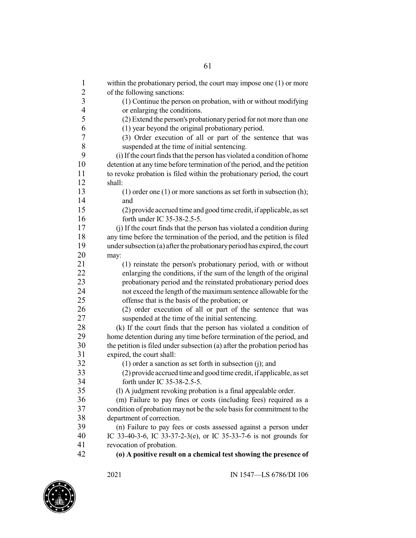| $\overline{c}$<br>of the following sanctions:<br>3<br>(1) Continue the person on probation, with or without modifying<br>$\overline{4}$<br>or enlarging the conditions.<br>5<br>(2) Extend the person's probationary period for not more than one<br>6<br>(1) year beyond the original probationary period.<br>7<br>(3) Order execution of all or part of the sentence that was<br>8<br>suspended at the time of initial sentencing.<br>9<br>(i) If the court finds that the person has violated a condition of home<br>10<br>detention at any time before termination of the period, and the petition<br>11<br>to revoke probation is filed within the probationary period, the court<br>12<br>shall:<br>13<br>$(1)$ order one $(1)$ or more sanctions as set forth in subsection $(h)$ ;<br>14<br>and<br>15<br>(2) provide accrued time and good time credit, if applicable, as set<br>16<br>forth under IC 35-38-2.5-5.<br>17<br>(i) If the court finds that the person has violated a condition during<br>18<br>any time before the termination of the period, and the petition is filed<br>19<br>under subsection (a) after the probationary period has expired, the court<br>20<br>may:<br>21<br>(1) reinstate the person's probationary period, with or without<br>22<br>enlarging the conditions, if the sum of the length of the original<br>23<br>probationary period and the reinstated probationary period does<br>24<br>not exceed the length of the maximum sentence allowable for the<br>25<br>offense that is the basis of the probation; or<br>26<br>(2) order execution of all or part of the sentence that was<br>27<br>suspended at the time of the initial sentencing.<br>28<br>(k) If the court finds that the person has violated a condition of<br>29<br>home detention during any time before termination of the period, and<br>30<br>the petition is filed under subsection (a) after the probation period has<br>31<br>expired, the court shall:<br>32<br>$(1)$ order a sanction as set forth in subsection $(i)$ ; and<br>33<br>(2) provide accrued time and good time credit, if applicable, as set<br>34<br>forth under IC 35-38-2.5-5.<br>35<br>(1) A judgment revoking probation is a final appealable order.<br>36<br>(m) Failure to pay fines or costs (including fees) required as a<br>37<br>condition of probation may not be the sole basis for commitment to the<br>38<br>department of correction.<br>39<br>(n) Failure to pay fees or costs assessed against a person under<br>40<br>IC 33-40-3-6, IC 33-37-2-3(e), or IC 35-33-7-6 is not grounds for<br>41<br>revocation of probation.<br>42<br>(o) A positive result on a chemical test showing the presence of | $\mathbf{1}$ | within the probationary period, the court may impose one $(1)$ or more |
|-------------------------------------------------------------------------------------------------------------------------------------------------------------------------------------------------------------------------------------------------------------------------------------------------------------------------------------------------------------------------------------------------------------------------------------------------------------------------------------------------------------------------------------------------------------------------------------------------------------------------------------------------------------------------------------------------------------------------------------------------------------------------------------------------------------------------------------------------------------------------------------------------------------------------------------------------------------------------------------------------------------------------------------------------------------------------------------------------------------------------------------------------------------------------------------------------------------------------------------------------------------------------------------------------------------------------------------------------------------------------------------------------------------------------------------------------------------------------------------------------------------------------------------------------------------------------------------------------------------------------------------------------------------------------------------------------------------------------------------------------------------------------------------------------------------------------------------------------------------------------------------------------------------------------------------------------------------------------------------------------------------------------------------------------------------------------------------------------------------------------------------------------------------------------------------------------------------------------------------------------------------------------------------------------------------------------------------------------------------------------------------------------------------------------------------------------------------------------------------------------------------------------------------------------------------------------------------------------------------------------------------------------------------------------------------------------------------|--------------|------------------------------------------------------------------------|
|                                                                                                                                                                                                                                                                                                                                                                                                                                                                                                                                                                                                                                                                                                                                                                                                                                                                                                                                                                                                                                                                                                                                                                                                                                                                                                                                                                                                                                                                                                                                                                                                                                                                                                                                                                                                                                                                                                                                                                                                                                                                                                                                                                                                                                                                                                                                                                                                                                                                                                                                                                                                                                                                                                             |              |                                                                        |
|                                                                                                                                                                                                                                                                                                                                                                                                                                                                                                                                                                                                                                                                                                                                                                                                                                                                                                                                                                                                                                                                                                                                                                                                                                                                                                                                                                                                                                                                                                                                                                                                                                                                                                                                                                                                                                                                                                                                                                                                                                                                                                                                                                                                                                                                                                                                                                                                                                                                                                                                                                                                                                                                                                             |              |                                                                        |
|                                                                                                                                                                                                                                                                                                                                                                                                                                                                                                                                                                                                                                                                                                                                                                                                                                                                                                                                                                                                                                                                                                                                                                                                                                                                                                                                                                                                                                                                                                                                                                                                                                                                                                                                                                                                                                                                                                                                                                                                                                                                                                                                                                                                                                                                                                                                                                                                                                                                                                                                                                                                                                                                                                             |              |                                                                        |
|                                                                                                                                                                                                                                                                                                                                                                                                                                                                                                                                                                                                                                                                                                                                                                                                                                                                                                                                                                                                                                                                                                                                                                                                                                                                                                                                                                                                                                                                                                                                                                                                                                                                                                                                                                                                                                                                                                                                                                                                                                                                                                                                                                                                                                                                                                                                                                                                                                                                                                                                                                                                                                                                                                             |              |                                                                        |
|                                                                                                                                                                                                                                                                                                                                                                                                                                                                                                                                                                                                                                                                                                                                                                                                                                                                                                                                                                                                                                                                                                                                                                                                                                                                                                                                                                                                                                                                                                                                                                                                                                                                                                                                                                                                                                                                                                                                                                                                                                                                                                                                                                                                                                                                                                                                                                                                                                                                                                                                                                                                                                                                                                             |              |                                                                        |
|                                                                                                                                                                                                                                                                                                                                                                                                                                                                                                                                                                                                                                                                                                                                                                                                                                                                                                                                                                                                                                                                                                                                                                                                                                                                                                                                                                                                                                                                                                                                                                                                                                                                                                                                                                                                                                                                                                                                                                                                                                                                                                                                                                                                                                                                                                                                                                                                                                                                                                                                                                                                                                                                                                             |              |                                                                        |
|                                                                                                                                                                                                                                                                                                                                                                                                                                                                                                                                                                                                                                                                                                                                                                                                                                                                                                                                                                                                                                                                                                                                                                                                                                                                                                                                                                                                                                                                                                                                                                                                                                                                                                                                                                                                                                                                                                                                                                                                                                                                                                                                                                                                                                                                                                                                                                                                                                                                                                                                                                                                                                                                                                             |              |                                                                        |
|                                                                                                                                                                                                                                                                                                                                                                                                                                                                                                                                                                                                                                                                                                                                                                                                                                                                                                                                                                                                                                                                                                                                                                                                                                                                                                                                                                                                                                                                                                                                                                                                                                                                                                                                                                                                                                                                                                                                                                                                                                                                                                                                                                                                                                                                                                                                                                                                                                                                                                                                                                                                                                                                                                             |              |                                                                        |
|                                                                                                                                                                                                                                                                                                                                                                                                                                                                                                                                                                                                                                                                                                                                                                                                                                                                                                                                                                                                                                                                                                                                                                                                                                                                                                                                                                                                                                                                                                                                                                                                                                                                                                                                                                                                                                                                                                                                                                                                                                                                                                                                                                                                                                                                                                                                                                                                                                                                                                                                                                                                                                                                                                             |              |                                                                        |
|                                                                                                                                                                                                                                                                                                                                                                                                                                                                                                                                                                                                                                                                                                                                                                                                                                                                                                                                                                                                                                                                                                                                                                                                                                                                                                                                                                                                                                                                                                                                                                                                                                                                                                                                                                                                                                                                                                                                                                                                                                                                                                                                                                                                                                                                                                                                                                                                                                                                                                                                                                                                                                                                                                             |              |                                                                        |
|                                                                                                                                                                                                                                                                                                                                                                                                                                                                                                                                                                                                                                                                                                                                                                                                                                                                                                                                                                                                                                                                                                                                                                                                                                                                                                                                                                                                                                                                                                                                                                                                                                                                                                                                                                                                                                                                                                                                                                                                                                                                                                                                                                                                                                                                                                                                                                                                                                                                                                                                                                                                                                                                                                             |              |                                                                        |
|                                                                                                                                                                                                                                                                                                                                                                                                                                                                                                                                                                                                                                                                                                                                                                                                                                                                                                                                                                                                                                                                                                                                                                                                                                                                                                                                                                                                                                                                                                                                                                                                                                                                                                                                                                                                                                                                                                                                                                                                                                                                                                                                                                                                                                                                                                                                                                                                                                                                                                                                                                                                                                                                                                             |              |                                                                        |
|                                                                                                                                                                                                                                                                                                                                                                                                                                                                                                                                                                                                                                                                                                                                                                                                                                                                                                                                                                                                                                                                                                                                                                                                                                                                                                                                                                                                                                                                                                                                                                                                                                                                                                                                                                                                                                                                                                                                                                                                                                                                                                                                                                                                                                                                                                                                                                                                                                                                                                                                                                                                                                                                                                             |              |                                                                        |
|                                                                                                                                                                                                                                                                                                                                                                                                                                                                                                                                                                                                                                                                                                                                                                                                                                                                                                                                                                                                                                                                                                                                                                                                                                                                                                                                                                                                                                                                                                                                                                                                                                                                                                                                                                                                                                                                                                                                                                                                                                                                                                                                                                                                                                                                                                                                                                                                                                                                                                                                                                                                                                                                                                             |              |                                                                        |
|                                                                                                                                                                                                                                                                                                                                                                                                                                                                                                                                                                                                                                                                                                                                                                                                                                                                                                                                                                                                                                                                                                                                                                                                                                                                                                                                                                                                                                                                                                                                                                                                                                                                                                                                                                                                                                                                                                                                                                                                                                                                                                                                                                                                                                                                                                                                                                                                                                                                                                                                                                                                                                                                                                             |              |                                                                        |
|                                                                                                                                                                                                                                                                                                                                                                                                                                                                                                                                                                                                                                                                                                                                                                                                                                                                                                                                                                                                                                                                                                                                                                                                                                                                                                                                                                                                                                                                                                                                                                                                                                                                                                                                                                                                                                                                                                                                                                                                                                                                                                                                                                                                                                                                                                                                                                                                                                                                                                                                                                                                                                                                                                             |              |                                                                        |
|                                                                                                                                                                                                                                                                                                                                                                                                                                                                                                                                                                                                                                                                                                                                                                                                                                                                                                                                                                                                                                                                                                                                                                                                                                                                                                                                                                                                                                                                                                                                                                                                                                                                                                                                                                                                                                                                                                                                                                                                                                                                                                                                                                                                                                                                                                                                                                                                                                                                                                                                                                                                                                                                                                             |              |                                                                        |
|                                                                                                                                                                                                                                                                                                                                                                                                                                                                                                                                                                                                                                                                                                                                                                                                                                                                                                                                                                                                                                                                                                                                                                                                                                                                                                                                                                                                                                                                                                                                                                                                                                                                                                                                                                                                                                                                                                                                                                                                                                                                                                                                                                                                                                                                                                                                                                                                                                                                                                                                                                                                                                                                                                             |              |                                                                        |
|                                                                                                                                                                                                                                                                                                                                                                                                                                                                                                                                                                                                                                                                                                                                                                                                                                                                                                                                                                                                                                                                                                                                                                                                                                                                                                                                                                                                                                                                                                                                                                                                                                                                                                                                                                                                                                                                                                                                                                                                                                                                                                                                                                                                                                                                                                                                                                                                                                                                                                                                                                                                                                                                                                             |              |                                                                        |
|                                                                                                                                                                                                                                                                                                                                                                                                                                                                                                                                                                                                                                                                                                                                                                                                                                                                                                                                                                                                                                                                                                                                                                                                                                                                                                                                                                                                                                                                                                                                                                                                                                                                                                                                                                                                                                                                                                                                                                                                                                                                                                                                                                                                                                                                                                                                                                                                                                                                                                                                                                                                                                                                                                             |              |                                                                        |
|                                                                                                                                                                                                                                                                                                                                                                                                                                                                                                                                                                                                                                                                                                                                                                                                                                                                                                                                                                                                                                                                                                                                                                                                                                                                                                                                                                                                                                                                                                                                                                                                                                                                                                                                                                                                                                                                                                                                                                                                                                                                                                                                                                                                                                                                                                                                                                                                                                                                                                                                                                                                                                                                                                             |              |                                                                        |
|                                                                                                                                                                                                                                                                                                                                                                                                                                                                                                                                                                                                                                                                                                                                                                                                                                                                                                                                                                                                                                                                                                                                                                                                                                                                                                                                                                                                                                                                                                                                                                                                                                                                                                                                                                                                                                                                                                                                                                                                                                                                                                                                                                                                                                                                                                                                                                                                                                                                                                                                                                                                                                                                                                             |              |                                                                        |
|                                                                                                                                                                                                                                                                                                                                                                                                                                                                                                                                                                                                                                                                                                                                                                                                                                                                                                                                                                                                                                                                                                                                                                                                                                                                                                                                                                                                                                                                                                                                                                                                                                                                                                                                                                                                                                                                                                                                                                                                                                                                                                                                                                                                                                                                                                                                                                                                                                                                                                                                                                                                                                                                                                             |              |                                                                        |
|                                                                                                                                                                                                                                                                                                                                                                                                                                                                                                                                                                                                                                                                                                                                                                                                                                                                                                                                                                                                                                                                                                                                                                                                                                                                                                                                                                                                                                                                                                                                                                                                                                                                                                                                                                                                                                                                                                                                                                                                                                                                                                                                                                                                                                                                                                                                                                                                                                                                                                                                                                                                                                                                                                             |              |                                                                        |
|                                                                                                                                                                                                                                                                                                                                                                                                                                                                                                                                                                                                                                                                                                                                                                                                                                                                                                                                                                                                                                                                                                                                                                                                                                                                                                                                                                                                                                                                                                                                                                                                                                                                                                                                                                                                                                                                                                                                                                                                                                                                                                                                                                                                                                                                                                                                                                                                                                                                                                                                                                                                                                                                                                             |              |                                                                        |
|                                                                                                                                                                                                                                                                                                                                                                                                                                                                                                                                                                                                                                                                                                                                                                                                                                                                                                                                                                                                                                                                                                                                                                                                                                                                                                                                                                                                                                                                                                                                                                                                                                                                                                                                                                                                                                                                                                                                                                                                                                                                                                                                                                                                                                                                                                                                                                                                                                                                                                                                                                                                                                                                                                             |              |                                                                        |
|                                                                                                                                                                                                                                                                                                                                                                                                                                                                                                                                                                                                                                                                                                                                                                                                                                                                                                                                                                                                                                                                                                                                                                                                                                                                                                                                                                                                                                                                                                                                                                                                                                                                                                                                                                                                                                                                                                                                                                                                                                                                                                                                                                                                                                                                                                                                                                                                                                                                                                                                                                                                                                                                                                             |              |                                                                        |
|                                                                                                                                                                                                                                                                                                                                                                                                                                                                                                                                                                                                                                                                                                                                                                                                                                                                                                                                                                                                                                                                                                                                                                                                                                                                                                                                                                                                                                                                                                                                                                                                                                                                                                                                                                                                                                                                                                                                                                                                                                                                                                                                                                                                                                                                                                                                                                                                                                                                                                                                                                                                                                                                                                             |              |                                                                        |
|                                                                                                                                                                                                                                                                                                                                                                                                                                                                                                                                                                                                                                                                                                                                                                                                                                                                                                                                                                                                                                                                                                                                                                                                                                                                                                                                                                                                                                                                                                                                                                                                                                                                                                                                                                                                                                                                                                                                                                                                                                                                                                                                                                                                                                                                                                                                                                                                                                                                                                                                                                                                                                                                                                             |              |                                                                        |
|                                                                                                                                                                                                                                                                                                                                                                                                                                                                                                                                                                                                                                                                                                                                                                                                                                                                                                                                                                                                                                                                                                                                                                                                                                                                                                                                                                                                                                                                                                                                                                                                                                                                                                                                                                                                                                                                                                                                                                                                                                                                                                                                                                                                                                                                                                                                                                                                                                                                                                                                                                                                                                                                                                             |              |                                                                        |
|                                                                                                                                                                                                                                                                                                                                                                                                                                                                                                                                                                                                                                                                                                                                                                                                                                                                                                                                                                                                                                                                                                                                                                                                                                                                                                                                                                                                                                                                                                                                                                                                                                                                                                                                                                                                                                                                                                                                                                                                                                                                                                                                                                                                                                                                                                                                                                                                                                                                                                                                                                                                                                                                                                             |              |                                                                        |
|                                                                                                                                                                                                                                                                                                                                                                                                                                                                                                                                                                                                                                                                                                                                                                                                                                                                                                                                                                                                                                                                                                                                                                                                                                                                                                                                                                                                                                                                                                                                                                                                                                                                                                                                                                                                                                                                                                                                                                                                                                                                                                                                                                                                                                                                                                                                                                                                                                                                                                                                                                                                                                                                                                             |              |                                                                        |
|                                                                                                                                                                                                                                                                                                                                                                                                                                                                                                                                                                                                                                                                                                                                                                                                                                                                                                                                                                                                                                                                                                                                                                                                                                                                                                                                                                                                                                                                                                                                                                                                                                                                                                                                                                                                                                                                                                                                                                                                                                                                                                                                                                                                                                                                                                                                                                                                                                                                                                                                                                                                                                                                                                             |              |                                                                        |
|                                                                                                                                                                                                                                                                                                                                                                                                                                                                                                                                                                                                                                                                                                                                                                                                                                                                                                                                                                                                                                                                                                                                                                                                                                                                                                                                                                                                                                                                                                                                                                                                                                                                                                                                                                                                                                                                                                                                                                                                                                                                                                                                                                                                                                                                                                                                                                                                                                                                                                                                                                                                                                                                                                             |              |                                                                        |
|                                                                                                                                                                                                                                                                                                                                                                                                                                                                                                                                                                                                                                                                                                                                                                                                                                                                                                                                                                                                                                                                                                                                                                                                                                                                                                                                                                                                                                                                                                                                                                                                                                                                                                                                                                                                                                                                                                                                                                                                                                                                                                                                                                                                                                                                                                                                                                                                                                                                                                                                                                                                                                                                                                             |              |                                                                        |
|                                                                                                                                                                                                                                                                                                                                                                                                                                                                                                                                                                                                                                                                                                                                                                                                                                                                                                                                                                                                                                                                                                                                                                                                                                                                                                                                                                                                                                                                                                                                                                                                                                                                                                                                                                                                                                                                                                                                                                                                                                                                                                                                                                                                                                                                                                                                                                                                                                                                                                                                                                                                                                                                                                             |              |                                                                        |
|                                                                                                                                                                                                                                                                                                                                                                                                                                                                                                                                                                                                                                                                                                                                                                                                                                                                                                                                                                                                                                                                                                                                                                                                                                                                                                                                                                                                                                                                                                                                                                                                                                                                                                                                                                                                                                                                                                                                                                                                                                                                                                                                                                                                                                                                                                                                                                                                                                                                                                                                                                                                                                                                                                             |              |                                                                        |
|                                                                                                                                                                                                                                                                                                                                                                                                                                                                                                                                                                                                                                                                                                                                                                                                                                                                                                                                                                                                                                                                                                                                                                                                                                                                                                                                                                                                                                                                                                                                                                                                                                                                                                                                                                                                                                                                                                                                                                                                                                                                                                                                                                                                                                                                                                                                                                                                                                                                                                                                                                                                                                                                                                             |              |                                                                        |
|                                                                                                                                                                                                                                                                                                                                                                                                                                                                                                                                                                                                                                                                                                                                                                                                                                                                                                                                                                                                                                                                                                                                                                                                                                                                                                                                                                                                                                                                                                                                                                                                                                                                                                                                                                                                                                                                                                                                                                                                                                                                                                                                                                                                                                                                                                                                                                                                                                                                                                                                                                                                                                                                                                             |              |                                                                        |
|                                                                                                                                                                                                                                                                                                                                                                                                                                                                                                                                                                                                                                                                                                                                                                                                                                                                                                                                                                                                                                                                                                                                                                                                                                                                                                                                                                                                                                                                                                                                                                                                                                                                                                                                                                                                                                                                                                                                                                                                                                                                                                                                                                                                                                                                                                                                                                                                                                                                                                                                                                                                                                                                                                             |              |                                                                        |
|                                                                                                                                                                                                                                                                                                                                                                                                                                                                                                                                                                                                                                                                                                                                                                                                                                                                                                                                                                                                                                                                                                                                                                                                                                                                                                                                                                                                                                                                                                                                                                                                                                                                                                                                                                                                                                                                                                                                                                                                                                                                                                                                                                                                                                                                                                                                                                                                                                                                                                                                                                                                                                                                                                             |              |                                                                        |

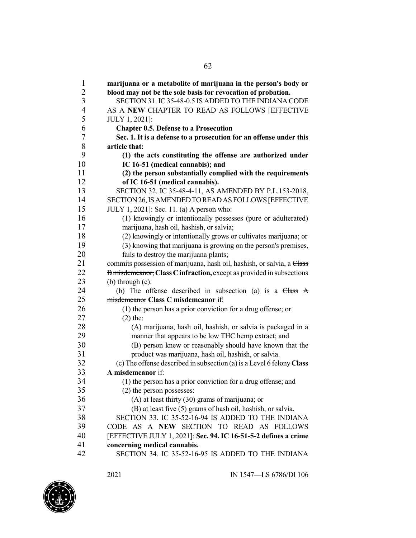| $\mathbf{1}$   | marijuana or a metabolite of marijuana in the person's body or                                 |
|----------------|------------------------------------------------------------------------------------------------|
| $\overline{c}$ | blood may not be the sole basis for revocation of probation.                                   |
| 3              | SECTION 31. IC 35-48-0.5 IS ADDED TO THE INDIANA CODE                                          |
| $\overline{4}$ | AS A NEW CHAPTER TO READ AS FOLLOWS [EFFECTIVE                                                 |
| 5              | JULY 1, 2021]:                                                                                 |
| 6              | <b>Chapter 0.5. Defense to a Prosecution</b>                                                   |
| 7              | Sec. 1. It is a defense to a prosecution for an offense under this                             |
| 8              | article that:                                                                                  |
| 9<br>10        | (1) the acts constituting the offense are authorized under<br>IC 16-51 (medical cannabis); and |
| 11             |                                                                                                |
| 12             | (2) the person substantially complied with the requirements<br>of IC 16-51 (medical cannabis). |
| 13             | SECTION 32. IC 35-48-4-11, AS AMENDED BY P.L.153-2018,                                         |
| 14             | SECTION 26, IS AMENDED TO READ AS FOLLOWS [EFFECTIVE                                           |
| 15             | JULY 1, 2021]: Sec. 11. (a) A person who:                                                      |
| 16             | (1) knowingly or intentionally possesses (pure or adulterated)                                 |
| 17             | marijuana, hash oil, hashish, or salvia;                                                       |
| 18             | (2) knowingly or intentionally grows or cultivates marijuana; or                               |
| 19             | (3) knowing that marijuana is growing on the person's premises,                                |
| 20             | fails to destroy the marijuana plants;                                                         |
| 21             | commits possession of marijuana, hash oil, hashish, or salvia, a Class                         |
| 22             | B misdemeanor, Class C infraction, except as provided in subsections                           |
| 23             | $(b)$ through $(c)$ .                                                                          |
| 24             | (b) The offense described in subsection (a) is a $Class A$                                     |
| 25             | misdemeanor Class C misdemeanor if:                                                            |
| 26             | (1) the person has a prior conviction for a drug offense; or                                   |
| 27             | $(2)$ the:                                                                                     |
| 28             | (A) marijuana, hash oil, hashish, or salvia is packaged in a                                   |
| 29             | manner that appears to be low THC hemp extract; and                                            |
| 30             | (B) person knew or reasonably should have known that the                                       |
| 31             | product was marijuana, hash oil, hashish, or salvia.                                           |
| 32             | (c) The offense described in subsection (a) is a Level 6 felony Class                          |
| 33             | A misdemeanor if:                                                                              |
| 34             | (1) the person has a prior conviction for a drug offense; and                                  |
| 35             | (2) the person possesses:                                                                      |
| 36             | $(A)$ at least thirty (30) grams of marijuana; or                                              |
| 37             | (B) at least five (5) grams of hash oil, hashish, or salvia.                                   |
| 38             | SECTION 33. IC 35-52-16-94 IS ADDED TO THE INDIANA                                             |
| 39             | CODE AS A NEW SECTION TO READ AS FOLLOWS                                                       |
| 40             | [EFFECTIVE JULY 1, 2021]: Sec. 94. IC 16-51-5-2 defines a crime                                |
| 41             | concerning medical cannabis.                                                                   |
| 42             | SECTION 34. IC 35-52-16-95 IS ADDED TO THE INDIANA                                             |